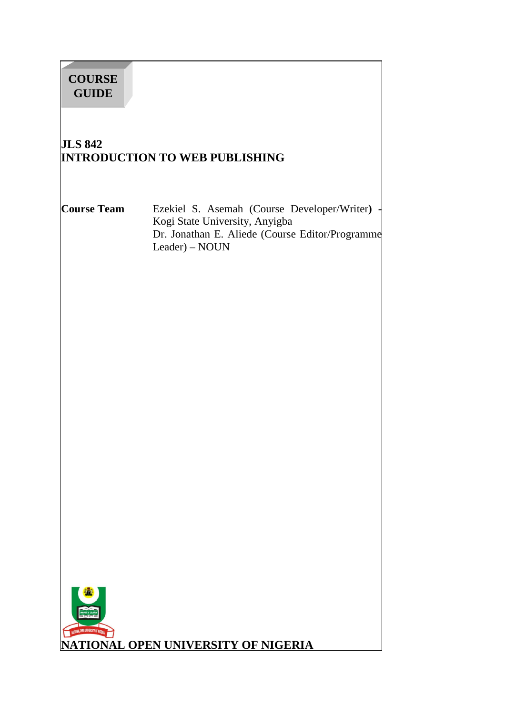# **COURSE GUIDE**

# **JLS 842 INTRODUCTION TO WEB PUBLISHING**

**Course Team** Ezekiel S. Asemah (Course Developer/Writer**) -** Kogi State University, Anyigba Dr. Jonathan E. Aliede (Course Editor/Programme Leader) – NOUN

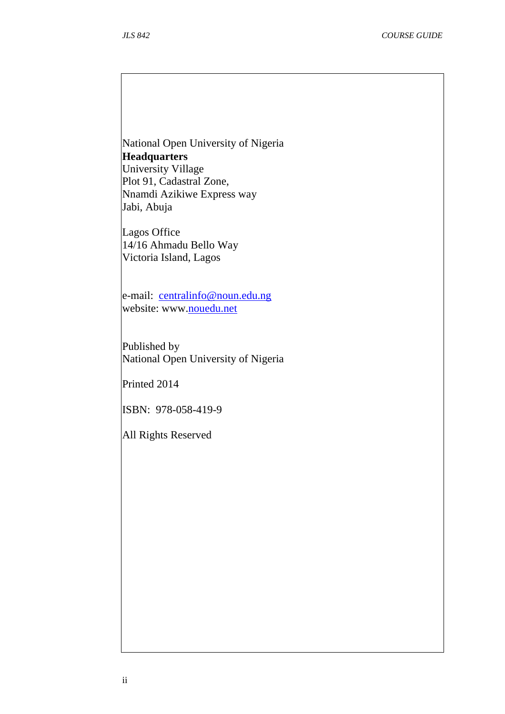National Open University of Nigeria **Headquarters**  University Village Plot 91, Cadastral Zone, Nnamdi Azikiwe Express way Jabi, Abuja

Lagos Office 14/16 Ahmadu Bello Way Victoria Island, Lagos

e-mail: centralinfo@noun.edu.ng website: www.nouedu.net

Published by National Open University of Nigeria

Printed 2014

ISBN: 978-058-419-9

All Rights Reserved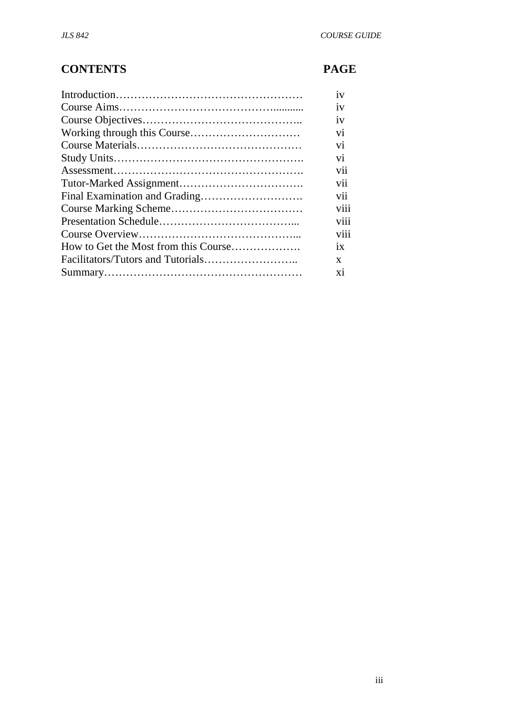# **CONTENTS PAGE**

| 1V             |
|----------------|
| 1V             |
| 1V             |
| V <sub>1</sub> |
| vi             |
| V <sub>1</sub> |
| V11            |
| vii            |
| vii            |
| viii           |
| V111           |
| viii           |
| 1X             |
| X              |
| X1             |
|                |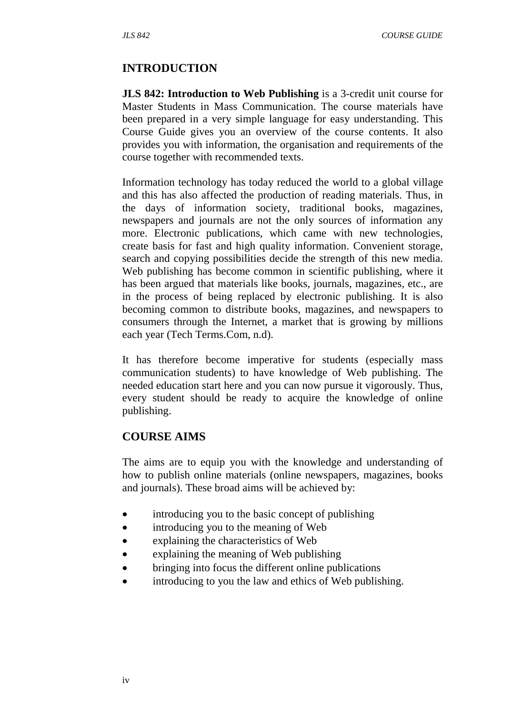#### **INTRODUCTION**

**JLS 842: Introduction to Web Publishing** is a 3-credit unit course for Master Students in Mass Communication. The course materials have been prepared in a very simple language for easy understanding. This Course Guide gives you an overview of the course contents. It also provides you with information, the organisation and requirements of the course together with recommended texts.

Information technology has today reduced the world to a global village and this has also affected the production of reading materials. Thus, in the days of information society, traditional books, magazines, newspapers and journals are not the only sources of information any more. Electronic publications, which came with new technologies, create basis for fast and high quality information. Convenient storage, search and copying possibilities decide the strength of this new media. Web publishing has become common in scientific publishing, where it has been argued that materials like books, journals, magazines, etc., are in the process of being replaced by electronic publishing. It is also becoming common to distribute books, magazines, and newspapers to consumers through the Internet, a market that is growing by millions each year (Tech Terms.Com, n.d).

It has therefore become imperative for students (especially mass communication students) to have knowledge of Web publishing. The needed education start here and you can now pursue it vigorously. Thus, every student should be ready to acquire the knowledge of online publishing.

#### **COURSE AIMS**

The aims are to equip you with the knowledge and understanding of how to publish online materials (online newspapers, magazines, books and journals). These broad aims will be achieved by:

- introducing you to the basic concept of publishing
- introducing you to the meaning of Web
- explaining the characteristics of Web
- explaining the meaning of Web publishing
- bringing into focus the different online publications
- introducing to you the law and ethics of Web publishing.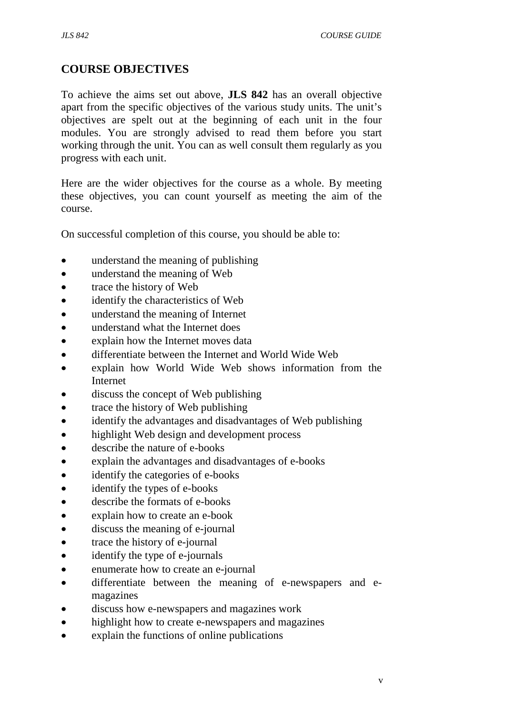# **COURSE OBJECTIVES**

To achieve the aims set out above, **JLS 842** has an overall objective apart from the specific objectives of the various study units. The unit's objectives are spelt out at the beginning of each unit in the four modules. You are strongly advised to read them before you start working through the unit. You can as well consult them regularly as you progress with each unit.

Here are the wider objectives for the course as a whole. By meeting these objectives, you can count yourself as meeting the aim of the course.

On successful completion of this course, you should be able to:

- understand the meaning of publishing
- understand the meaning of Web
- trace the history of Web
- identify the characteristics of Web
- understand the meaning of Internet
- understand what the Internet does
- explain how the Internet moves data
- differentiate between the Internet and World Wide Web
- explain how World Wide Web shows information from the Internet
- discuss the concept of Web publishing
- trace the history of Web publishing
- identify the advantages and disadvantages of Web publishing
- highlight Web design and development process
- describe the nature of e-books
- explain the advantages and disadvantages of e-books
- identify the categories of e-books
- identify the types of e-books
- describe the formats of e-books
- explain how to create an e-book
- discuss the meaning of e-journal
- trace the history of e-journal
- identify the type of e-journals
- enumerate how to create an e-journal
- differentiate between the meaning of e-newspapers and emagazines
- discuss how e-newspapers and magazines work
- highlight how to create e-newspapers and magazines
- explain the functions of online publications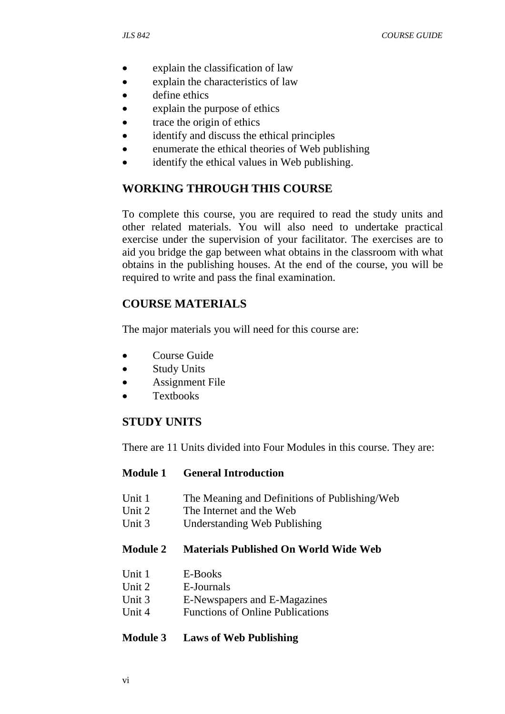- explain the classification of law
- explain the characteristics of law
- define ethics
- explain the purpose of ethics
- trace the origin of ethics
- identify and discuss the ethical principles
- enumerate the ethical theories of Web publishing
- identify the ethical values in Web publishing.

#### **WORKING THROUGH THIS COURSE**

To complete this course, you are required to read the study units and other related materials. You will also need to undertake practical exercise under the supervision of your facilitator. The exercises are to aid you bridge the gap between what obtains in the classroom with what obtains in the publishing houses. At the end of the course, you will be required to write and pass the final examination.

#### **COURSE MATERIALS**

The major materials you will need for this course are:

- Course Guide
- Study Units
- **Assignment File**
- **Textbooks**

#### **STUDY UNITS**

There are 11 Units divided into Four Modules in this course. They are:

#### **Module 1 General Introduction**

- Unit 1 The Meaning and Definitions of Publishing/Web
- Unit 2 The Internet and the Web
- Unit 3 Understanding Web Publishing

#### **Module 2 Materials Published On World Wide Web**

| Unit 1 | E-Books |
|--------|---------|
|--------|---------|

- Unit 2 E-Journals
- Unit 3 E-Newspapers and E-Magazines
- Unit 4 Functions of Online Publications

#### **Module 3 Laws of Web Publishing**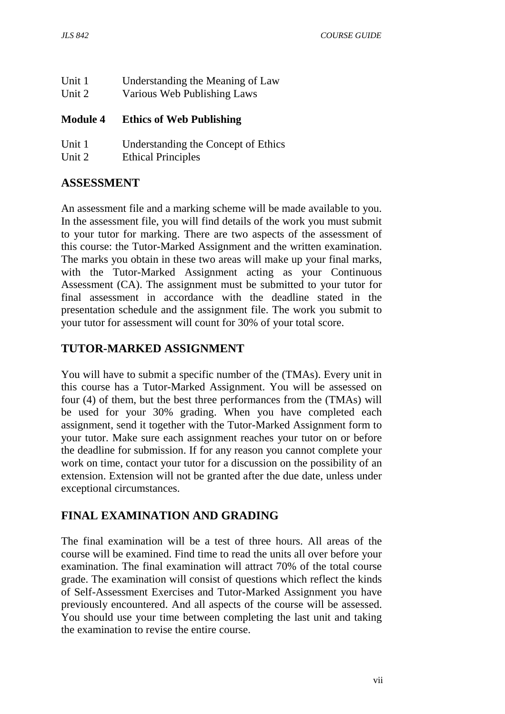| Unit 1<br>Unit 2 | Understanding the Meaning of Law<br>Various Web Publishing Laws |  |
|------------------|-----------------------------------------------------------------|--|
| <b>Module 4</b>  | <b>Ethics of Web Publishing</b>                                 |  |
| Unit 1           | Understanding the Concept of Ethics                             |  |

| UMI 1  | Understanding the Concept of |
|--------|------------------------------|
| Unit 2 | <b>Ethical Principles</b>    |

#### **ASSESSMENT**

An assessment file and a marking scheme will be made available to you. In the assessment file, you will find details of the work you must submit to your tutor for marking. There are two aspects of the assessment of this course: the Tutor-Marked Assignment and the written examination. The marks you obtain in these two areas will make up your final marks, with the Tutor-Marked Assignment acting as your Continuous Assessment (CA). The assignment must be submitted to your tutor for final assessment in accordance with the deadline stated in the presentation schedule and the assignment file. The work you submit to your tutor for assessment will count for 30% of your total score.

#### **TUTOR-MARKED ASSIGNMENT**

You will have to submit a specific number of the (TMAs). Every unit in this course has a Tutor-Marked Assignment. You will be assessed on four (4) of them, but the best three performances from the (TMAs) will be used for your 30% grading. When you have completed each assignment, send it together with the Tutor-Marked Assignment form to your tutor. Make sure each assignment reaches your tutor on or before the deadline for submission. If for any reason you cannot complete your work on time, contact your tutor for a discussion on the possibility of an extension. Extension will not be granted after the due date, unless under exceptional circumstances.

### **FINAL EXAMINATION AND GRADING**

The final examination will be a test of three hours. All areas of the course will be examined. Find time to read the units all over before your examination. The final examination will attract 70% of the total course grade. The examination will consist of questions which reflect the kinds of Self-Assessment Exercises and Tutor-Marked Assignment you have previously encountered. And all aspects of the course will be assessed. You should use your time between completing the last unit and taking the examination to revise the entire course.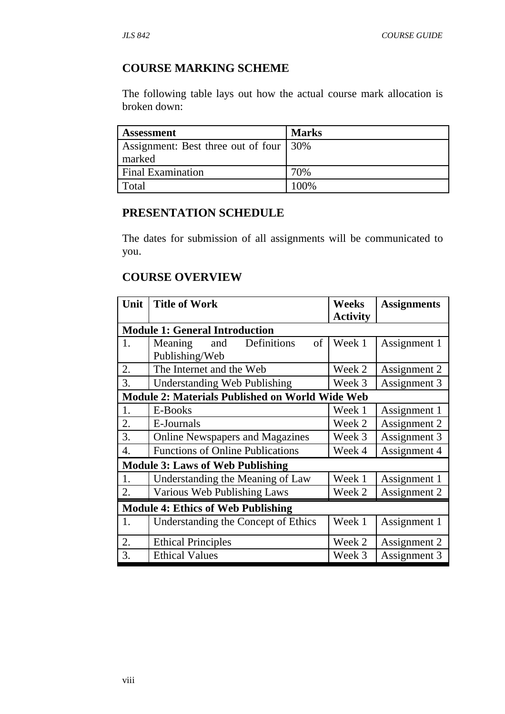### **COURSE MARKING SCHEME**

The following table lays out how the actual course mark allocation is broken down:

| <b>Assessment</b>                        | <b>Marks</b> |
|------------------------------------------|--------------|
| Assignment: Best three out of four   30% |              |
| marked                                   |              |
| <b>Final Examination</b>                 | 70%          |
| Total                                    | 100%         |

### **PRESENTATION SCHEDULE**

The dates for submission of all assignments will be communicated to you.

# **COURSE OVERVIEW**

| Unit                                                   | <b>Title of Work</b>                    | <b>Weeks</b>    | <b>Assignments</b> |
|--------------------------------------------------------|-----------------------------------------|-----------------|--------------------|
|                                                        |                                         | <b>Activity</b> |                    |
| <b>Module 1: General Introduction</b>                  |                                         |                 |                    |
| 1.                                                     | of<br>Definitions<br>Meaning<br>and     | Week 1          | Assignment 1       |
|                                                        | Publishing/Web                          |                 |                    |
| 2.                                                     | The Internet and the Web                | Week 2          | Assignment 2       |
| 3.                                                     | <b>Understanding Web Publishing</b>     | Week 3          | Assignment 3       |
| <b>Module 2: Materials Published on World Wide Web</b> |                                         |                 |                    |
| 1.                                                     | E-Books                                 | Week 1          | Assignment 1       |
| 2.                                                     | E-Journals                              | Week 2          | Assignment 2       |
| 3.                                                     | <b>Online Newspapers and Magazines</b>  | Week 3          | Assignment 3       |
| 4.                                                     | <b>Functions of Online Publications</b> | Week 4          | Assignment 4       |
|                                                        | <b>Module 3: Laws of Web Publishing</b> |                 |                    |
| 1.                                                     | Understanding the Meaning of Law        | Week 1          | Assignment 1       |
| 2.                                                     | Various Web Publishing Laws             | Week 2          | Assignment 2       |
| <b>Module 4: Ethics of Web Publishing</b>              |                                         |                 |                    |
| 1.                                                     | Understanding the Concept of Ethics     | Week 1          | Assignment 1       |
| 2.                                                     | <b>Ethical Principles</b>               | Week 2          | Assignment 2       |
| 3.                                                     | <b>Ethical Values</b>                   | Week 3          | Assignment 3       |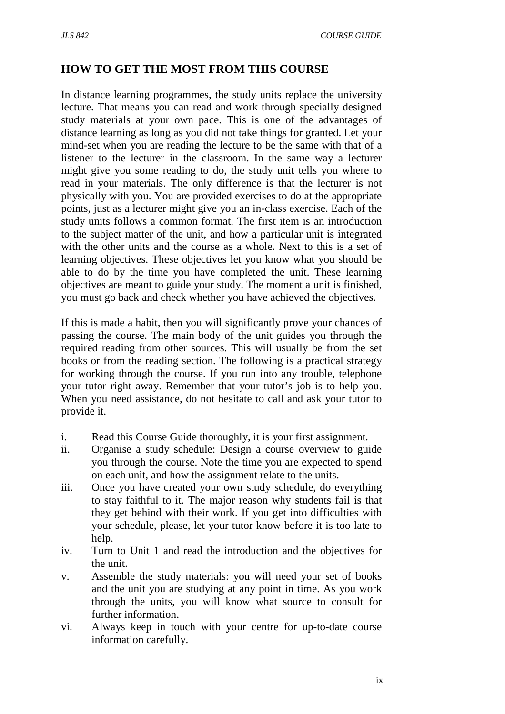# **HOW TO GET THE MOST FROM THIS COURSE**

In distance learning programmes, the study units replace the university lecture. That means you can read and work through specially designed study materials at your own pace. This is one of the advantages of distance learning as long as you did not take things for granted. Let your mind-set when you are reading the lecture to be the same with that of a listener to the lecturer in the classroom. In the same way a lecturer might give you some reading to do, the study unit tells you where to read in your materials. The only difference is that the lecturer is not physically with you. You are provided exercises to do at the appropriate points, just as a lecturer might give you an in-class exercise. Each of the study units follows a common format. The first item is an introduction to the subject matter of the unit, and how a particular unit is integrated with the other units and the course as a whole. Next to this is a set of learning objectives. These objectives let you know what you should be able to do by the time you have completed the unit. These learning objectives are meant to guide your study. The moment a unit is finished, you must go back and check whether you have achieved the objectives.

If this is made a habit, then you will significantly prove your chances of passing the course. The main body of the unit guides you through the required reading from other sources. This will usually be from the set books or from the reading section. The following is a practical strategy for working through the course. If you run into any trouble, telephone your tutor right away. Remember that your tutor's job is to help you. When you need assistance, do not hesitate to call and ask your tutor to provide it.

- i. Read this Course Guide thoroughly, it is your first assignment.
- ii. Organise a study schedule: Design a course overview to guide you through the course. Note the time you are expected to spend on each unit, and how the assignment relate to the units.
- iii. Once you have created your own study schedule, do everything to stay faithful to it. The major reason why students fail is that they get behind with their work. If you get into difficulties with your schedule, please, let your tutor know before it is too late to help.
- iv. Turn to Unit 1 and read the introduction and the objectives for the unit.
- v. Assemble the study materials: you will need your set of books and the unit you are studying at any point in time. As you work through the units, you will know what source to consult for further information.
- vi. Always keep in touch with your centre for up-to-date course information carefully.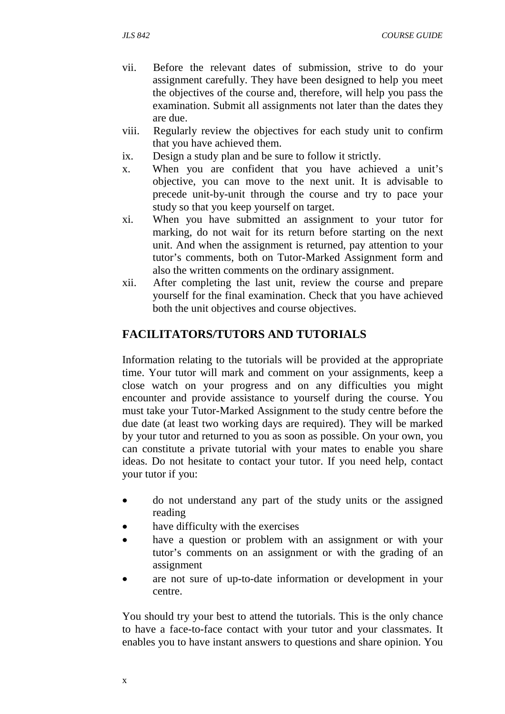- vii. Before the relevant dates of submission, strive to do your assignment carefully. They have been designed to help you meet the objectives of the course and, therefore, will help you pass the examination. Submit all assignments not later than the dates they are due.
- viii. Regularly review the objectives for each study unit to confirm that you have achieved them.
- ix. Design a study plan and be sure to follow it strictly.
- x. When you are confident that you have achieved a unit's objective, you can move to the next unit. It is advisable to precede unit-by-unit through the course and try to pace your study so that you keep yourself on target.
- xi. When you have submitted an assignment to your tutor for marking, do not wait for its return before starting on the next unit. And when the assignment is returned, pay attention to your tutor's comments, both on Tutor-Marked Assignment form and also the written comments on the ordinary assignment.
- xii. After completing the last unit, review the course and prepare yourself for the final examination. Check that you have achieved both the unit objectives and course objectives.

# **FACILITATORS/TUTORS AND TUTORIALS**

Information relating to the tutorials will be provided at the appropriate time. Your tutor will mark and comment on your assignments, keep a close watch on your progress and on any difficulties you might encounter and provide assistance to yourself during the course. You must take your Tutor-Marked Assignment to the study centre before the due date (at least two working days are required). They will be marked by your tutor and returned to you as soon as possible. On your own, you can constitute a private tutorial with your mates to enable you share ideas. Do not hesitate to contact your tutor. If you need help, contact your tutor if you:

- do not understand any part of the study units or the assigned reading
- have difficulty with the exercises
- have a question or problem with an assignment or with your tutor's comments on an assignment or with the grading of an assignment
- are not sure of up-to-date information or development in your centre.

You should try your best to attend the tutorials. This is the only chance to have a face-to-face contact with your tutor and your classmates. It enables you to have instant answers to questions and share opinion. You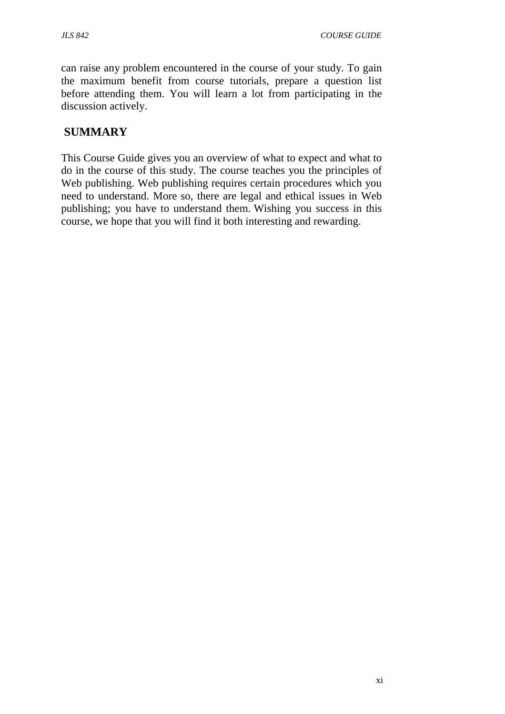can raise any problem encountered in the course of your study. To gain the maximum benefit from course tutorials, prepare a question list before attending them. You will learn a lot from participating in the discussion actively.

# **SUMMARY**

This Course Guide gives you an overview of what to expect and what to do in the course of this study. The course teaches you the principles of Web publishing. Web publishing requires certain procedures which you need to understand. More so, there are legal and ethical issues in Web publishing; you have to understand them. Wishing you success in this course, we hope that you will find it both interesting and rewarding.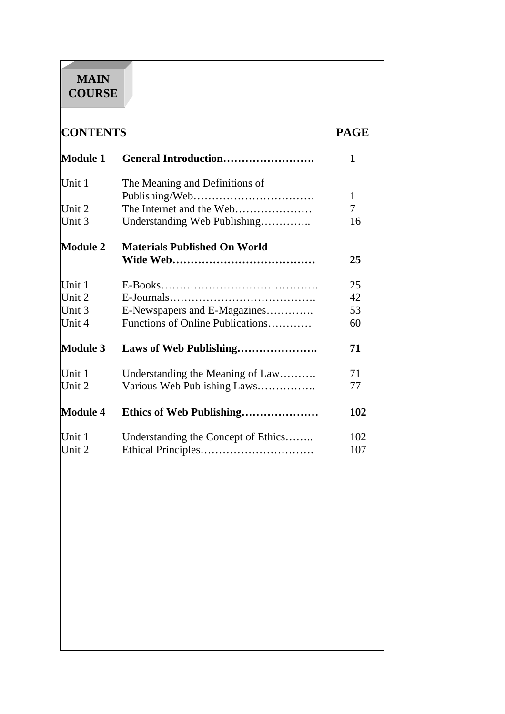# **MAIN COURSE**

# **CONTENTS PAGE**

| <b>Module 1</b> | General Introduction                | 1   |
|-----------------|-------------------------------------|-----|
| Unit 1          | The Meaning and Definitions of      |     |
|                 |                                     | 1   |
| Unit 2          | The Internet and the Web            | 7   |
| Unit 3          | Understanding Web Publishing        | 16  |
| <b>Module 2</b> | <b>Materials Published On World</b> |     |
|                 |                                     | 25  |
| Unit 1          |                                     | 25  |
| Unit 2          |                                     | 42  |
| Unit 3          | E-Newspapers and E-Magazines        | 53  |
| Unit 4          | Functions of Online Publications    | 60  |
| <b>Module 3</b> | Laws of Web Publishing              | 71  |
| Unit 1          | Understanding the Meaning of Law    | 71  |
| Unit 2          | Various Web Publishing Laws         | 77  |
| <b>Module 4</b> | Ethics of Web Publishing            | 102 |
|                 |                                     |     |
| Unit 1          | Understanding the Concept of Ethics | 102 |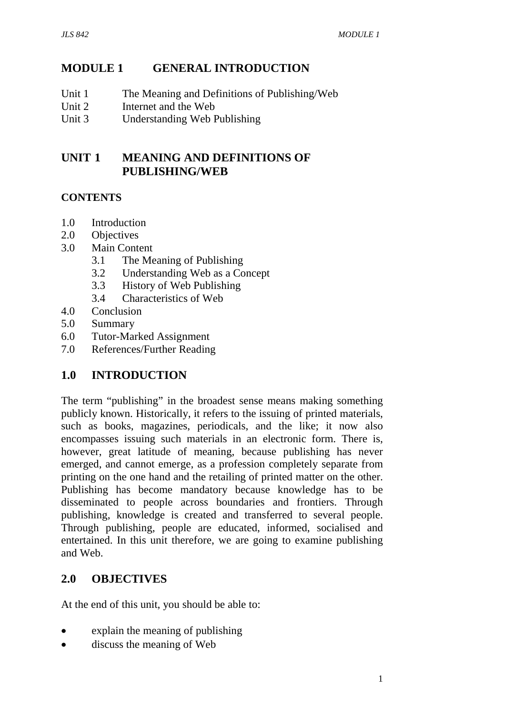# **MODULE 1 GENERAL INTRODUCTION**

- Unit 1 The Meaning and Definitions of Publishing/Web
- Unit 2 Internet and the Web
- Unit 3 Understanding Web Publishing

# **UNIT 1 MEANING AND DEFINITIONS OF PUBLISHING/WEB**

### **CONTENTS**

- 1.0 Introduction
- 2.0 Objectives
- 3.0 Main Content
	- 3.1 The Meaning of Publishing
	- 3.2 Understanding Web as a Concept
	- 3.3 History of Web Publishing
	- 3.4 Characteristics of Web
- 4.0 Conclusion
- 5.0 Summary
- 6.0 Tutor-Marked Assignment
- 7.0 References/Further Reading

# **1.0 INTRODUCTION**

The term "publishing" in the broadest sense means making something publicly known. Historically, it refers to the issuing of printed materials, such as books, magazines, periodicals, and the like; it now also encompasses issuing such materials in an electronic form. There is, however, great latitude of meaning, because publishing has never emerged, and cannot emerge, as a profession completely separate from printing on the one hand and the retailing of printed matter on the other. Publishing has become mandatory because knowledge has to be disseminated to people across boundaries and frontiers. Through publishing, knowledge is created and transferred to several people. Through publishing, people are educated, informed, socialised and entertained. In this unit therefore, we are going to examine publishing and Web.

# **2.0 OBJECTIVES**

At the end of this unit, you should be able to:

- explain the meaning of publishing
- discuss the meaning of Web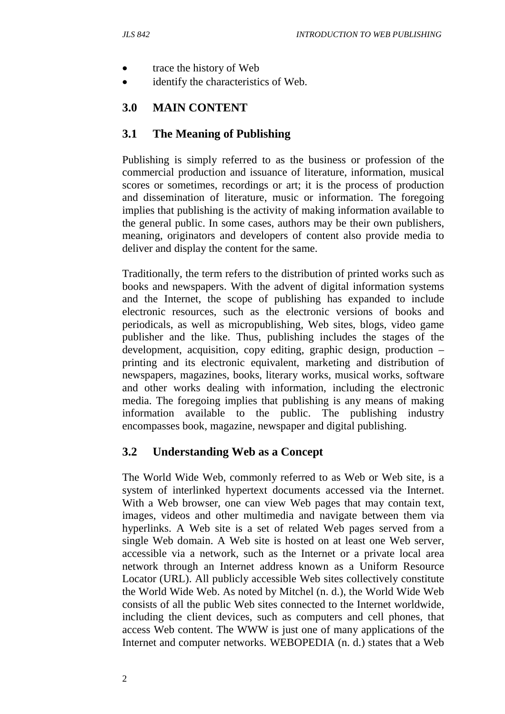- trace the history of Web
- identify the characteristics of Web.

# **3.0 MAIN CONTENT**

### **3.1 The Meaning of Publishing**

Publishing is simply referred to as the business or profession of the commercial production and issuance of literature, information, musical scores or sometimes, recordings or art; it is the process of production and dissemination of literature, music or information. The foregoing implies that publishing is the activity of making information available to the general public. In some cases, authors may be their own publishers, meaning, originators and developers of content also provide media to deliver and display the content for the same.

Traditionally, the term refers to the distribution of printed works such as books and newspapers. With the advent of digital information systems and the Internet, the scope of publishing has expanded to include electronic resources, such as the electronic versions of books and periodicals, as well as micropublishing, Web sites, blogs, video game publisher and the like. Thus, publishing includes the stages of the development, acquisition, copy editing, graphic design, production – printing and its electronic equivalent, marketing and distribution of newspapers, magazines, books, literary works, musical works, software and other works dealing with information, including the electronic media. The foregoing implies that publishing is any means of making information available to the public. The publishing industry encompasses book, magazine, newspaper and digital publishing.

### **3.2 Understanding Web as a Concept**

The World Wide Web, commonly referred to as Web or Web site, is a system of interlinked hypertext documents accessed via the Internet. With a Web browser, one can view Web pages that may contain text, images, videos and other multimedia and navigate between them via hyperlinks. A Web site is a set of related Web pages served from a single Web domain. A Web site is hosted on at least one Web server, accessible via a network, such as the Internet or a private local area network through an Internet address known as a Uniform Resource Locator (URL). All publicly accessible Web sites collectively constitute the World Wide Web. As noted by Mitchel (n. d.), the World Wide Web consists of all the public Web sites connected to the Internet worldwide, including the client devices, such as computers and cell phones, that access Web content. The WWW is just one of many applications of the Internet and computer networks. WEBOPEDIA (n. d.) states that a Web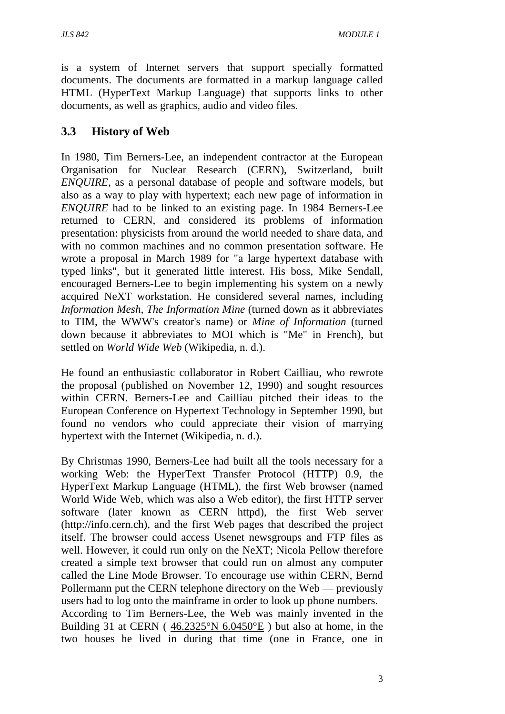is a system of Internet servers that support specially formatted documents. The documents are formatted in a markup language called HTML (HyperText Markup Language) that supports links to other documents, as well as graphics, audio and video files.

# **3.3 History of Web**

In 1980, Tim Berners-Lee, an independent contractor at the European Organisation for Nuclear Research (CERN), Switzerland, built *ENQUIRE*, as a personal database of people and software models, but also as a way to play with hypertext; each new page of information in *ENQUIRE* had to be linked to an existing page. In 1984 Berners-Lee returned to CERN, and considered its problems of information presentation: physicists from around the world needed to share data, and with no common machines and no common presentation software. He wrote a proposal in March 1989 for "a large hypertext database with typed links", but it generated little interest. His boss, Mike Sendall, encouraged Berners-Lee to begin implementing his system on a newly acquired NeXT workstation. He considered several names, including *Information Mesh*, *The Information Mine* (turned down as it abbreviates to TIM, the WWW's creator's name) or *Mine of Information* (turned down because it abbreviates to MOI which is "Me" in French), but settled on *World Wide Web* (Wikipedia, n. d.).

He found an enthusiastic collaborator in Robert Cailliau, who rewrote the proposal (published on November 12, 1990) and sought resources within CERN. Berners-Lee and Cailliau pitched their ideas to the European Conference on Hypertext Technology in September 1990, but found no vendors who could appreciate their vision of marrying hypertext with the Internet (Wikipedia, n. d.).

By Christmas 1990, Berners-Lee had built all the tools necessary for a working Web: the HyperText Transfer Protocol (HTTP) 0.9, the HyperText Markup Language (HTML), the first Web browser (named World Wide Web, which was also a Web editor), the first HTTP server software (later known as CERN httpd), the first Web server (http://info.cern.ch), and the first Web pages that described the project itself. The browser could access Usenet newsgroups and FTP files as well. However, it could run only on the NeXT; Nicola Pellow therefore created a simple text browser that could run on almost any computer called the Line Mode Browser. To encourage use within CERN, Bernd Pollermann put the CERN telephone directory on the Web — previously users had to log onto the mainframe in order to look up phone numbers. According to Tim Berners-Lee, the Web was mainly invented in the Building 31 at CERN ( 46.2325°N 6.0450°E ) but also at home, in the two houses he lived in during that time (one in France, one in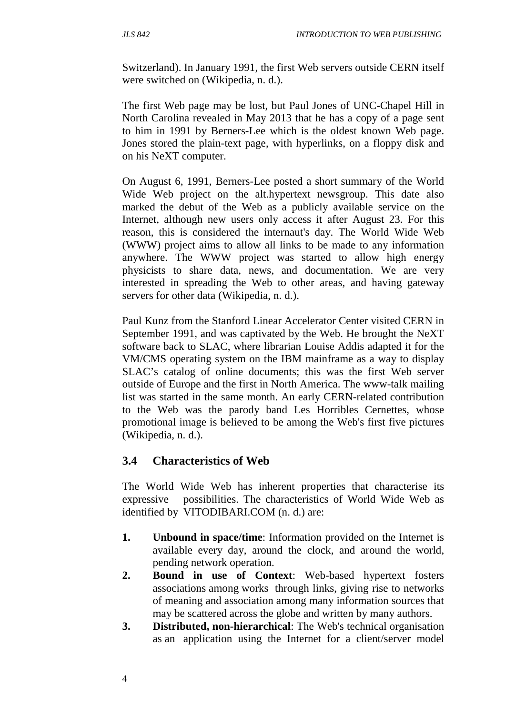Switzerland). In January 1991, the first Web servers outside CERN itself were switched on (Wikipedia, n. d.).

The first Web page may be lost, but Paul Jones of UNC-Chapel Hill in North Carolina revealed in May 2013 that he has a copy of a page sent to him in 1991 by Berners-Lee which is the oldest known Web page. Jones stored the plain-text page, with hyperlinks, on a floppy disk and on his NeXT computer.

On August 6, 1991, Berners-Lee posted a short summary of the World Wide Web project on the alt.hypertext newsgroup. This date also marked the debut of the Web as a publicly available service on the Internet, although new users only access it after August 23. For this reason, this is considered the internaut's day. The World Wide Web (WWW) project aims to allow all links to be made to any information anywhere. The WWW project was started to allow high energy physicists to share data, news, and documentation. We are very interested in spreading the Web to other areas, and having gateway servers for other data (Wikipedia, n. d.).

Paul Kunz from the Stanford Linear Accelerator Center visited CERN in September 1991, and was captivated by the Web. He brought the NeXT software back to SLAC, where librarian Louise Addis adapted it for the VM/CMS operating system on the IBM mainframe as a way to display SLAC's catalog of online documents; this was the first Web server outside of Europe and the first in North America. The www-talk mailing list was started in the same month. An early CERN-related contribution to the Web was the parody band Les Horribles Cernettes, whose promotional image is believed to be among the Web's first five pictures (Wikipedia, n. d.).

# **3.4 Characteristics of Web**

The World Wide Web has inherent properties that characterise its expressive possibilities. The characteristics of World Wide Web as identified by VITODIBARI.COM (n. d.) are:

- **1. Unbound in space/time**: Information provided on the Internet is available every day, around the clock, and around the world, pending network operation.
- **2. Bound in use of Context**: Web-based hypertext fosters associations among works through links, giving rise to networks of meaning and association among many information sources that may be scattered across the globe and written by many authors.
- **3. Distributed, non-hierarchical**: The Web's technical organisation as an application using the Internet for a client/server model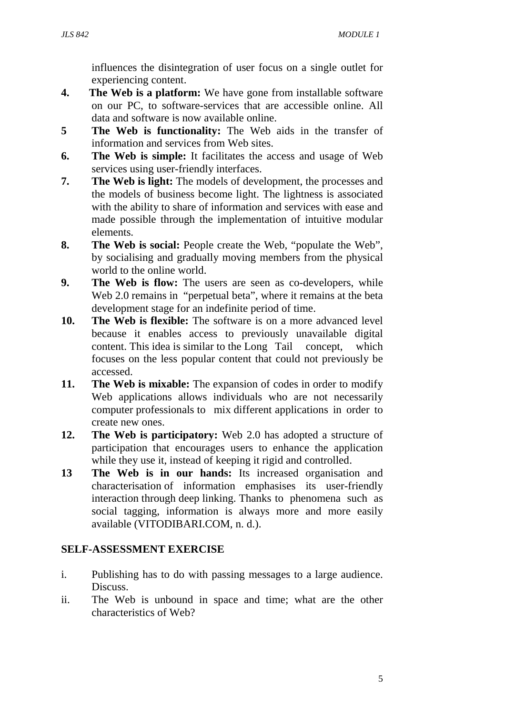influences the disintegration of user focus on a single outlet for experiencing content.

- **4. The Web is a platform:** We have gone from installable software on our PC, to software-services that are accessible online. All data and software is now available online.
- **5 The Web is functionality:** The Web aids in the transfer of information and services from Web sites.
- **6. The Web is simple:** It facilitates the access and usage of Web services using user-friendly interfaces.
- **7. The Web is light:** The models of development, the processes and the models of business become light. The lightness is associated with the ability to share of information and services with ease and made possible through the implementation of intuitive modular elements.
- **8. The Web is social:** People create the Web, "populate the Web", by socialising and gradually moving members from the physical world to the online world.
- **9. The Web is flow:** The users are seen as co-developers, while Web 2.0 remains in "perpetual beta", where it remains at the beta development stage for an indefinite period of time.
- **10. The Web is flexible:** The software is on a more advanced level because it enables access to previously unavailable digital content. This idea is similar to the Long Tail concept, which focuses on the less popular content that could not previously be accessed.
- **11.** The Web is mixable: The expansion of codes in order to modify Web applications allows individuals who are not necessarily computer professionals to mix different applications in order to create new ones.
- **12. The Web is participatory:** Web 2.0 has adopted a structure of participation that encourages users to enhance the application while they use it, instead of keeping it rigid and controlled.
- **13 The Web is in our hands:** Its increased organisation and characterisation of information emphasises its user-friendly interaction through deep linking. Thanks to phenomena such as social tagging, information is always more and more easily available (VITODIBARI.COM, n. d.).

### **SELF-ASSESSMENT EXERCISE**

- i. Publishing has to do with passing messages to a large audience. Discuss.
- ii. The Web is unbound in space and time; what are the other characteristics of Web?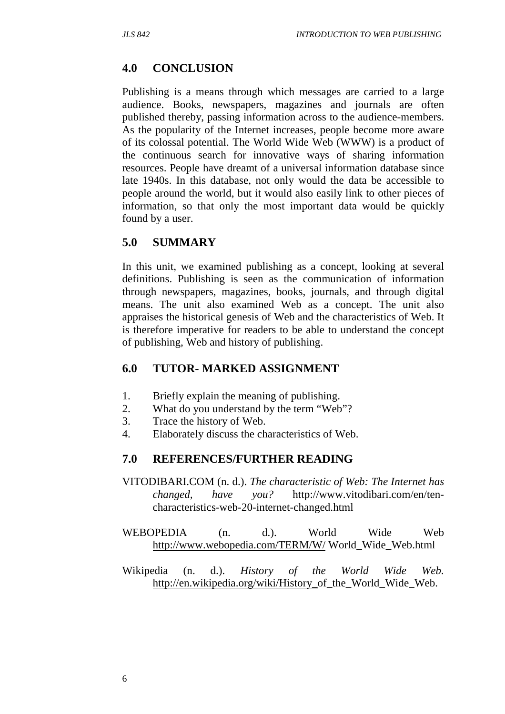# **4.0 CONCLUSION**

Publishing is a means through which messages are carried to a large audience. Books, newspapers, magazines and journals are often published thereby, passing information across to the audience-members. As the popularity of the Internet increases, people become more aware of its colossal potential. The World Wide Web (WWW) is a product of the continuous search for innovative ways of sharing information resources. People have dreamt of a universal information database since late 1940s. In this database, not only would the data be accessible to people around the world, but it would also easily link to other pieces of information, so that only the most important data would be quickly found by a user.

### **5.0 SUMMARY**

In this unit, we examined publishing as a concept, looking at several definitions. Publishing is seen as the communication of information through newspapers, magazines, books, journals, and through digital means. The unit also examined Web as a concept. The unit also appraises the historical genesis of Web and the characteristics of Web. It is therefore imperative for readers to be able to understand the concept of publishing, Web and history of publishing.

### **6.0 TUTOR- MARKED ASSIGNMENT**

- 1. Briefly explain the meaning of publishing.
- 2. What do you understand by the term "Web"?
- 3. Trace the history of Web.
- 4. Elaborately discuss the characteristics of Web.

# **7.0 REFERENCES/FURTHER READING**

- VITODIBARI.COM (n. d.). *The characteristic of Web: The Internet has changed, have you?* http://www.vitodibari.com/en/tencharacteristics-web-20-internet-changed.html
- WEBOPEDIA (n. d.). World Wide Web http://www.webopedia.com/TERM/W/ World\_Wide\_Web.html
- Wikipedia (n. d.). *History of the World Wide Web.* http://en.wikipedia.org/wiki/History\_of\_the\_World\_Wide\_Web.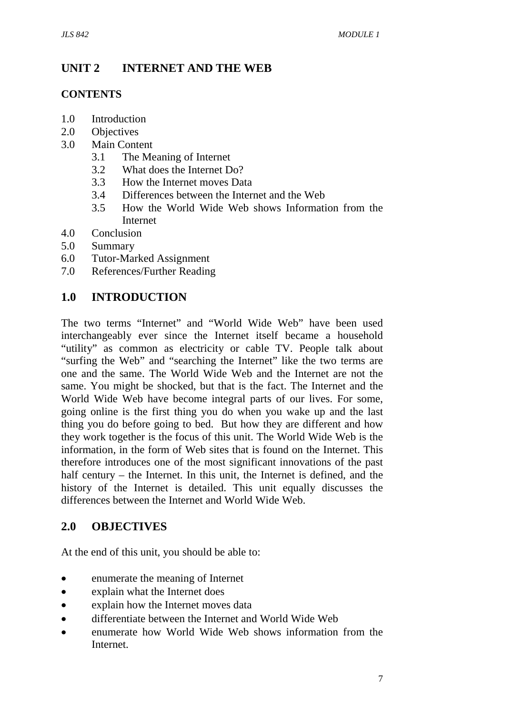# **UNIT 2 INTERNET AND THE WEB**

#### **CONTENTS**

- 1.0 Introduction
- 2.0 Objectives
- 3.0 Main Content
	- 3.1 The Meaning of Internet
	- 3.2 What does the Internet Do?
	- 3.3 How the Internet moves Data
	- 3.4 Differences between the Internet and the Web
	- 3.5 How the World Wide Web shows Information from the Internet
- 4.0 Conclusion
- 5.0 Summary
- 6.0 Tutor-Marked Assignment
- 7.0 References/Further Reading

# **1.0 INTRODUCTION**

The two terms "Internet" and "World Wide Web" have been used interchangeably ever since the Internet itself became a household "utility" as common as electricity or cable TV. People talk about "surfing the Web" and "searching the Internet" like the two terms are one and the same. The World Wide Web and the Internet are not the same. You might be shocked, but that is the fact. The Internet and the World Wide Web have become integral parts of our lives. For some, going online is the first thing you do when you wake up and the last thing you do before going to bed. But how they are different and how they work together is the focus of this unit. The World Wide Web is the information, in the form of Web sites that is found on the Internet. This therefore introduces one of the most significant innovations of the past half century – the Internet. In this unit, the Internet is defined, and the history of the Internet is detailed. This unit equally discusses the differences between the Internet and World Wide Web.

# **2.0 OBJECTIVES**

At the end of this unit, you should be able to:

- enumerate the meaning of Internet
- explain what the Internet does
- explain how the Internet moves data
- differentiate between the Internet and World Wide Web
- enumerate how World Wide Web shows information from the Internet.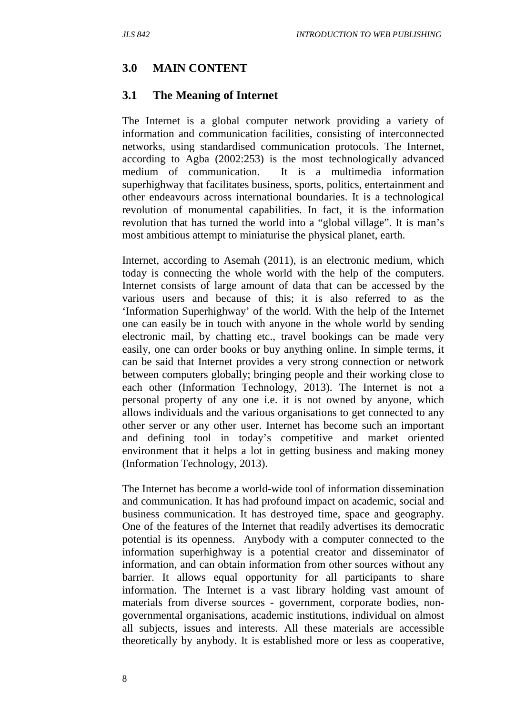# **3.0 MAIN CONTENT**

#### **3.1 The Meaning of Internet**

The Internet is a global computer network providing a variety of information and communication facilities, consisting of interconnected networks, using standardised communication protocols. The Internet, according to Agba (2002:253) is the most technologically advanced medium of communication. It is a multimedia information superhighway that facilitates business, sports, politics, entertainment and other endeavours across international boundaries. It is a technological revolution of monumental capabilities. In fact, it is the information revolution that has turned the world into a "global village". It is man's most ambitious attempt to miniaturise the physical planet, earth.

Internet, according to Asemah (2011), is an electronic medium, which today is connecting the whole world with the help of the computers. Internet consists of large amount of data that can be accessed by the various users and because of this; it is also referred to as the 'Information Superhighway' of the world. With the help of the Internet one can easily be in touch with anyone in the whole world by sending electronic mail, by chatting etc., travel bookings can be made very easily, one can order books or buy anything online. In simple terms, it can be said that Internet provides a very strong connection or network between computers globally; bringing people and their working close to each other (Information Technology, 2013). The Internet is not a personal property of any one i.e. it is not owned by anyone, which allows individuals and the various organisations to get connected to any other server or any other user. Internet has become such an important and defining tool in today's competitive and market oriented environment that it helps a lot in getting business and making money (Information Technology, 2013).

The Internet has become a world-wide tool of information dissemination and communication. It has had profound impact on academic, social and business communication. It has destroyed time, space and geography. One of the features of the Internet that readily advertises its democratic potential is its openness. Anybody with a computer connected to the information superhighway is a potential creator and disseminator of information, and can obtain information from other sources without any barrier. It allows equal opportunity for all participants to share information. The Internet is a vast library holding vast amount of materials from diverse sources - government, corporate bodies, nongovernmental organisations, academic institutions, individual on almost all subjects, issues and interests. All these materials are accessible theoretically by anybody. It is established more or less as cooperative,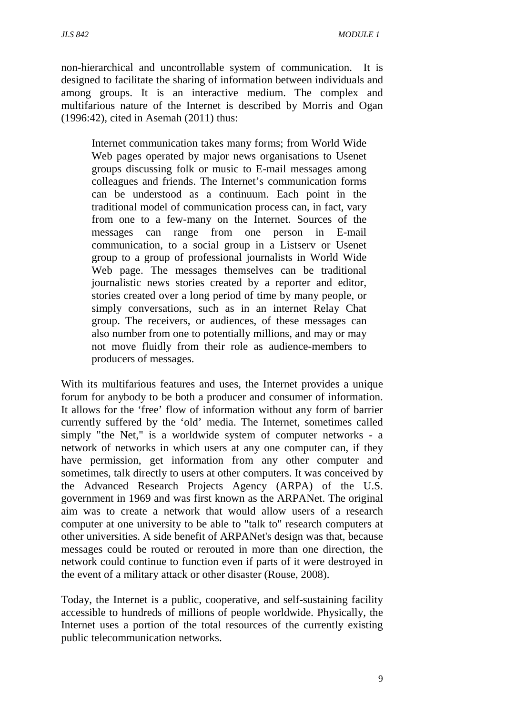non-hierarchical and uncontrollable system of communication. It is designed to facilitate the sharing of information between individuals and among groups. It is an interactive medium. The complex and multifarious nature of the Internet is described by Morris and Ogan (1996:42), cited in Asemah (2011) thus:

Internet communication takes many forms; from World Wide Web pages operated by major news organisations to Usenet groups discussing folk or music to E-mail messages among colleagues and friends. The Internet's communication forms can be understood as a continuum. Each point in the traditional model of communication process can, in fact, vary from one to a few-many on the Internet. Sources of the messages can range from one person in E-mail communication, to a social group in a Listserv or Usenet group to a group of professional journalists in World Wide Web page. The messages themselves can be traditional journalistic news stories created by a reporter and editor, stories created over a long period of time by many people, or simply conversations, such as in an internet Relay Chat group. The receivers, or audiences, of these messages can also number from one to potentially millions, and may or may not move fluidly from their role as audience-members to producers of messages.

With its multifarious features and uses, the Internet provides a unique forum for anybody to be both a producer and consumer of information. It allows for the 'free' flow of information without any form of barrier currently suffered by the 'old' media. The Internet, sometimes called simply "the Net," is a worldwide system of computer networks - a network of networks in which users at any one computer can, if they have permission, get information from any other computer and sometimes, talk directly to users at other computers. It was conceived by the Advanced Research Projects Agency (ARPA) of the U.S. government in 1969 and was first known as the ARPANet. The original aim was to create a network that would allow users of a research computer at one university to be able to "talk to" research computers at other universities. A side benefit of ARPANet's design was that, because messages could be routed or rerouted in more than one direction, the network could continue to function even if parts of it were destroyed in the event of a military attack or other disaster (Rouse, 2008).

Today, the Internet is a public, cooperative, and self-sustaining facility accessible to hundreds of millions of people worldwide. Physically, the Internet uses a portion of the total resources of the currently existing public telecommunication networks.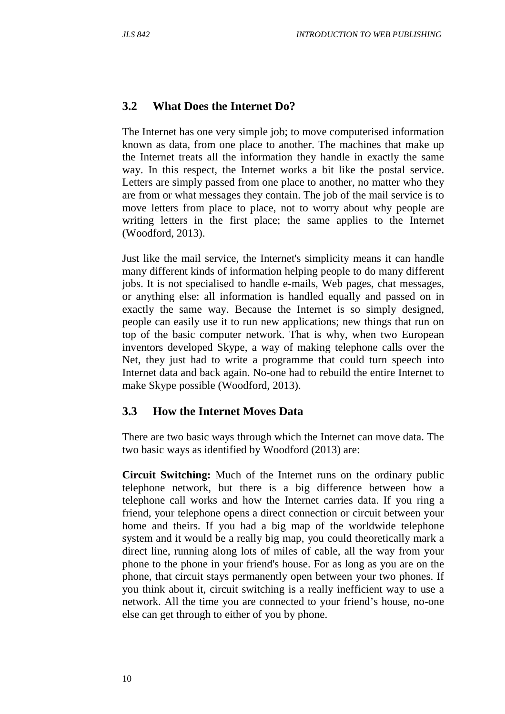# **3.2 What Does the Internet Do?**

The Internet has one very simple job; to move computerised information known as data, from one place to another. The machines that make up the Internet treats all the information they handle in exactly the same way. In this respect, the Internet works a bit like the postal service. Letters are simply passed from one place to another, no matter who they are from or what messages they contain. The job of the mail service is to move letters from place to place, not to worry about why people are writing letters in the first place; the same applies to the Internet (Woodford, 2013).

Just like the mail service, the Internet's simplicity means it can handle many different kinds of information helping people to do many different jobs. It is not specialised to handle e-mails, Web pages, chat messages, or anything else: all information is handled equally and passed on in exactly the same way. Because the Internet is so simply designed, people can easily use it to run new applications; new things that run on top of the basic computer network. That is why, when two European inventors developed Skype, a way of making telephone calls over the Net, they just had to write a programme that could turn speech into Internet data and back again. No-one had to rebuild the entire Internet to make Skype possible (Woodford, 2013).

### **3.3 How the Internet Moves Data**

There are two basic ways through which the Internet can move data. The two basic ways as identified by Woodford (2013) are:

**Circuit Switching:** Much of the Internet runs on the ordinary public telephone network, but there is a big difference between how a telephone call works and how the Internet carries data. If you ring a friend, your telephone opens a direct connection or circuit between your home and theirs. If you had a big map of the worldwide telephone system and it would be a really big map, you could theoretically mark a direct line, running along lots of miles of cable, all the way from your phone to the phone in your friend's house. For as long as you are on the phone, that circuit stays permanently open between your two phones. If you think about it, circuit switching is a really inefficient way to use a network. All the time you are connected to your friend's house, no-one else can get through to either of you by phone.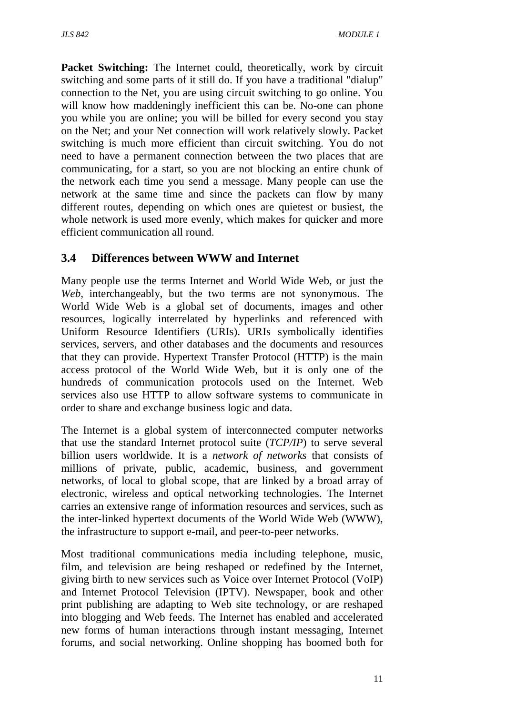**Packet Switching:** The Internet could, theoretically, work by circuit switching and some parts of it still do. If you have a traditional "dialup" connection to the Net, you are using circuit switching to go online. You will know how maddeningly inefficient this can be. No-one can phone you while you are online; you will be billed for every second you stay on the Net; and your Net connection will work relatively slowly. Packet switching is much more efficient than circuit switching. You do not need to have a permanent connection between the two places that are communicating, for a start, so you are not blocking an entire chunk of the network each time you send a message. Many people can use the network at the same time and since the packets can flow by many different routes, depending on which ones are quietest or busiest, the whole network is used more evenly, which makes for quicker and more efficient communication all round.

### **3.4 Differences between WWW and Internet**

Many people use the terms Internet and World Wide Web, or just the *Web*, interchangeably, but the two terms are not synonymous. The World Wide Web is a global set of documents, images and other resources, logically interrelated by hyperlinks and referenced with Uniform Resource Identifiers (URIs). URIs symbolically identifies services, servers, and other databases and the documents and resources that they can provide. Hypertext Transfer Protocol (HTTP) is the main access protocol of the World Wide Web, but it is only one of the hundreds of communication protocols used on the Internet. Web services also use HTTP to allow software systems to communicate in order to share and exchange business logic and data.

The Internet is a global system of interconnected computer networks that use the standard Internet protocol suite (*TCP/IP*) to serve several billion users worldwide. It is a *network of networks* that consists of millions of private, public, academic, business, and government networks, of local to global scope, that are linked by a broad array of electronic, wireless and optical networking technologies. The Internet carries an extensive range of information resources and services, such as the inter-linked hypertext documents of the World Wide Web (WWW), the infrastructure to support e-mail, and peer-to-peer networks.

Most traditional communications media including telephone, music, film, and television are being reshaped or redefined by the Internet, giving birth to new services such as Voice over Internet Protocol (VoIP) and Internet Protocol Television (IPTV). Newspaper, book and other print publishing are adapting to Web site technology, or are reshaped into blogging and Web feeds. The Internet has enabled and accelerated new forms of human interactions through instant messaging, Internet forums, and social networking. Online shopping has boomed both for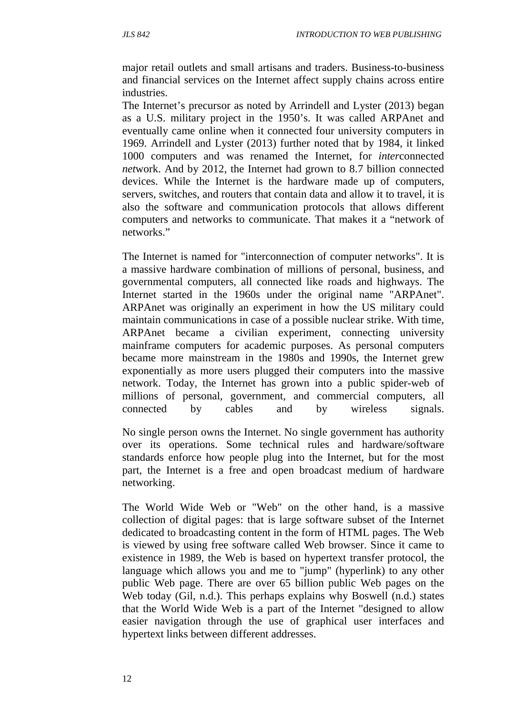major retail outlets and small artisans and traders. Business-to-business and financial services on the Internet affect supply chains across entire industries.

The Internet's precursor as noted by Arrindell and Lyster (2013) began as a U.S. military project in the 1950's. It was called ARPAnet and eventually came online when it connected four university computers in 1969. Arrindell and Lyster (2013) further noted that by 1984, it linked 1000 computers and was renamed the Internet, for *inter*connected *net*work. And by 2012, the Internet had grown to 8.7 billion connected devices. While the Internet is the hardware made up of computers, servers, switches, and routers that contain data and allow it to travel, it is also the software and communication protocols that allows different computers and networks to communicate. That makes it a "network of networks."

The Internet is named for "interconnection of computer networks". It is a massive hardware combination of millions of personal, business, and governmental computers, all connected like roads and highways. The Internet started in the 1960s under the original name "ARPAnet". ARPAnet was originally an experiment in how the US military could maintain communications in case of a possible nuclear strike. With time, ARPAnet became a civilian experiment, connecting university mainframe computers for academic purposes. As personal computers became more mainstream in the 1980s and 1990s, the Internet grew exponentially as more users plugged their computers into the massive network. Today, the Internet has grown into a public spider-web of millions of personal, government, and commercial computers, all connected by cables and by wireless signals.

No single person owns the Internet. No single government has authority over its operations. Some technical rules and hardware/software standards enforce how people plug into the Internet, but for the most part, the Internet is a free and open broadcast medium of hardware networking.

The World Wide Web or "Web" on the other hand, is a massive collection of digital pages: that is large software subset of the Internet dedicated to broadcasting content in the form of HTML pages. The Web is viewed by using free software called Web browser. Since it came to existence in 1989, the Web is based on hypertext transfer protocol, the language which allows you and me to "jump" (hyperlink) to any other public Web page. There are over 65 billion public Web pages on the Web today (Gil, n.d.). This perhaps explains why Boswell (n.d.) states that the World Wide Web is a part of the Internet "designed to allow easier navigation through the use of graphical user interfaces and hypertext links between different addresses.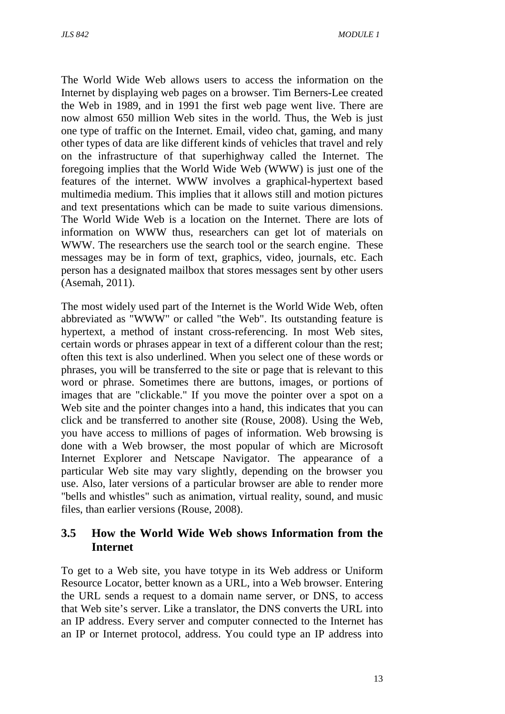The World Wide Web allows users to access the information on the Internet by displaying web pages on a browser. Tim Berners-Lee created the Web in 1989, and in 1991 the first web page went live. There are now almost 650 million Web sites in the world. Thus, the Web is just one type of traffic on the Internet. Email, video chat, gaming, and many other types of data are like different kinds of vehicles that travel and rely on the infrastructure of that superhighway called the Internet. The foregoing implies that the World Wide Web (WWW) is just one of the features of the internet. WWW involves a graphical-hypertext based multimedia medium. This implies that it allows still and motion pictures and text presentations which can be made to suite various dimensions. The World Wide Web is a location on the Internet. There are lots of information on WWW thus, researchers can get lot of materials on WWW. The researchers use the search tool or the search engine. These messages may be in form of text, graphics, video, journals, etc. Each person has a designated mailbox that stores messages sent by other users (Asemah, 2011).

The most widely used part of the Internet is the World Wide Web, often abbreviated as "WWW" or called "the Web". Its outstanding feature is hypertext, a method of instant cross-referencing. In most Web sites, certain words or phrases appear in text of a different colour than the rest; often this text is also underlined. When you select one of these words or phrases, you will be transferred to the site or page that is relevant to this word or phrase. Sometimes there are buttons, images, or portions of images that are "clickable." If you move the pointer over a spot on a Web site and the pointer changes into a hand, this indicates that you can click and be transferred to another site (Rouse, 2008). Using the Web, you have access to millions of pages of information. Web browsing is done with a Web browser, the most popular of which are Microsoft Internet Explorer and Netscape Navigator. The appearance of a particular Web site may vary slightly, depending on the browser you use. Also, later versions of a particular browser are able to render more "bells and whistles" such as animation, virtual reality, sound, and music files, than earlier versions (Rouse, 2008).

#### **3.5 How the World Wide Web shows Information from the Internet**

To get to a Web site, you have totype in its Web address or Uniform Resource Locator, better known as a URL, into a Web browser. Entering the URL sends a request to a domain name server, or DNS, to access that Web site's server. Like a translator, the DNS converts the URL into an IP address. Every server and computer connected to the Internet has an IP or Internet protocol, address. You could type an IP address into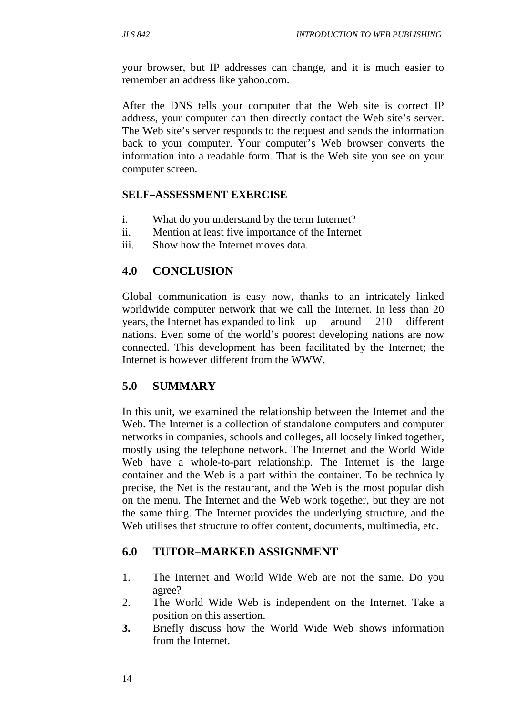your browser, but IP addresses can change, and it is much easier to remember an address like yahoo.com.

After the DNS tells your computer that the Web site is correct IP address, your computer can then directly contact the Web site's server. The Web site's server responds to the request and sends the information back to your computer. Your computer's Web browser converts the information into a readable form. That is the Web site you see on your computer screen.

#### **SELF–ASSESSMENT EXERCISE**

- i. What do you understand by the term Internet?
- ii. Mention at least five importance of the Internet
- iii. Show how the Internet moves data.

# **4.0 CONCLUSION**

Global communication is easy now, thanks to an intricately linked worldwide computer network that we call the Internet. In less than 20 years, the Internet has expanded to link up around 210 different nations. Even some of the world's poorest developing nations are now connected. This development has been facilitated by the Internet; the Internet is however different from the WWW.

# **5.0 SUMMARY**

In this unit, we examined the relationship between the Internet and the Web. The Internet is a collection of standalone computers and computer networks in companies, schools and colleges, all loosely linked together, mostly using the telephone network. The Internet and the World Wide Web have a whole-to-part relationship. The Internet is the large container and the Web is a part within the container. To be technically precise, the Net is the restaurant, and the Web is the most popular dish on the menu. The Internet and the Web work together, but they are not the same thing. The Internet provides the underlying structure, and the Web utilises that structure to offer content, documents, multimedia, etc.

### **6.0 TUTOR–MARKED ASSIGNMENT**

- 1. The Internet and World Wide Web are not the same. Do you agree?
- 2. The World Wide Web is independent on the Internet. Take a position on this assertion.
- **3.** Briefly discuss how the World Wide Web shows information from the Internet.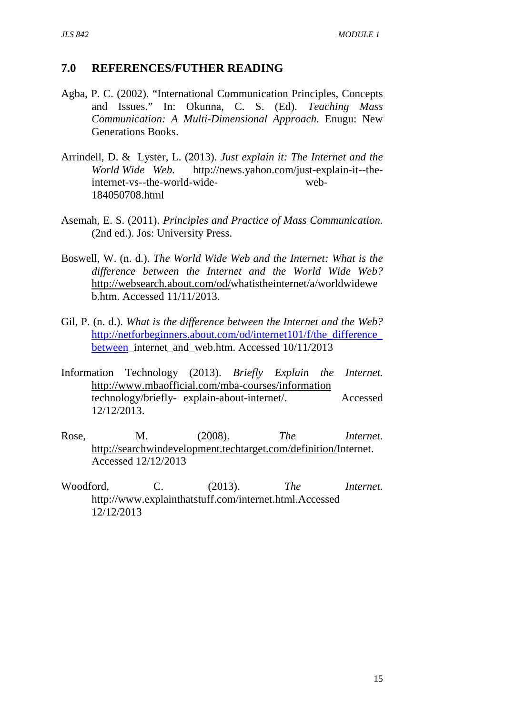#### **7.0 REFERENCES/FUTHER READING**

- Agba, P. C. (2002). "International Communication Principles, Concepts and Issues." In: Okunna, C. S. (Ed). *Teaching Mass Communication: A Multi-Dimensional Approach.* Enugu: New Generations Books.
- Arrindell, D. & Lyster, L. (2013). *Just explain it: The Internet and the World Wide Web.* http://news.yahoo.com/just-explain-it--theinternet-vs--the-world-wide- web-184050708.html
- Asemah, E. S. (2011). *Principles and Practice of Mass Communication.* (2nd ed.). Jos: University Press.
- Boswell, W. (n. d.). *The World Wide Web and the Internet: What is the difference between the Internet and the World Wide Web?*  http://websearch.about.com/od/whatistheinternet/a/worldwidewe b.htm. Accessed 11/11/2013.
- Gil, P. (n. d.). *What is the difference between the Internet and the Web?* http://netforbeginners.about.com/od/internet101/f/the\_difference between\_internet\_and\_web.htm. Accessed 10/11/2013
- Information Technology (2013). *Briefly Explain the Internet.* http://www.mbaofficial.com/mba-courses/information technology/briefly- explain-about-internet/. Accessed 12/12/2013.
- Rose, M. (2008). *The Internet.* http://searchwindevelopment.techtarget.com/definition/Internet. Accessed 12/12/2013
- Woodford, C. (2013). *The Internet.* http://www.explainthatstuff.com/internet.html.Accessed 12/12/2013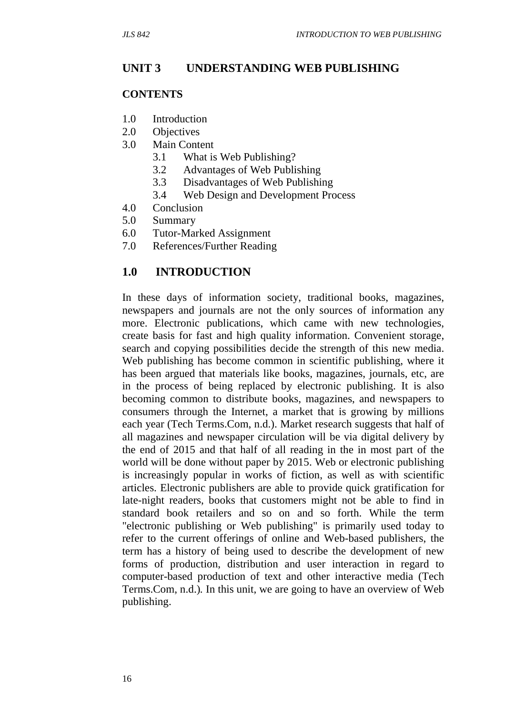# **UNIT 3 UNDERSTANDING WEB PUBLISHING**

#### **CONTENTS**

- 1.0 Introduction
- 2.0 Objectives
- 3.0 Main Content
	- 3.1 What is Web Publishing?
	- 3.2 Advantages of Web Publishing
	- 3.3 Disadvantages of Web Publishing
	- 3.4 Web Design and Development Process
- 4.0 Conclusion
- 5.0 Summary
- 6.0 Tutor-Marked Assignment
- 7.0 References/Further Reading

### **1.0 INTRODUCTION**

In these days of information society, traditional books, magazines, newspapers and journals are not the only sources of information any more. Electronic publications, which came with new technologies, create basis for fast and high quality information. Convenient storage, search and copying possibilities decide the strength of this new media. Web publishing has become common in scientific publishing, where it has been argued that materials like books, magazines, journals, etc, are in the process of being replaced by electronic publishing. It is also becoming common to distribute books, magazines, and newspapers to consumers through the Internet, a market that is growing by millions each year (Tech Terms.Com, n.d.). Market research suggests that half of all magazines and newspaper circulation will be via digital delivery by the end of 2015 and that half of all reading in the in most part of the world will be done without paper by 2015. Web or electronic publishing is increasingly popular in works of fiction, as well as with scientific articles. Electronic publishers are able to provide quick gratification for late-night readers, books that customers might not be able to find in standard book retailers and so on and so forth. While the term "electronic publishing or Web publishing" is primarily used today to refer to the current offerings of online and Web-based publishers, the term has a history of being used to describe the development of new forms of production, distribution and user interaction in regard to computer-based production of text and other interactive media (Tech Terms.Com, n.d.)*.* In this unit, we are going to have an overview of Web publishing.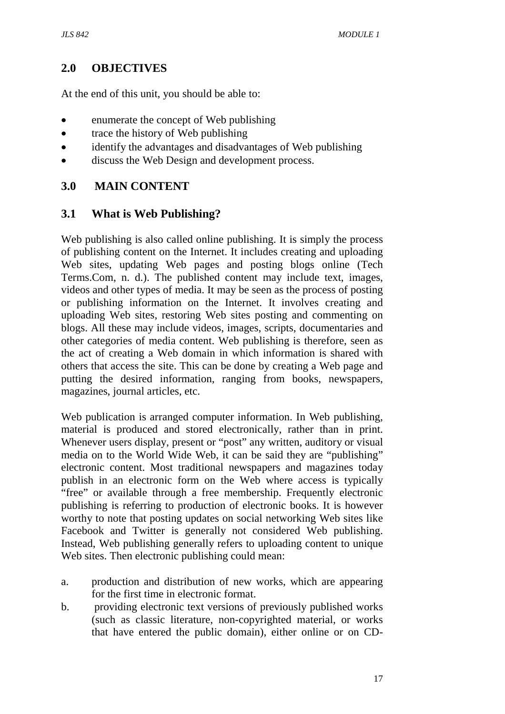# **2.0 OBJECTIVES**

At the end of this unit, you should be able to:

- enumerate the concept of Web publishing
- trace the history of Web publishing
- identify the advantages and disadvantages of Web publishing
- discuss the Web Design and development process.

# **3.0 MAIN CONTENT**

# **3.1 What is Web Publishing?**

Web publishing is also called online publishing. It is simply the process of publishing content on the Internet. It includes creating and uploading Web sites, updating Web pages and posting blogs online (Tech Terms.Com, n. d.). The published content may include text, images, videos and other types of media. It may be seen as the process of posting or publishing information on the Internet. It involves creating and uploading Web sites, restoring Web sites posting and commenting on blogs. All these may include videos, images, scripts, documentaries and other categories of media content. Web publishing is therefore, seen as the act of creating a Web domain in which information is shared with others that access the site. This can be done by creating a Web page and putting the desired information, ranging from books, newspapers, magazines, journal articles, etc.

Web publication is arranged computer information. In Web publishing, material is produced and stored electronically, rather than in print. Whenever users display, present or "post" any written, auditory or visual media on to the World Wide Web, it can be said they are "publishing" electronic content. Most traditional newspapers and magazines today publish in an electronic form on the Web where access is typically "free" or available through a free membership. Frequently electronic publishing is referring to production of electronic books. It is however worthy to note that posting updates on social networking Web sites like Facebook and Twitter is generally not considered Web publishing. Instead, Web publishing generally refers to uploading content to unique Web sites. Then electronic publishing could mean:

- a. production and distribution of new works, which are appearing for the first time in electronic format.
- b. providing electronic text versions of previously published works (such as classic literature, non-copyrighted material, or works that have entered the public domain), either online or on CD-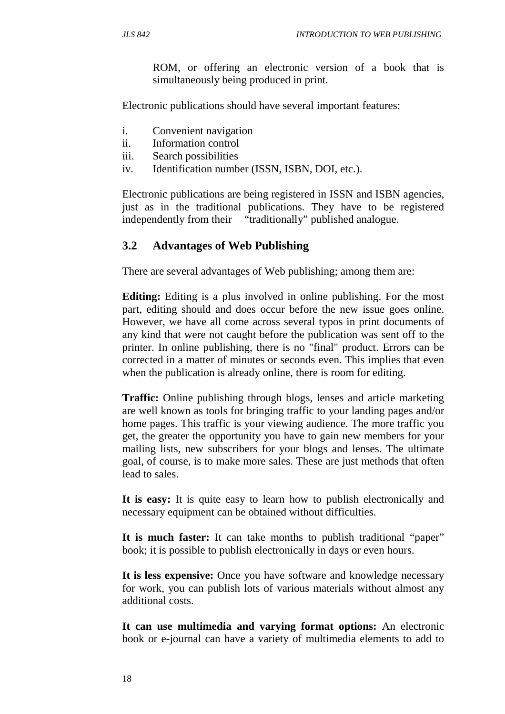ROM, or offering an electronic version of a book that is simultaneously being produced in print.

Electronic publications should have several important features:

- i. Convenient navigation
- ii. Information control
- iii. Search possibilities
- iv. Identification number (ISSN, ISBN, DOI, etc.).

Electronic publications are being registered in ISSN and ISBN agencies, just as in the traditional publications. They have to be registered independently from their "traditionally" published analogue.

### **3.2 Advantages of Web Publishing**

There are several advantages of Web publishing; among them are:

**Editing:** Editing is a plus involved in online publishing. For the most part, editing should and does occur before the new issue goes online. However, we have all come across several typos in print documents of any kind that were not caught before the publication was sent off to the printer. In online publishing, there is no "final" product. Errors can be corrected in a matter of minutes or seconds even. This implies that even when the publication is already online, there is room for editing.

**Traffic:** Online publishing through blogs, lenses and article marketing are well known as tools for bringing traffic to your landing pages and/or home pages. This traffic is your viewing audience. The more traffic you get, the greater the opportunity you have to gain new members for your mailing lists, new subscribers for your blogs and lenses. The ultimate goal, of course, is to make more sales. These are just methods that often lead to sales.

**It is easy:** It is quite easy to learn how to publish electronically and necessary equipment can be obtained without difficulties.

**It is much faster:** It can take months to publish traditional "paper" book; it is possible to publish electronically in days or even hours.

It is less expensive: Once you have software and knowledge necessary for work, you can publish lots of various materials without almost any additional costs.

**It can use multimedia and varying format options:** An electronic book or e-journal can have a variety of multimedia elements to add to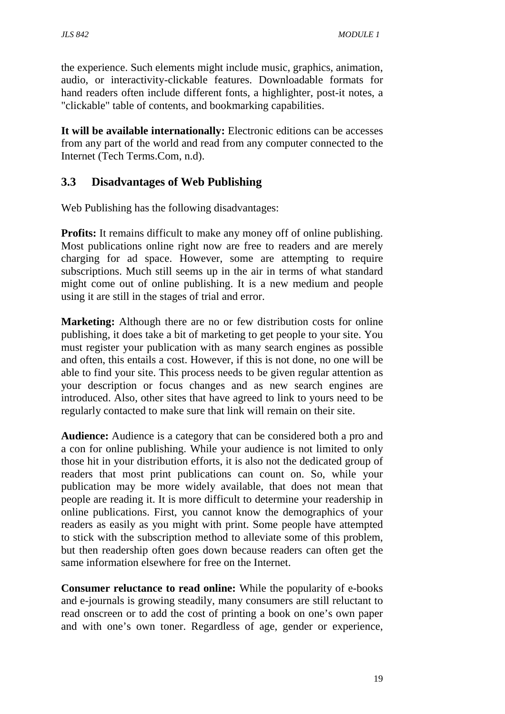the experience. Such elements might include music, graphics, animation, audio, or interactivity-clickable features. Downloadable formats for hand readers often include different fonts, a highlighter, post-it notes, a "clickable" table of contents, and bookmarking capabilities.

**It will be available internationally:** Electronic editions can be accesses from any part of the world and read from any computer connected to the Internet (Tech Terms.Com, n.d).

### **3.3 Disadvantages of Web Publishing**

Web Publishing has the following disadvantages:

**Profits:** It remains difficult to make any money off of online publishing. Most publications online right now are free to readers and are merely charging for ad space. However, some are attempting to require subscriptions. Much still seems up in the air in terms of what standard might come out of online publishing. It is a new medium and people using it are still in the stages of trial and error.

**Marketing:** Although there are no or few distribution costs for online publishing, it does take a bit of marketing to get people to your site. You must register your publication with as many search engines as possible and often, this entails a cost. However, if this is not done, no one will be able to find your site. This process needs to be given regular attention as your description or focus changes and as new search engines are introduced. Also, other sites that have agreed to link to yours need to be regularly contacted to make sure that link will remain on their site.

**Audience:** Audience is a category that can be considered both a pro and a con for online publishing. While your audience is not limited to only those hit in your distribution efforts, it is also not the dedicated group of readers that most print publications can count on. So, while your publication may be more widely available, that does not mean that people are reading it. It is more difficult to determine your readership in online publications. First, you cannot know the demographics of your readers as easily as you might with print. Some people have attempted to stick with the subscription method to alleviate some of this problem, but then readership often goes down because readers can often get the same information elsewhere for free on the Internet.

**Consumer reluctance to read online:** While the popularity of e-books and e-journals is growing steadily, many consumers are still reluctant to read onscreen or to add the cost of printing a book on one's own paper and with one's own toner. Regardless of age, gender or experience,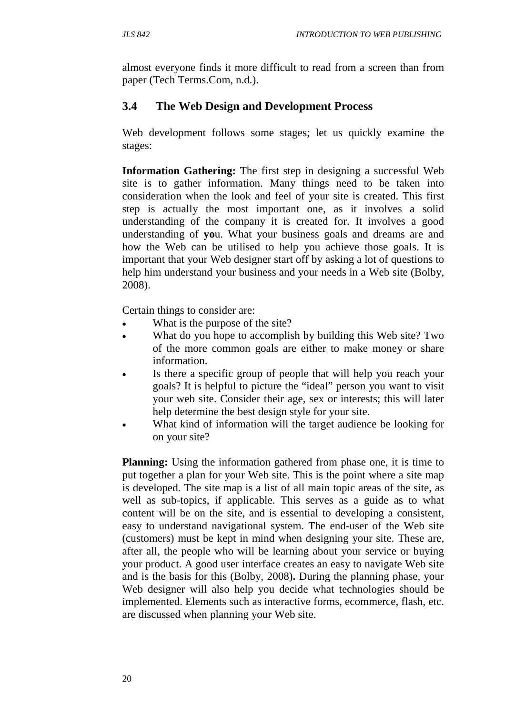almost everyone finds it more difficult to read from a screen than from paper (Tech Terms.Com, n.d.).

# **3.4 The Web Design and Development Process**

Web development follows some stages; let us quickly examine the stages:

**Information Gathering:** The first step in designing a successful Web site is to gather information. Many things need to be taken into consideration when the look and feel of your site is created. This first step is actually the most important one, as it involves a solid understanding of the company it is created for. It involves a good understanding of **yo**u. What your business goals and dreams are and how the Web can be utilised to help you achieve those goals. It is important that your Web designer start off by asking a lot of questions to help him understand your business and your needs in a Web site (Bolby, 2008).

Certain things to consider are:

- What is the purpose of the site?
- What do you hope to accomplish by building this Web site? Two of the more common goals are either to make money or share information.
- Is there a specific group of people that will help you reach your goals? It is helpful to picture the "ideal" person you want to visit your web site. Consider their age, sex or interests; this will later help determine the best design style for your site.
- What kind of information will the target audience be looking for on your site?

**Planning:** Using the information gathered from phase one, it is time to put together a plan for your Web site. This is the point where a site map is developed. The site map is a list of all main topic areas of the site, as well as sub-topics, if applicable. This serves as a guide as to what content will be on the site, and is essential to developing a consistent, easy to understand navigational system. The end-user of the Web site (customers) must be kept in mind when designing your site. These are, after all, the people who will be learning about your service or buying your product. A good user interface creates an easy to navigate Web site and is the basis for this (Bolby, 2008)**.** During the planning phase, your Web designer will also help you decide what technologies should be implemented. Elements such as interactive forms, ecommerce, flash, etc. are discussed when planning your Web site.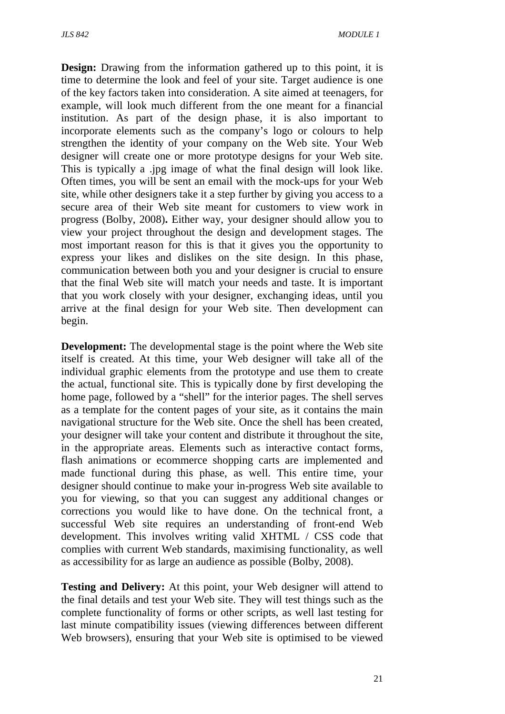**Design:** Drawing from the information gathered up to this point, it is time to determine the look and feel of your site. Target audience is one of the key factors taken into consideration. A site aimed at teenagers, for example, will look much different from the one meant for a financial institution. As part of the design phase, it is also important to incorporate elements such as the company's logo or colours to help strengthen the identity of your company on the Web site. Your Web designer will create one or more prototype designs for your Web site. This is typically a .jpg image of what the final design will look like. Often times, you will be sent an email with the mock-ups for your Web site, while other designers take it a step further by giving you access to a secure area of their Web site meant for customers to view work in progress (Bolby, 2008)**.** Either way, your designer should allow you to view your project throughout the design and development stages. The most important reason for this is that it gives you the opportunity to express your likes and dislikes on the site design. In this phase, communication between both you and your designer is crucial to ensure that the final Web site will match your needs and taste. It is important that you work closely with your designer, exchanging ideas, until you arrive at the final design for your Web site. Then development can begin.

**Development:** The developmental stage is the point where the Web site itself is created. At this time, your Web designer will take all of the individual graphic elements from the prototype and use them to create the actual, functional site. This is typically done by first developing the home page, followed by a "shell" for the interior pages. The shell serves as a template for the content pages of your site, as it contains the main navigational structure for the Web site. Once the shell has been created, your designer will take your content and distribute it throughout the site, in the appropriate areas. Elements such as interactive contact forms, flash animations or ecommerce shopping carts are implemented and made functional during this phase, as well. This entire time, your designer should continue to make your in-progress Web site available to you for viewing, so that you can suggest any additional changes or corrections you would like to have done. On the technical front, a successful Web site requires an understanding of front-end Web development. This involves writing valid XHTML / CSS code that complies with current Web standards, maximising functionality, as well as accessibility for as large an audience as possible (Bolby, 2008).

**Testing and Delivery:** At this point, your Web designer will attend to the final details and test your Web site. They will test things such as the complete functionality of forms or other scripts, as well last testing for last minute compatibility issues (viewing differences between different Web browsers), ensuring that your Web site is optimised to be viewed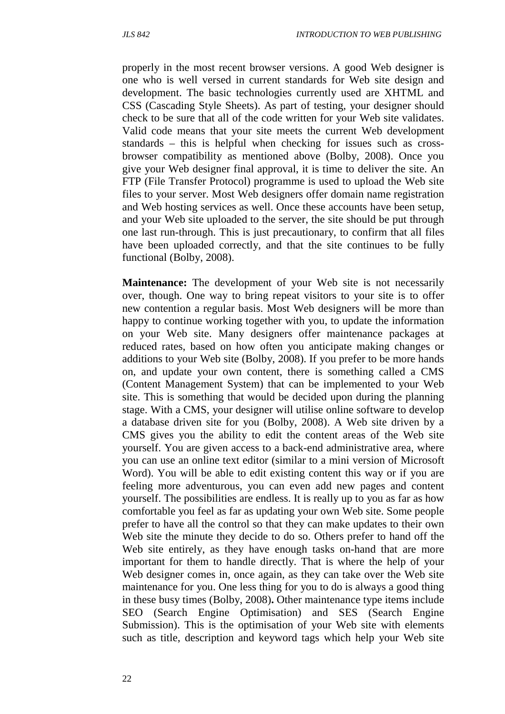properly in the most recent browser versions. A good Web designer is one who is well versed in current standards for Web site design and development. The basic technologies currently used are XHTML and CSS (Cascading Style Sheets). As part of testing, your designer should check to be sure that all of the code written for your Web site validates. Valid code means that your site meets the current Web development standards – this is helpful when checking for issues such as crossbrowser compatibility as mentioned above (Bolby, 2008). Once you give your Web designer final approval, it is time to deliver the site. An FTP (File Transfer Protocol) programme is used to upload the Web site files to your server. Most Web designers offer domain name registration and Web hosting services as well. Once these accounts have been setup, and your Web site uploaded to the server, the site should be put through one last run-through. This is just precautionary, to confirm that all files have been uploaded correctly, and that the site continues to be fully functional (Bolby, 2008).

**Maintenance:** The development of your Web site is not necessarily over, though. One way to bring repeat visitors to your site is to offer new contention a regular basis. Most Web designers will be more than happy to continue working together with you, to update the information on your Web site. Many designers offer maintenance packages at reduced rates, based on how often you anticipate making changes or additions to your Web site (Bolby, 2008). If you prefer to be more hands on, and update your own content, there is something called a CMS (Content Management System) that can be implemented to your Web site. This is something that would be decided upon during the planning stage. With a CMS, your designer will utilise online software to develop a database driven site for you (Bolby, 2008). A Web site driven by a CMS gives you the ability to edit the content areas of the Web site yourself. You are given access to a back-end administrative area, where you can use an online text editor (similar to a mini version of Microsoft Word). You will be able to edit existing content this way or if you are feeling more adventurous, you can even add new pages and content yourself. The possibilities are endless. It is really up to you as far as how comfortable you feel as far as updating your own Web site. Some people prefer to have all the control so that they can make updates to their own Web site the minute they decide to do so. Others prefer to hand off the Web site entirely, as they have enough tasks on-hand that are more important for them to handle directly. That is where the help of your Web designer comes in, once again, as they can take over the Web site maintenance for you. One less thing for you to do is always a good thing in these busy times (Bolby, 2008)**.** Other maintenance type items include SEO (Search Engine Optimisation) and SES (Search Engine Submission). This is the optimisation of your Web site with elements such as title, description and keyword tags which help your Web site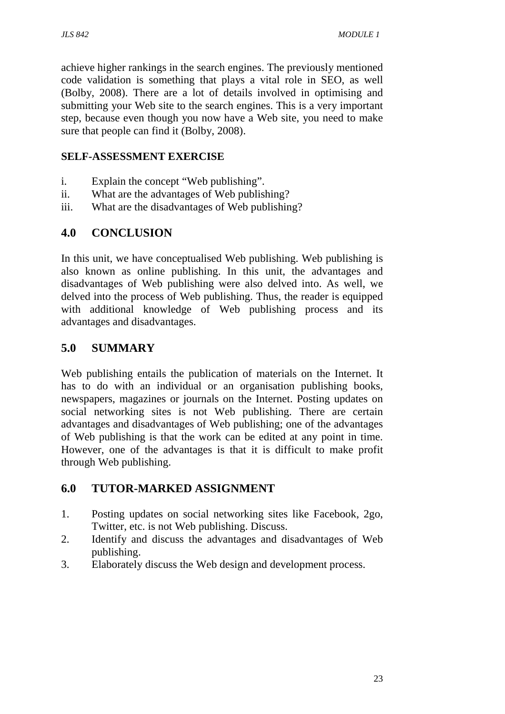achieve higher rankings in the search engines. The previously mentioned code validation is something that plays a vital role in SEO, as well (Bolby, 2008). There are a lot of details involved in optimising and submitting your Web site to the search engines. This is a very important step, because even though you now have a Web site, you need to make sure that people can find it (Bolby, 2008).

### **SELF-ASSESSMENT EXERCISE**

- i. Explain the concept "Web publishing".
- ii. What are the advantages of Web publishing?
- iii. What are the disadvantages of Web publishing?

# **4.0 CONCLUSION**

In this unit, we have conceptualised Web publishing. Web publishing is also known as online publishing. In this unit, the advantages and disadvantages of Web publishing were also delved into. As well, we delved into the process of Web publishing. Thus, the reader is equipped with additional knowledge of Web publishing process and its advantages and disadvantages.

# **5.0 SUMMARY**

Web publishing entails the publication of materials on the Internet. It has to do with an individual or an organisation publishing books, newspapers, magazines or journals on the Internet. Posting updates on social networking sites is not Web publishing. There are certain advantages and disadvantages of Web publishing; one of the advantages of Web publishing is that the work can be edited at any point in time. However, one of the advantages is that it is difficult to make profit through Web publishing.

# **6.0 TUTOR-MARKED ASSIGNMENT**

- 1. Posting updates on social networking sites like Facebook, 2go, Twitter, etc. is not Web publishing. Discuss.
- 2. Identify and discuss the advantages and disadvantages of Web publishing.
- 3. Elaborately discuss the Web design and development process.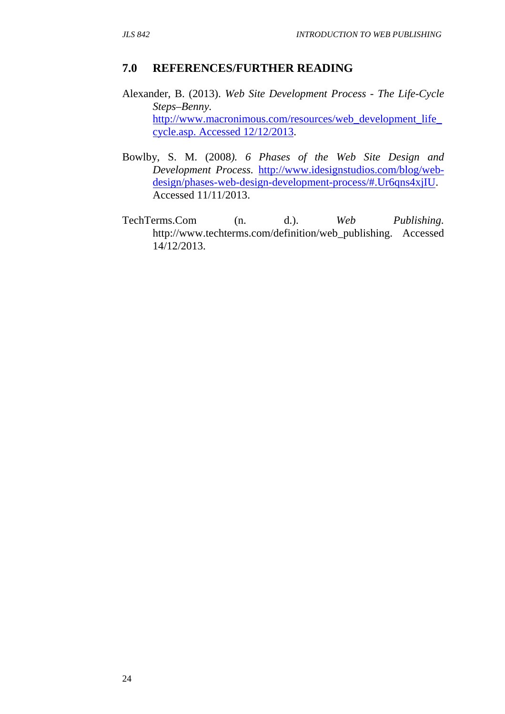#### **7.0 REFERENCES/FURTHER READING**

- Alexander, B. (2013). *Web Site Development Process The Life-Cycle Steps–Benny.* http://www.macronimous.com/resources/web\_development\_life\_ cycle.asp. Accessed 12/12/2013.
- Bowlby, S. M. (2008*). 6 Phases of the Web Site Design and Development Process.* http://www.idesignstudios.com/blog/webdesign/phases-web-design-development-process/#.Ur6qns4xjIU. Accessed 11/11/2013.
- TechTerms.Com (n. d.). *Web Publishing.* http://www.techterms.com/definition/web\_publishing. Accessed 14/12/2013.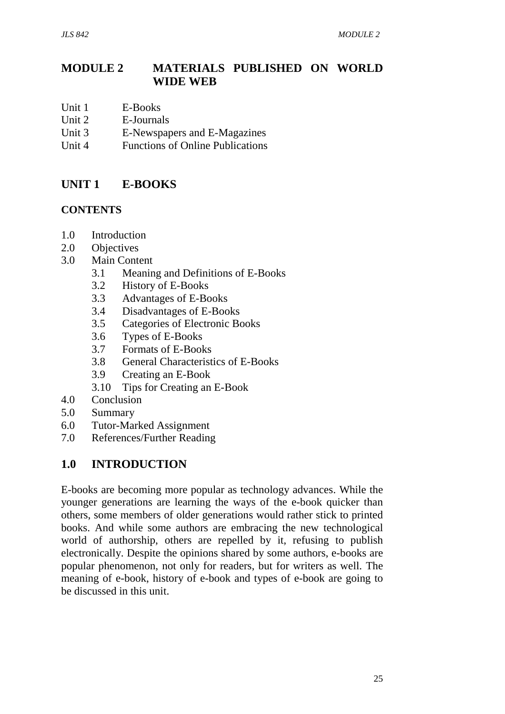## **MODULE 2 MATERIALS PUBLISHED ON WORLD WIDE WEB**

- Unit 1 E-Books
- Unit 2 E-Journals
- Unit 3 E-Newspapers and E-Magazines
- Unit 4 Functions of Online Publications

# **UNIT 1 E-BOOKS**

### **CONTENTS**

- 1.0 Introduction
- 2.0 Objectives
- 3.0 Main Content
	- 3.1 Meaning and Definitions of E-Books
	- 3.2 History of E-Books
	- 3.3 Advantages of E-Books
	- 3.4 Disadvantages of E-Books
	- 3.5 Categories of Electronic Books
	- 3.6 Types of E-Books
	- 3.7 Formats of E-Books
	- 3.8 General Characteristics of E-Books
	- 3.9 Creating an E-Book
	- 3.10 Tips for Creating an E-Book
- 4.0 Conclusion
- 5.0 Summary
- 6.0 Tutor-Marked Assignment
- 7.0 References/Further Reading

### **1.0 INTRODUCTION**

E-books are becoming more popular as technology advances. While the younger generations are learning the ways of the e-book quicker than others, some members of older generations would rather stick to printed books. And while some authors are embracing the new technological world of authorship, others are repelled by it, refusing to publish electronically. Despite the opinions shared by some authors, e-books are popular phenomenon, not only for readers, but for writers as well. The meaning of e-book, history of e-book and types of e-book are going to be discussed in this unit.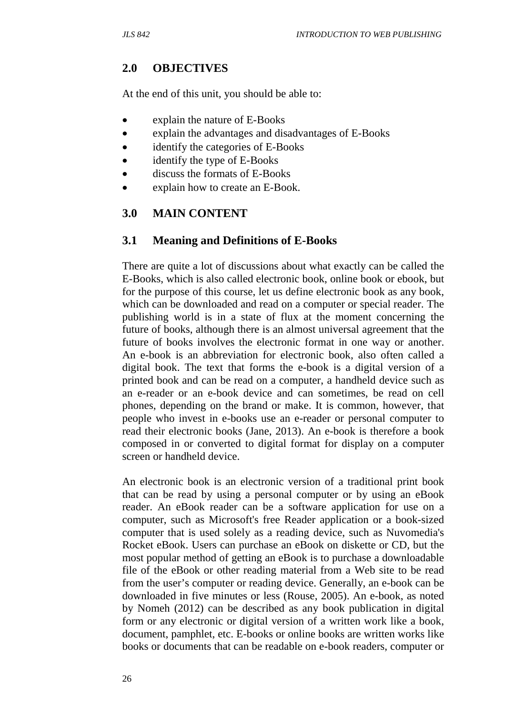## **2.0 OBJECTIVES**

At the end of this unit, you should be able to:

- explain the nature of E-Books
- explain the advantages and disadvantages of E-Books
- identify the categories of E-Books
- identify the type of E-Books
- discuss the formats of E-Books
- explain how to create an E-Book.

## **3.0 MAIN CONTENT**

### **3.1 Meaning and Definitions of E-Books**

There are quite a lot of discussions about what exactly can be called the E-Books, which is also called electronic book, online book or ebook, but for the purpose of this course, let us define electronic book as any book, which can be downloaded and read on a computer or special reader. The publishing world is in a state of flux at the moment concerning the future of books, although there is an almost universal agreement that the future of books involves the electronic format in one way or another. An e-book is an abbreviation for electronic book, also often called a digital book. The text that forms the e-book is a digital version of a printed book and can be read on a computer, a handheld device such as an e-reader or an e-book device and can sometimes, be read on cell phones, depending on the brand or make. It is common, however, that people who invest in e-books use an e-reader or personal computer to read their electronic books (Jane, 2013). An e-book is therefore a book composed in or converted to digital format for display on a computer screen or handheld device.

An electronic book is an electronic version of a traditional print book that can be read by using a personal computer or by using an eBook reader. An eBook reader can be a software application for use on a computer, such as Microsoft's free Reader application or a book-sized computer that is used solely as a reading device, such as Nuvomedia's Rocket eBook. Users can purchase an eBook on diskette or CD, but the most popular method of getting an eBook is to purchase a downloadable file of the eBook or other reading material from a Web site to be read from the user's computer or reading device. Generally, an e-book can be downloaded in five minutes or less (Rouse, 2005). An e-book, as noted by Nomeh (2012) can be described as any book publication in digital form or any electronic or digital version of a written work like a book, document, pamphlet, etc. E-books or online books are written works like books or documents that can be readable on e-book readers, computer or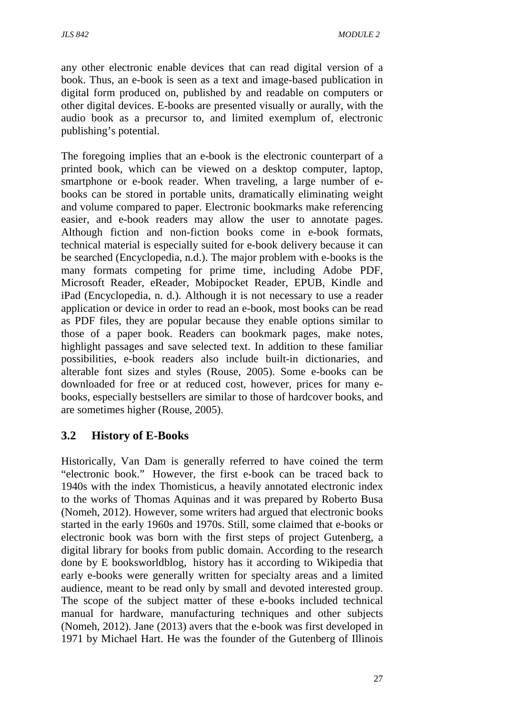any other electronic enable devices that can read digital version of a book. Thus, an e-book is seen as a text and image-based publication in digital form produced on, published by and readable on computers or other digital devices. E-books are presented visually or aurally, with the audio book as a precursor to, and limited exemplum of, electronic publishing's potential.

The foregoing implies that an e-book is the electronic counterpart of a printed book, which can be viewed on a desktop computer, laptop, smartphone or e-book reader. When traveling, a large number of ebooks can be stored in portable units, dramatically eliminating weight and volume compared to paper. Electronic bookmarks make referencing easier, and e-book readers may allow the user to annotate pages. Although fiction and non-fiction books come in e-book formats, technical material is especially suited for e-book delivery because it can be searched (Encyclopedia, n.d.). The major problem with e-books is the many formats competing for prime time, including Adobe PDF, Microsoft Reader, eReader, Mobipocket Reader, EPUB, Kindle and iPad (Encyclopedia, n. d.). Although it is not necessary to use a reader application or device in order to read an e-book, most books can be read as PDF files, they are popular because they enable options similar to those of a paper book. Readers can bookmark pages, make notes, highlight passages and save selected text. In addition to these familiar possibilities, e-book readers also include built-in dictionaries, and alterable font sizes and styles (Rouse, 2005). Some e-books can be downloaded for free or at reduced cost, however, prices for many ebooks, especially bestsellers are similar to those of hardcover books, and are sometimes higher (Rouse, 2005).

### **3.2 History of E-Books**

Historically, Van Dam is generally referred to have coined the term "electronic book." However, the first e-book can be traced back to 1940s with the index Thomisticus, a heavily annotated electronic index to the works of Thomas Aquinas and it was prepared by Roberto Busa (Nomeh, 2012). However, some writers had argued that electronic books started in the early 1960s and 1970s. Still, some claimed that e-books or electronic book was born with the first steps of project Gutenberg, a digital library for books from public domain. According to the research done by E booksworldblog, history has it according to Wikipedia that early e-books were generally written for specialty areas and a limited audience, meant to be read only by small and devoted interested group. The scope of the subject matter of these e-books included technical manual for hardware, manufacturing techniques and other subjects (Nomeh, 2012). Jane (2013) avers that the e-book was first developed in 1971 by Michael Hart. He was the founder of the Gutenberg of Illinois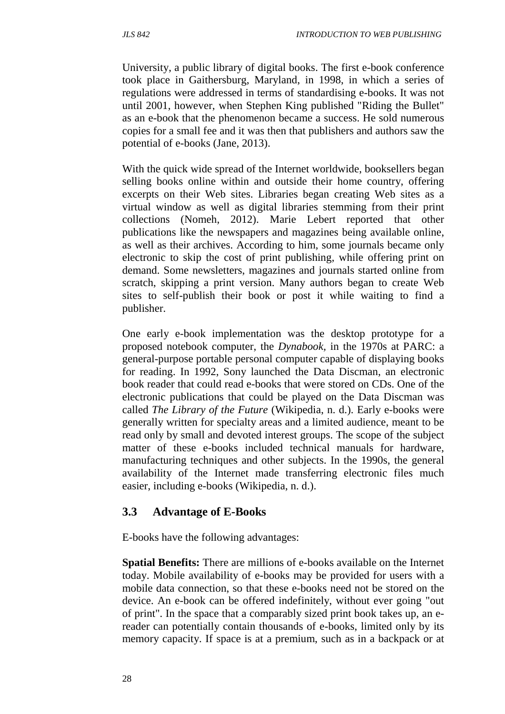University, a public library of digital books. The first e-book conference took place in Gaithersburg, Maryland, in 1998, in which a series of regulations were addressed in terms of standardising e-books. It was not until 2001, however, when Stephen King published "Riding the Bullet" as an e-book that the phenomenon became a success. He sold numerous copies for a small fee and it was then that publishers and authors saw the potential of e-books (Jane, 2013).

With the quick wide spread of the Internet worldwide, booksellers began selling books online within and outside their home country, offering excerpts on their Web sites. Libraries began creating Web sites as a virtual window as well as digital libraries stemming from their print collections (Nomeh, 2012). Marie Lebert reported that other publications like the newspapers and magazines being available online, as well as their archives. According to him, some journals became only electronic to skip the cost of print publishing, while offering print on demand. Some newsletters, magazines and journals started online from scratch, skipping a print version. Many authors began to create Web sites to self-publish their book or post it while waiting to find a publisher.

One early e-book implementation was the desktop prototype for a proposed notebook computer, the *Dynabook,* in the 1970s at PARC: a general-purpose portable personal computer capable of displaying books for reading. In 1992, Sony launched the Data Discman, an electronic book reader that could read e-books that were stored on CDs. One of the electronic publications that could be played on the Data Discman was called *The Library of the Future* (Wikipedia, n. d.). Early e-books were generally written for specialty areas and a limited audience, meant to be read only by small and devoted interest groups. The scope of the subject matter of these e-books included technical manuals for hardware, manufacturing techniques and other subjects. In the 1990s, the general availability of the Internet made transferring electronic files much easier, including e-books (Wikipedia, n. d.).

### **3.3 Advantage of E-Books**

E-books have the following advantages:

**Spatial Benefits:** There are millions of e-books available on the Internet today. Mobile availability of e-books may be provided for users with a mobile data connection, so that these e-books need not be stored on the device. An e-book can be offered indefinitely, without ever going "out of print". In the space that a comparably sized print book takes up, an ereader can potentially contain thousands of e-books, limited only by its memory capacity. If space is at a premium, such as in a backpack or at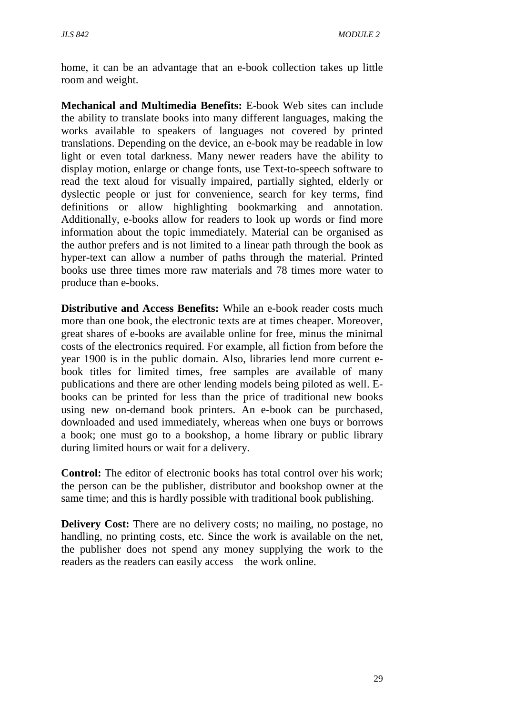home, it can be an advantage that an e-book collection takes up little room and weight.

**Mechanical and Multimedia Benefits:** E-book Web sites can include the ability to translate books into many different languages, making the works available to speakers of languages not covered by printed translations. Depending on the device, an e-book may be readable in low light or even total darkness. Many newer readers have the ability to display motion, enlarge or change fonts, use Text-to-speech software to read the text aloud for visually impaired, partially sighted, elderly or dyslectic people or just for convenience, search for key terms, find definitions or allow highlighting bookmarking and annotation. Additionally, e-books allow for readers to look up words or find more information about the topic immediately. Material can be organised as the author prefers and is not limited to a linear path through the book as hyper-text can allow a number of paths through the material. Printed books use three times more raw materials and 78 times more water to produce than e-books.

**Distributive and Access Benefits:** While an e-book reader costs much more than one book, the electronic texts are at times cheaper. Moreover, great shares of e-books are available online for free, minus the minimal costs of the electronics required. For example, all fiction from before the year 1900 is in the public domain. Also, libraries lend more current ebook titles for limited times, free samples are available of many publications and there are other lending models being piloted as well. Ebooks can be printed for less than the price of traditional new books using new on-demand book printers. An e-book can be purchased, downloaded and used immediately, whereas when one buys or borrows a book; one must go to a bookshop, a home library or public library during limited hours or wait for a delivery.

**Control:** The editor of electronic books has total control over his work; the person can be the publisher, distributor and bookshop owner at the same time; and this is hardly possible with traditional book publishing.

**Delivery Cost:** There are no delivery costs; no mailing, no postage, no handling, no printing costs, etc. Since the work is available on the net, the publisher does not spend any money supplying the work to the readers as the readers can easily access the work online.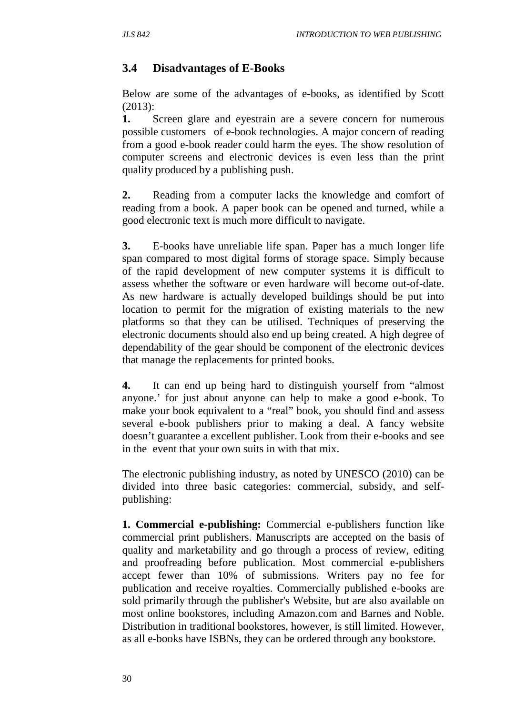### **3.4 Disadvantages of E-Books**

Below are some of the advantages of e-books, as identified by Scott (2013):

**1.** Screen glare and eyestrain are a severe concern for numerous possible customers of e-book technologies. A major concern of reading from a good e-book reader could harm the eyes. The show resolution of computer screens and electronic devices is even less than the print quality produced by a publishing push.

**2.** Reading from a computer lacks the knowledge and comfort of reading from a book. A paper book can be opened and turned, while a good electronic text is much more difficult to navigate.

**3.** E-books have unreliable life span. Paper has a much longer life span compared to most digital forms of storage space. Simply because of the rapid development of new computer systems it is difficult to assess whether the software or even hardware will become out-of-date. As new hardware is actually developed buildings should be put into location to permit for the migration of existing materials to the new platforms so that they can be utilised. Techniques of preserving the electronic documents should also end up being created. A high degree of dependability of the gear should be component of the electronic devices that manage the replacements for printed books.

**4.** It can end up being hard to distinguish yourself from "almost anyone.' for just about anyone can help to make a good e-book. To make your book equivalent to a "real" book, you should find and assess several e-book publishers prior to making a deal. A fancy website doesn't guarantee a excellent publisher. Look from their e-books and see in the event that your own suits in with that mix.

The electronic publishing industry, as noted by UNESCO (2010) can be divided into three basic categories: commercial, subsidy, and selfpublishing:

**1. Commercial e-publishing:** Commercial e-publishers function like commercial print publishers. Manuscripts are accepted on the basis of quality and marketability and go through a process of review, editing and proofreading before publication. Most commercial e-publishers accept fewer than 10% of submissions. Writers pay no fee for publication and receive royalties. Commercially published e-books are sold primarily through the publisher's Website, but are also available on most online bookstores, including Amazon.com and Barnes and Noble. Distribution in traditional bookstores, however, is still limited. However, as all e-books have ISBNs, they can be ordered through any bookstore.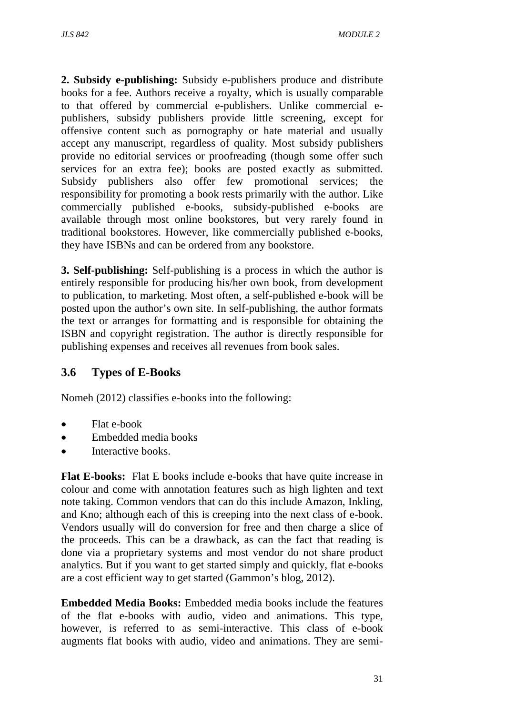**2. Subsidy e-publishing:** Subsidy e-publishers produce and distribute books for a fee. Authors receive a royalty, which is usually comparable to that offered by commercial e-publishers. Unlike commercial epublishers, subsidy publishers provide little screening, except for offensive content such as pornography or hate material and usually accept any manuscript, regardless of quality. Most subsidy publishers provide no editorial services or proofreading (though some offer such services for an extra fee); books are posted exactly as submitted. Subsidy publishers also offer few promotional services; the responsibility for promoting a book rests primarily with the author. Like commercially published e-books, subsidy-published e-books are available through most online bookstores, but very rarely found in traditional bookstores. However, like commercially published e-books, they have ISBNs and can be ordered from any bookstore.

**3. Self-publishing:** Self-publishing is a process in which the author is entirely responsible for producing his/her own book, from development to publication, to marketing. Most often, a self-published e-book will be posted upon the author's own site. In self-publishing, the author formats the text or arranges for formatting and is responsible for obtaining the ISBN and copyright registration. The author is directly responsible for publishing expenses and receives all revenues from book sales.

### **3.6 Types of E-Books**

Nomeh (2012) classifies e-books into the following:

- Flat e-book
- Embedded media books
- Interactive books.

**Flat E-books:** Flat E books include e-books that have quite increase in colour and come with annotation features such as high lighten and text note taking. Common vendors that can do this include Amazon, Inkling, and Kno; although each of this is creeping into the next class of e-book. Vendors usually will do conversion for free and then charge a slice of the proceeds. This can be a drawback, as can the fact that reading is done via a proprietary systems and most vendor do not share product analytics. But if you want to get started simply and quickly, flat e-books are a cost efficient way to get started (Gammon's blog, 2012).

**Embedded Media Books:** Embedded media books include the features of the flat e-books with audio, video and animations. This type, however, is referred to as semi-interactive. This class of e-book augments flat books with audio, video and animations. They are semi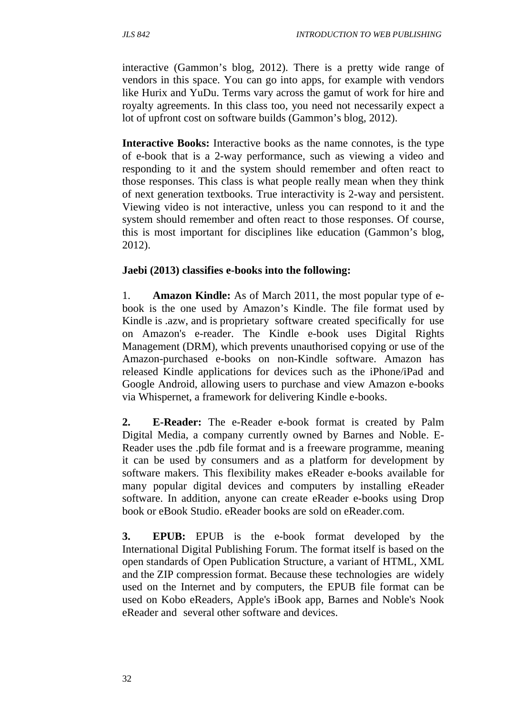interactive (Gammon's blog, 2012). There is a pretty wide range of vendors in this space. You can go into apps, for example with vendors like Hurix and YuDu. Terms vary across the gamut of work for hire and royalty agreements. In this class too, you need not necessarily expect a lot of upfront cost on software builds (Gammon's blog, 2012).

**Interactive Books:** Interactive books as the name connotes, is the type of e-book that is a 2-way performance, such as viewing a video and responding to it and the system should remember and often react to those responses. This class is what people really mean when they think of next generation textbooks. True interactivity is 2-way and persistent. Viewing video is not interactive, unless you can respond to it and the system should remember and often react to those responses. Of course, this is most important for disciplines like education (Gammon's blog, 2012).

### **Jaebi (2013) classifies e-books into the following:**

1. **Amazon Kindle:** As of March 2011, the most popular type of ebook is the one used by Amazon's Kindle. The file format used by Kindle is .azw, and is proprietary software created specifically for use on Amazon's e-reader. The Kindle e-book uses Digital Rights Management (DRM), which prevents unauthorised copying or use of the Amazon-purchased e-books on non-Kindle software. Amazon has released Kindle applications for devices such as the iPhone/iPad and Google Android, allowing users to purchase and view Amazon e-books via Whispernet, a framework for delivering Kindle e-books.

**2. E-Reader:** The e-Reader e-book format is created by Palm Digital Media, a company currently owned by Barnes and Noble. E-Reader uses the .pdb file format and is a freeware programme, meaning it can be used by consumers and as a platform for development by software makers. This flexibility makes eReader e-books available for many popular digital devices and computers by installing eReader software. In addition, anyone can create eReader e-books using Drop book or eBook Studio. eReader books are sold on eReader.com.

**3. EPUB:** EPUB is the e-book format developed by the International Digital Publishing Forum. The format itself is based on the open standards of Open Publication Structure, a variant of HTML, XML and the ZIP compression format. Because these technologies are widely used on the Internet and by computers, the EPUB file format can be used on Kobo eReaders, Apple's iBook app, Barnes and Noble's Nook eReader and several other software and devices.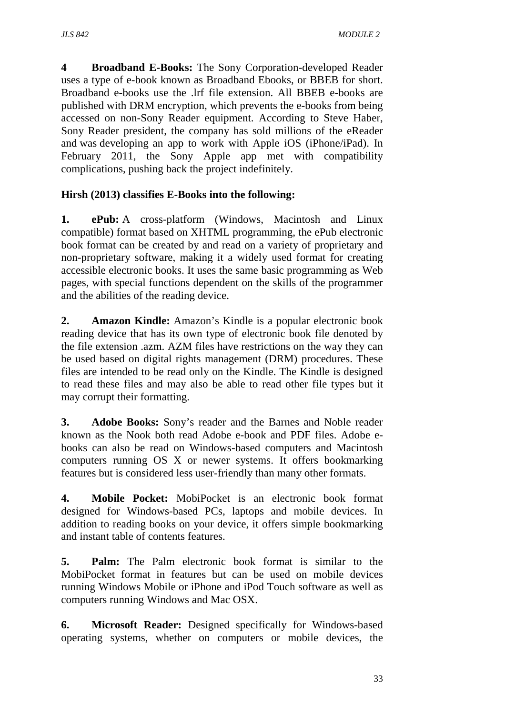**4 Broadband E-Books:** The Sony Corporation-developed Reader uses a type of e-book known as Broadband Ebooks, or BBEB for short. Broadband e-books use the .lrf file extension. All BBEB e-books are published with DRM encryption, which prevents the e-books from being accessed on non-Sony Reader equipment. According to Steve Haber, Sony Reader president, the company has sold millions of the eReader and was developing an app to work with Apple iOS (iPhone/iPad). In February 2011, the Sony Apple app met with compatibility complications, pushing back the project indefinitely.

## **Hirsh (2013) classifies E-Books into the following:**

1. **ePub:** A cross-platform (Windows, Macintosh and Linux compatible) format based on XHTML programming, the ePub electronic book format can be created by and read on a variety of proprietary and non-proprietary software, making it a widely used format for creating accessible electronic books. It uses the same basic programming as Web pages, with special functions dependent on the skills of the programmer and the abilities of the reading device.

**2. Amazon Kindle:** Amazon's Kindle is a popular electronic book reading device that has its own type of electronic book file denoted by the file extension .azm. AZM files have restrictions on the way they can be used based on digital rights management (DRM) procedures. These files are intended to be read only on the Kindle. The Kindle is designed to read these files and may also be able to read other file types but it may corrupt their formatting.

**3. Adobe Books:** Sony's reader and the Barnes and Noble reader known as the Nook both read Adobe e-book and PDF files. Adobe ebooks can also be read on Windows-based computers and Macintosh computers running OS X or newer systems. It offers bookmarking features but is considered less user-friendly than many other formats.

**4. Mobile Pocket:** MobiPocket is an electronic book format designed for Windows-based PCs, laptops and mobile devices. In addition to reading books on your device, it offers simple bookmarking and instant table of contents features.

**5. Palm:** The Palm electronic book format is similar to the MobiPocket format in features but can be used on mobile devices running Windows Mobile or iPhone and iPod Touch software as well as computers running Windows and Mac OSX.

**6. Microsoft Reader:** Designed specifically for Windows-based operating systems, whether on computers or mobile devices, the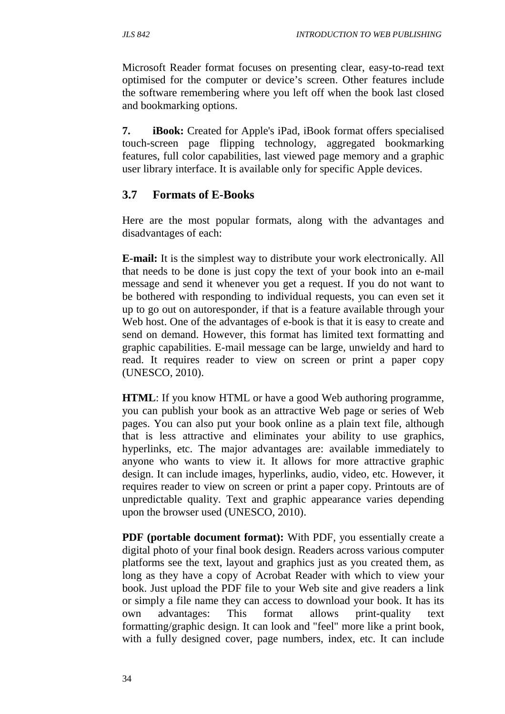Microsoft Reader format focuses on presenting clear, easy-to-read text optimised for the computer or device's screen. Other features include the software remembering where you left off when the book last closed and bookmarking options.

**7. iBook:** Created for Apple's iPad, iBook format offers specialised touch-screen page flipping technology, aggregated bookmarking features, full color capabilities, last viewed page memory and a graphic user library interface. It is available only for specific Apple devices.

## **3.7 Formats of E-Books**

Here are the most popular formats, along with the advantages and disadvantages of each:

**E-mail:** It is the simplest way to distribute your work electronically. All that needs to be done is just copy the text of your book into an e-mail message and send it whenever you get a request. If you do not want to be bothered with responding to individual requests, you can even set it up to go out on autoresponder, if that is a feature available through your Web host. One of the advantages of e-book is that it is easy to create and send on demand. However, this format has limited text formatting and graphic capabilities. E-mail message can be large, unwieldy and hard to read. It requires reader to view on screen or print a paper copy (UNESCO, 2010).

**HTML**: If you know HTML or have a good Web authoring programme, you can publish your book as an attractive Web page or series of Web pages. You can also put your book online as a plain text file, although that is less attractive and eliminates your ability to use graphics, hyperlinks, etc. The major advantages are: available immediately to anyone who wants to view it. It allows for more attractive graphic design. It can include images, hyperlinks, audio, video, etc. However, it requires reader to view on screen or print a paper copy. Printouts are of unpredictable quality. Text and graphic appearance varies depending upon the browser used (UNESCO, 2010).

**PDF** (portable document format): With PDF, you essentially create a digital photo of your final book design. Readers across various computer platforms see the text, layout and graphics just as you created them, as long as they have a copy of Acrobat Reader with which to view your book. Just upload the PDF file to your Web site and give readers a link or simply a file name they can access to download your book. It has its own advantages: This format allows print-quality text formatting/graphic design. It can look and "feel" more like a print book, with a fully designed cover, page numbers, index, etc. It can include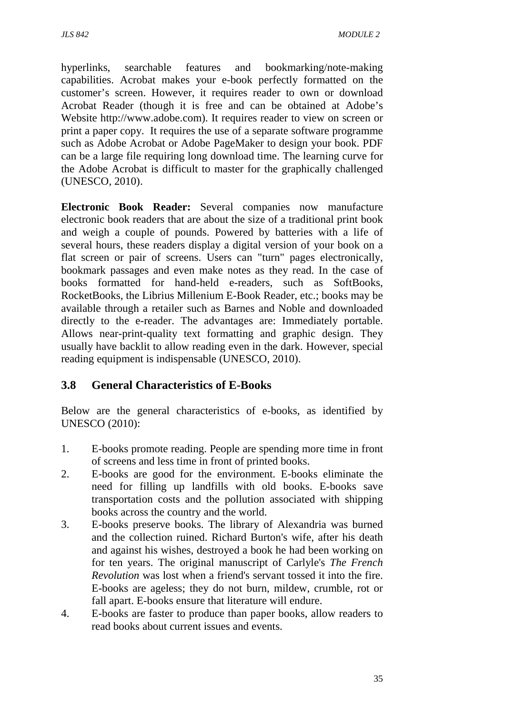hyperlinks, searchable features and bookmarking/note-making capabilities. Acrobat makes your e-book perfectly formatted on the customer's screen. However, it requires reader to own or download Acrobat Reader (though it is free and can be obtained at Adobe's Website http://www.adobe.com). It requires reader to view on screen or print a paper copy. It requires the use of a separate software programme such as Adobe Acrobat or Adobe PageMaker to design your book. PDF can be a large file requiring long download time. The learning curve for the Adobe Acrobat is difficult to master for the graphically challenged (UNESCO, 2010).

**Electronic Book Reader:** Several companies now manufacture electronic book readers that are about the size of a traditional print book and weigh a couple of pounds. Powered by batteries with a life of several hours, these readers display a digital version of your book on a flat screen or pair of screens. Users can "turn" pages electronically, bookmark passages and even make notes as they read. In the case of books formatted for hand-held e-readers, such as SoftBooks, RocketBooks, the Librius Millenium E-Book Reader, etc.; books may be available through a retailer such as Barnes and Noble and downloaded directly to the e-reader. The advantages are: Immediately portable. Allows near-print-quality text formatting and graphic design. They usually have backlit to allow reading even in the dark. However, special reading equipment is indispensable (UNESCO, 2010).

## **3.8 General Characteristics of E-Books**

Below are the general characteristics of e-books, as identified by UNESCO (2010):

- 1. E-books promote reading. People are spending more time in front of screens and less time in front of printed books.
- 2. E-books are good for the environment. E-books eliminate the need for filling up landfills with old books. E-books save transportation costs and the pollution associated with shipping books across the country and the world.
- 3. E-books preserve books. The library of Alexandria was burned and the collection ruined. Richard Burton's wife, after his death and against his wishes, destroyed a book he had been working on for ten years. The original manuscript of Carlyle's *The French Revolution* was lost when a friend's servant tossed it into the fire. E-books are ageless; they do not burn, mildew, crumble, rot or fall apart. E-books ensure that literature will endure.
- 4. E-books are faster to produce than paper books, allow readers to read books about current issues and events.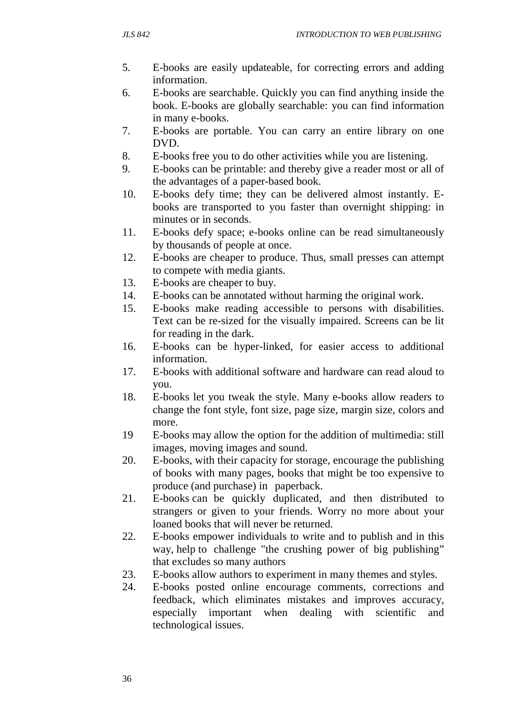- 5. E-books are easily updateable, for correcting errors and adding information.
- 6. E-books are searchable. Quickly you can find anything inside the book. E-books are globally searchable: you can find information in many e-books.
- 7. E-books are portable. You can carry an entire library on one DVD.
- 8. E-books free you to do other activities while you are listening.
- 9. E-books can be printable: and thereby give a reader most or all of the advantages of a paper-based book.
- 10. E-books defy time; they can be delivered almost instantly. Ebooks are transported to you faster than overnight shipping: in minutes or in seconds.
- 11. E-books defy space; e-books online can be read simultaneously by thousands of people at once.
- 12. E-books are cheaper to produce. Thus, small presses can attempt to compete with media giants.
- 13. E-books are cheaper to buy.
- 14. E-books can be annotated without harming the original work.
- 15. E-books make reading accessible to persons with disabilities. Text can be re-sized for the visually impaired. Screens can be lit for reading in the dark.
- 16. E-books can be hyper-linked, for easier access to additional information.
- 17. E-books with additional software and hardware can read aloud to you.
- 18. E-books let you tweak the style. Many e-books allow readers to change the font style, font size, page size, margin size, colors and more.
- 19 E-books may allow the option for the addition of multimedia: still images, moving images and sound.
- 20. E-books, with their capacity for storage, encourage the publishing of books with many pages, books that might be too expensive to produce (and purchase) in paperback.
- 21. E-books can be quickly duplicated, and then distributed to strangers or given to your friends. Worry no more about your loaned books that will never be returned.
- 22. E-books empower individuals to write and to publish and in this way, help to challenge "the crushing power of big publishing" that excludes so many authors
- 23. E-books allow authors to experiment in many themes and styles.
- 24. E-books posted online encourage comments, corrections and feedback, which eliminates mistakes and improves accuracy, especially important when dealing with scientific and technological issues.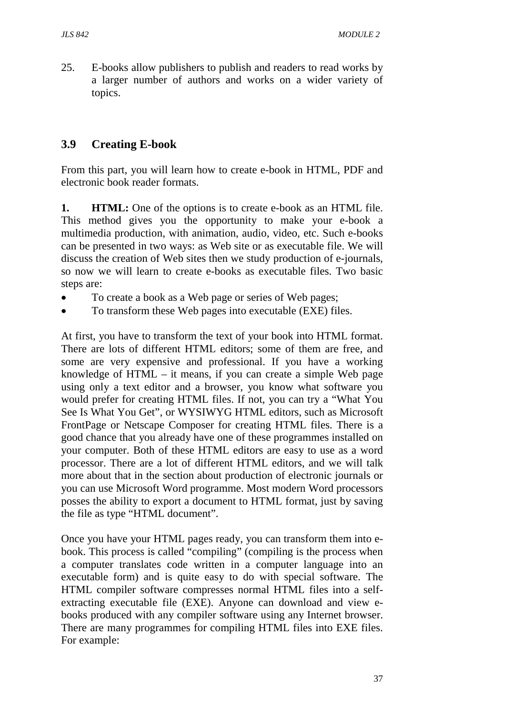25. E-books allow publishers to publish and readers to read works by a larger number of authors and works on a wider variety of topics.

### **3.9 Creating E-book**

From this part, you will learn how to create e-book in HTML, PDF and electronic book reader formats.

**1. HTML:** One of the options is to create e-book as an HTML file. This method gives you the opportunity to make your e-book a multimedia production, with animation, audio, video, etc. Such e-books can be presented in two ways: as Web site or as executable file. We will discuss the creation of Web sites then we study production of e-journals, so now we will learn to create e-books as executable files. Two basic steps are:

- To create a book as a Web page or series of Web pages;
- To transform these Web pages into executable (EXE) files.

At first, you have to transform the text of your book into HTML format. There are lots of different HTML editors; some of them are free, and some are very expensive and professional. If you have a working knowledge of HTML – it means, if you can create a simple Web page using only a text editor and a browser, you know what software you would prefer for creating HTML files. If not, you can try a "What You See Is What You Get", or WYSIWYG HTML editors, such as Microsoft FrontPage or Netscape Composer for creating HTML files. There is a good chance that you already have one of these programmes installed on your computer. Both of these HTML editors are easy to use as a word processor. There are a lot of different HTML editors, and we will talk more about that in the section about production of electronic journals or you can use Microsoft Word programme. Most modern Word processors posses the ability to export a document to HTML format, just by saving the file as type "HTML document".

Once you have your HTML pages ready, you can transform them into ebook. This process is called "compiling" (compiling is the process when a computer translates code written in a computer language into an executable form) and is quite easy to do with special software. The HTML compiler software compresses normal HTML files into a selfextracting executable file (EXE). Anyone can download and view ebooks produced with any compiler software using any Internet browser. There are many programmes for compiling HTML files into EXE files. For example: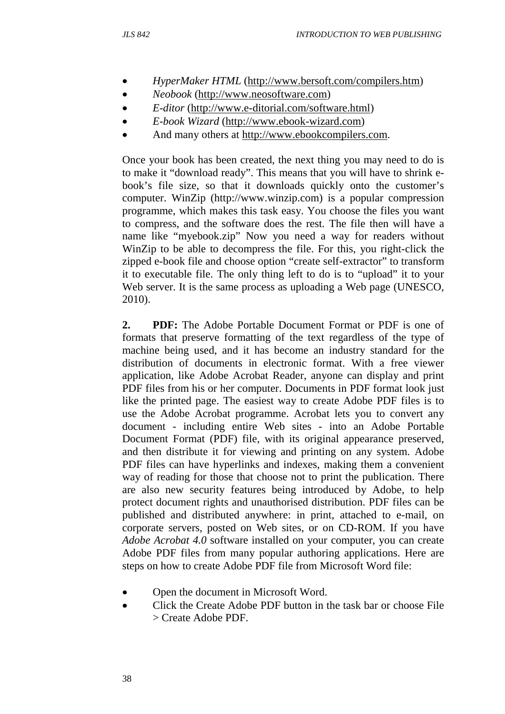- *HyperMaker HTML* (http://www.bersoft.com/compilers.htm)
- *Neobook* (http://www.neosoftware.com)
- *E-ditor* (http://www.e-ditorial.com/software.html)
- *E-book Wizard* (http://www.ebook-wizard.com)
- And many others at http://www.ebookcompilers.com.

Once your book has been created, the next thing you may need to do is to make it "download ready". This means that you will have to shrink ebook's file size, so that it downloads quickly onto the customer's computer. WinZip (http://www.winzip.com) is a popular compression programme, which makes this task easy. You choose the files you want to compress, and the software does the rest. The file then will have a name like "myebook.zip" Now you need a way for readers without WinZip to be able to decompress the file. For this, you right-click the zipped e-book file and choose option "create self-extractor" to transform it to executable file. The only thing left to do is to "upload" it to your Web server. It is the same process as uploading a Web page (UNESCO, 2010).

**2. PDF:** The Adobe Portable Document Format or PDF is one of formats that preserve formatting of the text regardless of the type of machine being used, and it has become an industry standard for the distribution of documents in electronic format. With a free viewer application, like Adobe Acrobat Reader, anyone can display and print PDF files from his or her computer. Documents in PDF format look just like the printed page. The easiest way to create Adobe PDF files is to use the Adobe Acrobat programme. Acrobat lets you to convert any document - including entire Web sites - into an Adobe Portable Document Format (PDF) file, with its original appearance preserved, and then distribute it for viewing and printing on any system. Adobe PDF files can have hyperlinks and indexes, making them a convenient way of reading for those that choose not to print the publication. There are also new security features being introduced by Adobe, to help protect document rights and unauthorised distribution. PDF files can be published and distributed anywhere: in print, attached to e-mail, on corporate servers, posted on Web sites, or on CD-ROM. If you have *Adobe Acrobat 4.0* software installed on your computer, you can create Adobe PDF files from many popular authoring applications. Here are steps on how to create Adobe PDF file from Microsoft Word file:

- Open the document in Microsoft Word.
- Click the Create Adobe PDF button in the task bar or choose File > Create Adobe PDF.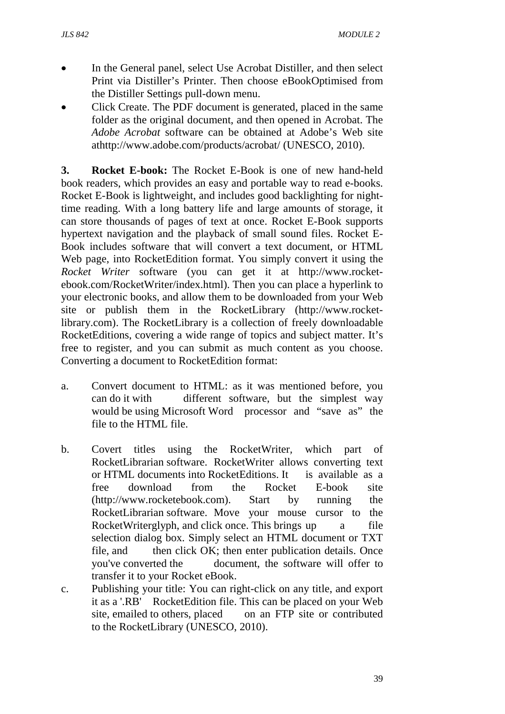- In the General panel, select Use Acrobat Distiller, and then select Print via Distiller's Printer. Then choose eBookOptimised from the Distiller Settings pull-down menu.
- Click Create. The PDF document is generated, placed in the same folder as the original document, and then opened in Acrobat. The *Adobe Acrobat* software can be obtained at Adobe's Web site athttp://www.adobe.com/products/acrobat/ (UNESCO, 2010).

**3. Rocket E-book:** The Rocket E-Book is one of new hand-held book readers, which provides an easy and portable way to read e-books. Rocket E-Book is lightweight, and includes good backlighting for nighttime reading. With a long battery life and large amounts of storage, it can store thousands of pages of text at once. Rocket E-Book supports hypertext navigation and the playback of small sound files. Rocket E-Book includes software that will convert a text document, or HTML Web page, into RocketEdition format. You simply convert it using the *Rocket Writer* software (you can get it at http://www.rocketebook.com/RocketWriter/index.html). Then you can place a hyperlink to your electronic books, and allow them to be downloaded from your Web site or publish them in the RocketLibrary (http://www.rocketlibrary.com). The RocketLibrary is a collection of freely downloadable RocketEditions, covering a wide range of topics and subject matter. It's free to register, and you can submit as much content as you choose. Converting a document to RocketEdition format:

- a. Convert document to HTML: as it was mentioned before, you can do it with different software, but the simplest way would be using Microsoft Word processor and "save as" the file to the HTML file.
- b. Covert titles using the RocketWriter*,* which part of RocketLibrarian software. RocketWriter allows converting text or HTML documents into RocketEditions. It is available as a free download from the Rocket E-book site (http://www.rocketebook.com). Start by running the RocketLibrarian software. Move your mouse cursor to the RocketWriterglyph, and click once. This brings up a file selection dialog box. Simply select an HTML document or TXT file, and then click OK; then enter publication details. Once you've converted the document, the software will offer to transfer it to your Rocket eBook.
- c. Publishing your title: You can right-click on any title, and export it as a '.RB' RocketEdition file. This can be placed on your Web site, emailed to others, placed on an FTP site or contributed to the RocketLibrary (UNESCO, 2010).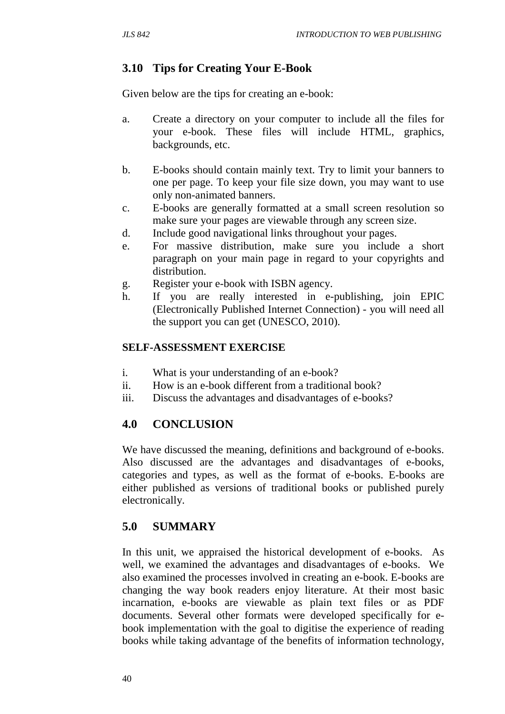# **3.10 Tips for Creating Your E-Book**

Given below are the tips for creating an e-book:

- a. Create a directory on your computer to include all the files for your e-book. These files will include HTML, graphics, backgrounds, etc.
- b. E-books should contain mainly text. Try to limit your banners to one per page. To keep your file size down, you may want to use only non-animated banners.
- c. E-books are generally formatted at a small screen resolution so make sure your pages are viewable through any screen size.
- d. Include good navigational links throughout your pages.
- e. For massive distribution, make sure you include a short paragraph on your main page in regard to your copyrights and distribution.
- g. Register your e-book with ISBN agency.
- h. If you are really interested in e-publishing, join EPIC (Electronically Published Internet Connection) - you will need all the support you can get (UNESCO, 2010).

### **SELF-ASSESSMENT EXERCISE**

- i. What is your understanding of an e-book?
- ii. How is an e-book different from a traditional book?
- iii. Discuss the advantages and disadvantages of e-books?

## **4.0 CONCLUSION**

We have discussed the meaning, definitions and background of e-books. Also discussed are the advantages and disadvantages of e-books, categories and types, as well as the format of e-books. E-books are either published as versions of traditional books or published purely electronically.

## **5.0 SUMMARY**

In this unit, we appraised the historical development of e-books. As well, we examined the advantages and disadvantages of e-books. We also examined the processes involved in creating an e-book. E-books are changing the way book readers enjoy literature. At their most basic incarnation, e-books are viewable as plain text files or as PDF documents. Several other formats were developed specifically for ebook implementation with the goal to digitise the experience of reading books while taking advantage of the benefits of information technology,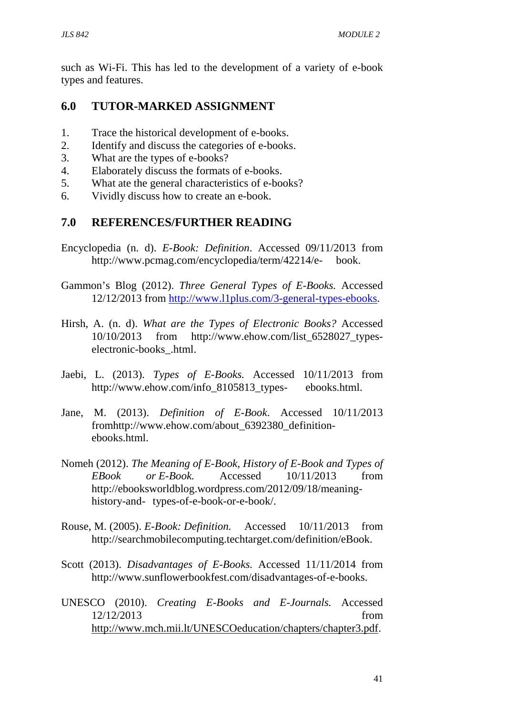such as Wi-Fi. This has led to the development of a variety of e-book types and features.

## **6.0 TUTOR-MARKED ASSIGNMENT**

- 1. Trace the historical development of e-books.
- 2. Identify and discuss the categories of e-books.
- 3. What are the types of e-books?
- 4. Elaborately discuss the formats of e-books.
- 5. What ate the general characteristics of e-books?
- 6. Vividly discuss how to create an e-book.

## **7.0 REFERENCES/FURTHER READING**

- Encyclopedia (n. d). *E-Book: Definition*. Accessed 09/11/2013 from http://www.pcmag.com/encyclopedia/term/42214/e- book.
- Gammon's Blog (2012). *Three General Types of E-Books.* Accessed 12/12/2013 from http://www.l1plus.com/3-general-types-ebooks.
- Hirsh, A. (n. d). *What are the Types of Electronic Books?* Accessed 10/10/2013 from http://www.ehow.com/list\_6528027\_typeselectronic-books\_.html.
- Jaebi, L. (2013). *Types of E-Books.* Accessed 10/11/2013 from http://www.ehow.com/info\_8105813\_types- ebooks.html.
- Jane, M. (2013). *Definition of E-Book*. Accessed 10/11/2013 fromhttp://www.ehow.com/about\_6392380\_definitionebooks.html.
- Nomeh (2012). *The Meaning of E-Book, History of E-Book and Types of EBook or E-Book.* Accessed 10/11/2013 from http://ebooksworldblog.wordpress.com/2012/09/18/meaninghistory-and- types-of-e-book-or-e-book/.
- Rouse, M. (2005). *E-Book: Definition.* Accessed 10/11/2013 from http://searchmobilecomputing.techtarget.com/definition/eBook.
- Scott (2013). *Disadvantages of E-Books.* Accessed 11/11/2014 from http://www.sunflowerbookfest.com/disadvantages-of-e-books.
- UNESCO (2010). *Creating E-Books and E-Journals.* Accessed 12/12/2013 from http://www.mch.mii.lt/UNESCOeducation/chapters/chapter3.pdf.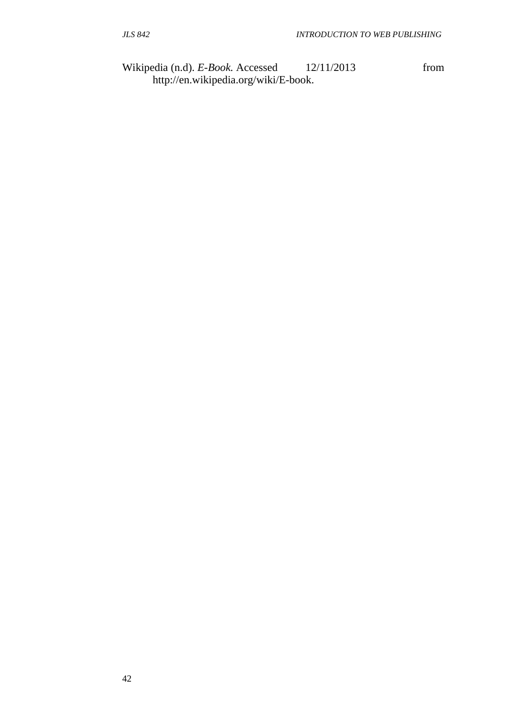Wikipedia (n.d). *E-Book*. Accessed 12/11/2013 from http://en.wikipedia.org/wiki/E-book.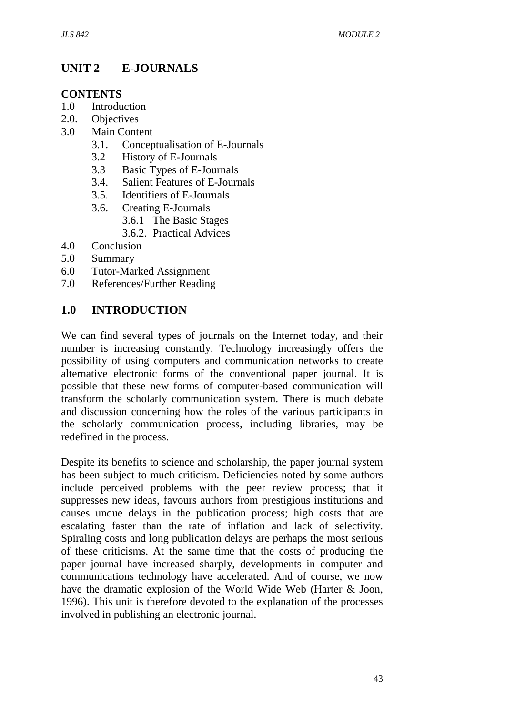# **UNIT 2 E-JOURNALS**

#### **CONTENTS**

- 1.0 Introduction
- 2.0. Objectives
- 3.0 Main Content
	- 3.1. Conceptualisation of E-Journals
	- 3.2 History of E-Journals
	- 3.3 Basic Types of E-Journals
	- 3.4. Salient Features of E-Journals
	- 3.5. Identifiers of E-Journals
	- 3.6. Creating E-Journals
		- 3.6.1 The Basic Stages
		- 3.6.2. Practical Advices
- 4.0 Conclusion
- 5.0 Summary
- 6.0 Tutor-Marked Assignment
- 7.0 References/Further Reading

## **1.0 INTRODUCTION**

We can find several types of journals on the Internet today, and their number is increasing constantly. Technology increasingly offers the possibility of using computers and communication networks to create alternative electronic forms of the conventional paper journal. It is possible that these new forms of computer-based communication will transform the scholarly communication system. There is much debate and discussion concerning how the roles of the various participants in the scholarly communication process, including libraries, may be redefined in the process.

Despite its benefits to science and scholarship, the paper journal system has been subject to much criticism. Deficiencies noted by some authors include perceived problems with the peer review process; that it suppresses new ideas, favours authors from prestigious institutions and causes undue delays in the publication process; high costs that are escalating faster than the rate of inflation and lack of selectivity. Spiraling costs and long publication delays are perhaps the most serious of these criticisms. At the same time that the costs of producing the paper journal have increased sharply, developments in computer and communications technology have accelerated. And of course, we now have the dramatic explosion of the World Wide Web (Harter & Joon, 1996). This unit is therefore devoted to the explanation of the processes involved in publishing an electronic journal.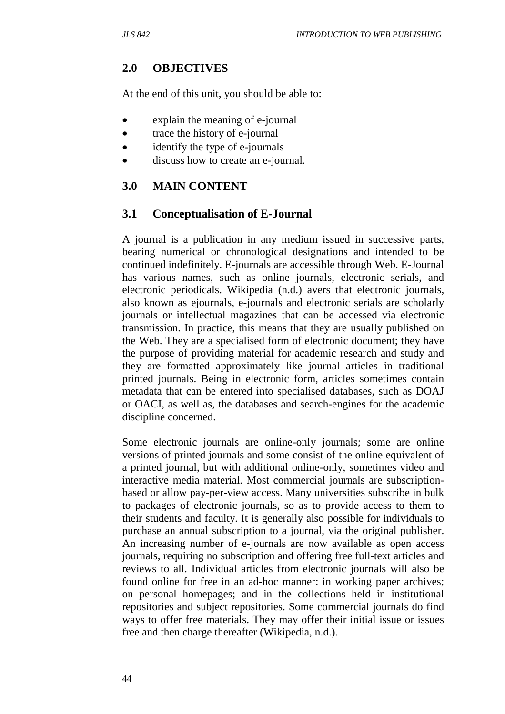# **2.0 OBJECTIVES**

At the end of this unit, you should be able to:

- explain the meaning of e-journal
- trace the history of e-journal
- identify the type of e-journals
- discuss how to create an e-journal.

# **3.0 MAIN CONTENT**

## **3.1 Conceptualisation of E-Journal**

A journal is a publication in any medium issued in successive parts, bearing numerical or chronological designations and intended to be continued indefinitely. E-journals are accessible through Web. E-Journal has various names, such as online journals, electronic serials, and electronic periodicals. Wikipedia (n.d.) avers that electronic journals, also known as ejournals, e-journals and electronic serials are scholarly journals or intellectual magazines that can be accessed via electronic transmission. In practice, this means that they are usually published on the Web. They are a specialised form of electronic document; they have the purpose of providing material for academic research and study and they are formatted approximately like journal articles in traditional printed journals. Being in electronic form, articles sometimes contain metadata that can be entered into specialised databases, such as DOAJ or OACI, as well as, the databases and search-engines for the academic discipline concerned.

Some electronic journals are online-only journals; some are online versions of printed journals and some consist of the online equivalent of a printed journal, but with additional online-only, sometimes video and interactive media material. Most commercial journals are subscriptionbased or allow pay-per-view access. Many universities subscribe in bulk to packages of electronic journals, so as to provide access to them to their students and faculty. It is generally also possible for individuals to purchase an annual subscription to a journal, via the original publisher. An increasing number of e-journals are now available as open access journals, requiring no subscription and offering free full-text articles and reviews to all. Individual articles from electronic journals will also be found online for free in an ad-hoc manner: in working paper archives; on personal homepages; and in the collections held in institutional repositories and subject repositories. Some commercial journals do find ways to offer free materials. They may offer their initial issue or issues free and then charge thereafter (Wikipedia, n.d.).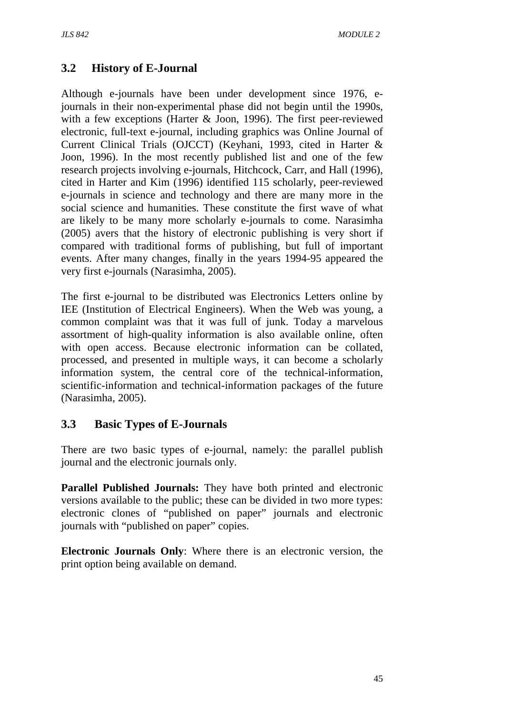## **3.2 History of E-Journal**

Although e-journals have been under development since 1976, ejournals in their non-experimental phase did not begin until the 1990s, with a few exceptions (Harter & Joon, 1996). The first peer-reviewed electronic, full-text e-journal, including graphics was Online Journal of Current Clinical Trials (OJCCT) (Keyhani, 1993, cited in Harter & Joon, 1996). In the most recently published list and one of the few research projects involving e-journals, Hitchcock, Carr, and Hall (1996), cited in Harter and Kim (1996) identified 115 scholarly, peer-reviewed e-journals in science and technology and there are many more in the social science and humanities. These constitute the first wave of what are likely to be many more scholarly e-journals to come. Narasimha (2005) avers that the history of electronic publishing is very short if compared with traditional forms of publishing, but full of important events. After many changes, finally in the years 1994-95 appeared the very first e-journals (Narasimha, 2005).

The first e-journal to be distributed was Electronics Letters online by IEE (Institution of Electrical Engineers). When the Web was young, a common complaint was that it was full of junk. Today a marvelous assortment of high-quality information is also available online, often with open access. Because electronic information can be collated, processed, and presented in multiple ways, it can become a scholarly information system, the central core of the technical-information, scientific-information and technical-information packages of the future (Narasimha, 2005).

### **3.3 Basic Types of E-Journals**

There are two basic types of e-journal, namely: the parallel publish journal and the electronic journals only.

**Parallel Published Journals:** They have both printed and electronic versions available to the public; these can be divided in two more types: electronic clones of "published on paper" journals and electronic journals with "published on paper" copies.

**Electronic Journals Only**: Where there is an electronic version, the print option being available on demand.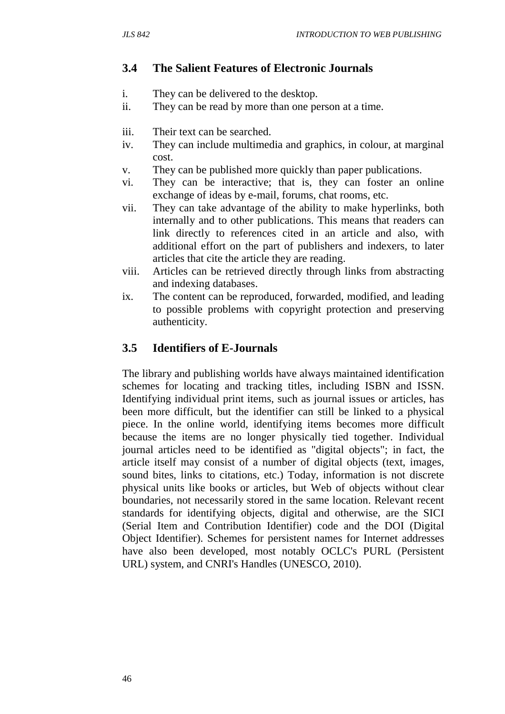# **3.4 The Salient Features of Electronic Journals**

- i. They can be delivered to the desktop.
- ii. They can be read by more than one person at a time.
- iii. Their text can be searched.
- iv. They can include multimedia and graphics, in colour, at marginal cost.
- v. They can be published more quickly than paper publications.
- vi. They can be interactive; that is, they can foster an online exchange of ideas by e-mail, forums, chat rooms, etc.
- vii. They can take advantage of the ability to make hyperlinks, both internally and to other publications. This means that readers can link directly to references cited in an article and also, with additional effort on the part of publishers and indexers, to later articles that cite the article they are reading.
- viii. Articles can be retrieved directly through links from abstracting and indexing databases.
- ix. The content can be reproduced, forwarded, modified, and leading to possible problems with copyright protection and preserving authenticity.

## **3.5 Identifiers of E-Journals**

The library and publishing worlds have always maintained identification schemes for locating and tracking titles, including ISBN and ISSN. Identifying individual print items, such as journal issues or articles, has been more difficult, but the identifier can still be linked to a physical piece. In the online world, identifying items becomes more difficult because the items are no longer physically tied together. Individual journal articles need to be identified as "digital objects"; in fact, the article itself may consist of a number of digital objects (text, images, sound bites, links to citations, etc.) Today, information is not discrete physical units like books or articles, but Web of objects without clear boundaries, not necessarily stored in the same location. Relevant recent standards for identifying objects, digital and otherwise, are the SICI (Serial Item and Contribution Identifier) code and the DOI (Digital Object Identifier). Schemes for persistent names for Internet addresses have also been developed, most notably OCLC's PURL (Persistent URL) system, and CNRI's Handles (UNESCO, 2010).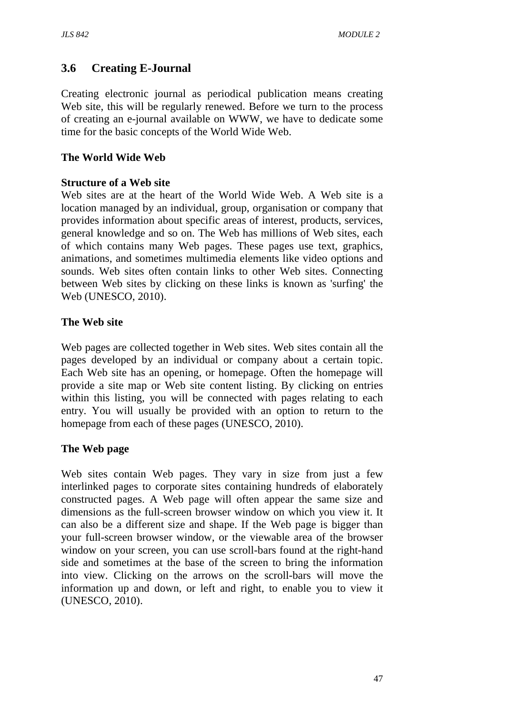### **3.6 Creating E-Journal**

Creating electronic journal as periodical publication means creating Web site, this will be regularly renewed. Before we turn to the process of creating an e-journal available on WWW, we have to dedicate some time for the basic concepts of the World Wide Web.

#### **The World Wide Web**

#### **Structure of a Web site**

Web sites are at the heart of the World Wide Web. A Web site is a location managed by an individual, group, organisation or company that provides information about specific areas of interest, products, services, general knowledge and so on. The Web has millions of Web sites, each of which contains many Web pages. These pages use text, graphics, animations, and sometimes multimedia elements like video options and sounds. Web sites often contain links to other Web sites. Connecting between Web sites by clicking on these links is known as 'surfing' the Web (UNESCO, 2010).

### **The Web site**

Web pages are collected together in Web sites. Web sites contain all the pages developed by an individual or company about a certain topic. Each Web site has an opening, or homepage. Often the homepage will provide a site map or Web site content listing. By clicking on entries within this listing, you will be connected with pages relating to each entry. You will usually be provided with an option to return to the homepage from each of these pages (UNESCO, 2010).

#### **The Web page**

Web sites contain Web pages. They vary in size from just a few interlinked pages to corporate sites containing hundreds of elaborately constructed pages. A Web page will often appear the same size and dimensions as the full-screen browser window on which you view it. It can also be a different size and shape. If the Web page is bigger than your full-screen browser window, or the viewable area of the browser window on your screen, you can use scroll-bars found at the right-hand side and sometimes at the base of the screen to bring the information into view. Clicking on the arrows on the scroll-bars will move the information up and down, or left and right, to enable you to view it (UNESCO, 2010).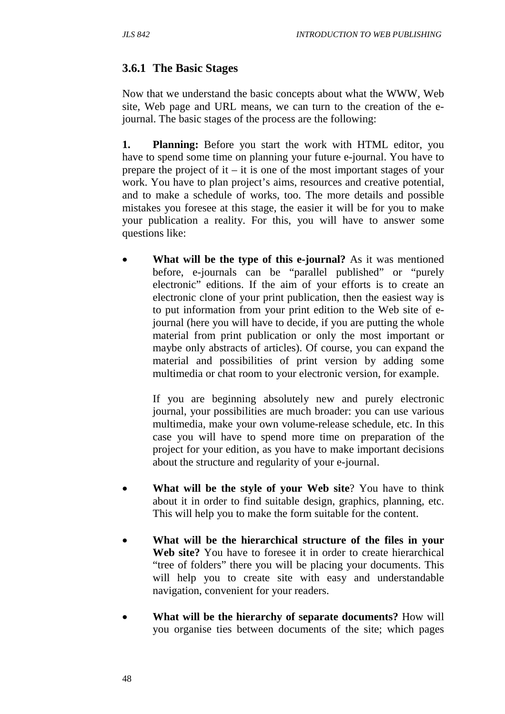# **3.6.1 The Basic Stages**

Now that we understand the basic concepts about what the WWW, Web site, Web page and URL means, we can turn to the creation of the ejournal. The basic stages of the process are the following:

**1. Planning:** Before you start the work with HTML editor, you have to spend some time on planning your future e-journal. You have to prepare the project of it – it is one of the most important stages of your work. You have to plan project's aims, resources and creative potential, and to make a schedule of works, too. The more details and possible mistakes you foresee at this stage, the easier it will be for you to make your publication a reality. For this, you will have to answer some questions like:

**What will be the type of this e-journal?** As it was mentioned before, e-journals can be "parallel published" or "purely electronic" editions. If the aim of your efforts is to create an electronic clone of your print publication, then the easiest way is to put information from your print edition to the Web site of ejournal (here you will have to decide, if you are putting the whole material from print publication or only the most important or maybe only abstracts of articles). Of course, you can expand the material and possibilities of print version by adding some multimedia or chat room to your electronic version, for example.

If you are beginning absolutely new and purely electronic journal, your possibilities are much broader: you can use various multimedia, make your own volume-release schedule, etc. In this case you will have to spend more time on preparation of the project for your edition, as you have to make important decisions about the structure and regularity of your e-journal.

- **What will be the style of your Web site**? You have to think about it in order to find suitable design, graphics, planning, etc. This will help you to make the form suitable for the content.
- **What will be the hierarchical structure of the files in your Web site?** You have to foresee it in order to create hierarchical "tree of folders" there you will be placing your documents. This will help you to create site with easy and understandable navigation, convenient for your readers.
- **What will be the hierarchy of separate documents?** How will you organise ties between documents of the site; which pages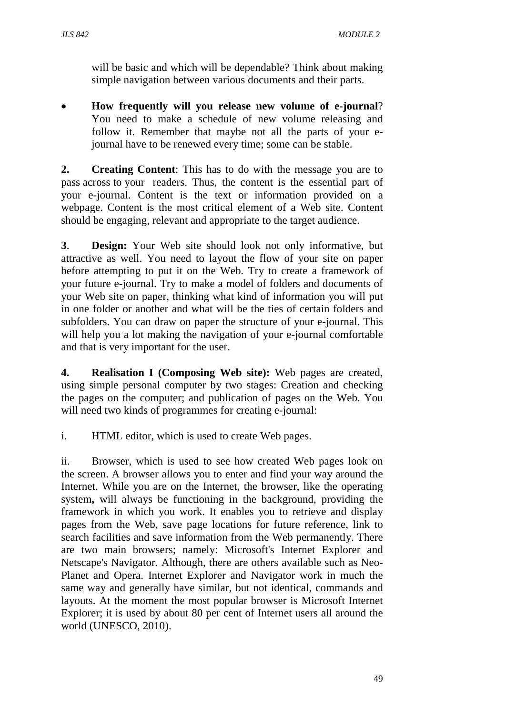will be basic and which will be dependable? Think about making simple navigation between various documents and their parts.

• **How frequently will you release new volume of e-journal**? You need to make a schedule of new volume releasing and follow it. Remember that maybe not all the parts of your ejournal have to be renewed every time; some can be stable.

**2. Creating Content**: This has to do with the message you are to pass across to your readers. Thus, the content is the essential part of your e-journal. Content is the text or information provided on a webpage. Content is the most critical element of a Web site. Content should be engaging, relevant and appropriate to the target audience.

**3**. **Design:** Your Web site should look not only informative, but attractive as well. You need to layout the flow of your site on paper before attempting to put it on the Web. Try to create a framework of your future e-journal. Try to make a model of folders and documents of your Web site on paper, thinking what kind of information you will put in one folder or another and what will be the ties of certain folders and subfolders. You can draw on paper the structure of your e-journal. This will help you a lot making the navigation of your e-journal comfortable and that is very important for the user.

**4. Realisation I (Composing Web site):** Web pages are created, using simple personal computer by two stages: Creation and checking the pages on the computer; and publication of pages on the Web. You will need two kinds of programmes for creating e-journal:

i. HTML editor, which is used to create Web pages.

ii. Browser, which is used to see how created Web pages look on the screen. A browser allows you to enter and find your way around the Internet. While you are on the Internet, the browser, like the operating system**,** will always be functioning in the background, providing the framework in which you work. It enables you to retrieve and display pages from the Web, save page locations for future reference, link to search facilities and save information from the Web permanently. There are two main browsers; namely: Microsoft's Internet Explorer and Netscape's Navigator*.* Although, there are others available such as Neo-Planet and Opera. Internet Explorer and Navigator work in much the same way and generally have similar, but not identical, commands and layouts. At the moment the most popular browser is Microsoft Internet Explorer; it is used by about 80 per cent of Internet users all around the world (UNESCO, 2010).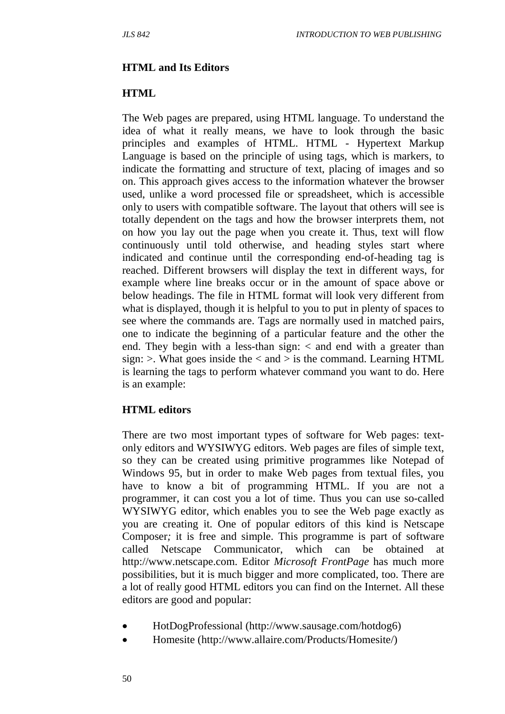#### **HTML and Its Editors**

#### **HTML**

The Web pages are prepared, using HTML language. To understand the idea of what it really means, we have to look through the basic principles and examples of HTML. HTML - Hypertext Markup Language is based on the principle of using tags, which is markers, to indicate the formatting and structure of text, placing of images and so on. This approach gives access to the information whatever the browser used, unlike a word processed file or spreadsheet, which is accessible only to users with compatible software. The layout that others will see is totally dependent on the tags and how the browser interprets them, not on how you lay out the page when you create it. Thus, text will flow continuously until told otherwise, and heading styles start where indicated and continue until the corresponding end-of-heading tag is reached. Different browsers will display the text in different ways, for example where line breaks occur or in the amount of space above or below headings. The file in HTML format will look very different from what is displayed, though it is helpful to you to put in plenty of spaces to see where the commands are. Tags are normally used in matched pairs, one to indicate the beginning of a particular feature and the other the end. They begin with a less-than sign: < and end with a greater than sign:  $>$ . What goes inside the  $<$  and  $>$  is the command. Learning HTML is learning the tags to perform whatever command you want to do. Here is an example:

#### **HTML editors**

There are two most important types of software for Web pages: textonly editors and WYSIWYG editors. Web pages are files of simple text, so they can be created using primitive programmes like Notepad of Windows 95, but in order to make Web pages from textual files, you have to know a bit of programming HTML. If you are not a programmer, it can cost you a lot of time. Thus you can use so-called WYSIWYG editor, which enables you to see the Web page exactly as you are creating it. One of popular editors of this kind is Netscape Composer*;* it is free and simple. This programme is part of software called Netscape Communicator, which can be obtained at http://www.netscape.com. Editor *Microsoft FrontPage* has much more possibilities, but it is much bigger and more complicated, too. There are a lot of really good HTML editors you can find on the Internet. All these editors are good and popular:

- HotDogProfessional (http://www.sausage.com/hotdog6)
- Homesite (http://www.allaire.com/Products/Homesite/)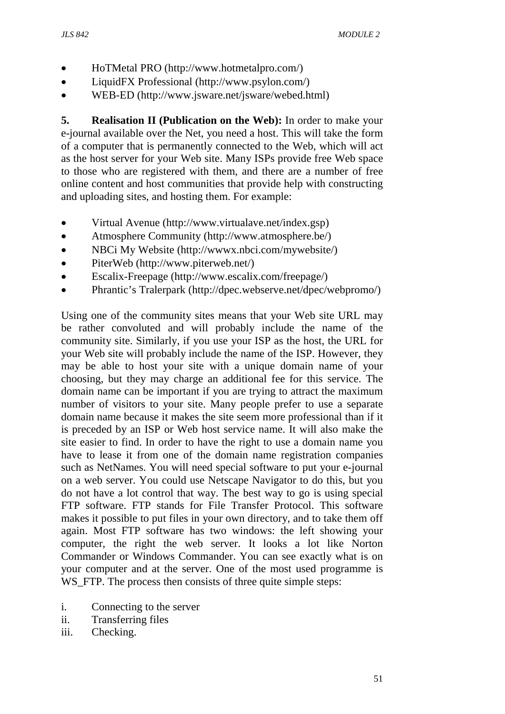- HoTMetal PRO (http://www.hotmetalpro.com/)
- LiquidFX Professional (http://www.psylon.com/)
- WEB-ED (http://www.jsware.net/jsware/webed.html)

**5. Realisation II (Publication on the Web):** In order to make your e-journal available over the Net, you need a host. This will take the form of a computer that is permanently connected to the Web, which will act as the host server for your Web site. Many ISPs provide free Web space to those who are registered with them, and there are a number of free online content and host communities that provide help with constructing and uploading sites, and hosting them. For example:

- Virtual Avenue (http://www.virtualave.net/index.gsp)
- Atmosphere Community (http://www.atmosphere.be/)
- NBCi My Website (http://wwwx.nbci.com/mywebsite/)
- PiterWeb (http://www.piterweb.net/)
- Escalix-Freepage (http://www.escalix.com/freepage/)
- Phrantic's Tralerpark (http://dpec.webserve.net/dpec/webpromo/)

Using one of the community sites means that your Web site URL may be rather convoluted and will probably include the name of the community site. Similarly, if you use your ISP as the host, the URL for your Web site will probably include the name of the ISP. However, they may be able to host your site with a unique domain name of your choosing, but they may charge an additional fee for this service. The domain name can be important if you are trying to attract the maximum number of visitors to your site. Many people prefer to use a separate domain name because it makes the site seem more professional than if it is preceded by an ISP or Web host service name. It will also make the site easier to find. In order to have the right to use a domain name you have to lease it from one of the domain name registration companies such as NetNames. You will need special software to put your e-journal on a web server. You could use Netscape Navigator to do this, but you do not have a lot control that way. The best way to go is using special FTP software. FTP stands for File Transfer Protocol. This software makes it possible to put files in your own directory, and to take them off again. Most FTP software has two windows: the left showing your computer, the right the web server. It looks a lot like Norton Commander or Windows Commander. You can see exactly what is on your computer and at the server. One of the most used programme is WS\_FTP. The process then consists of three quite simple steps:

- i. Connecting to the server
- ii. Transferring files
- iii. Checking.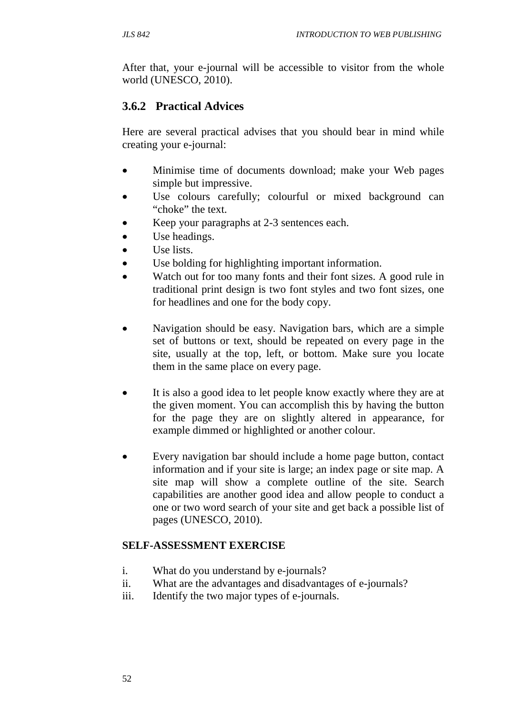After that, your e-journal will be accessible to visitor from the whole world (UNESCO, 2010).

## **3.6.2 Practical Advices**

Here are several practical advises that you should bear in mind while creating your e-journal:

- Minimise time of documents download; make your Web pages simple but impressive.
- Use colours carefully; colourful or mixed background can "choke" the text.
- Keep your paragraphs at 2-3 sentences each.
- Use headings.
- Use lists.
- Use bolding for highlighting important information.
- Watch out for too many fonts and their font sizes. A good rule in traditional print design is two font styles and two font sizes, one for headlines and one for the body copy.
- Navigation should be easy. Navigation bars, which are a simple set of buttons or text, should be repeated on every page in the site, usually at the top, left, or bottom. Make sure you locate them in the same place on every page.
- It is also a good idea to let people know exactly where they are at the given moment. You can accomplish this by having the button for the page they are on slightly altered in appearance, for example dimmed or highlighted or another colour.
- Every navigation bar should include a home page button, contact information and if your site is large; an index page or site map. A site map will show a complete outline of the site. Search capabilities are another good idea and allow people to conduct a one or two word search of your site and get back a possible list of pages (UNESCO, 2010).

#### **SELF-ASSESSMENT EXERCISE**

- i. What do you understand by e-journals?
- ii. What are the advantages and disadvantages of e-journals?
- iii. Identify the two major types of e-journals.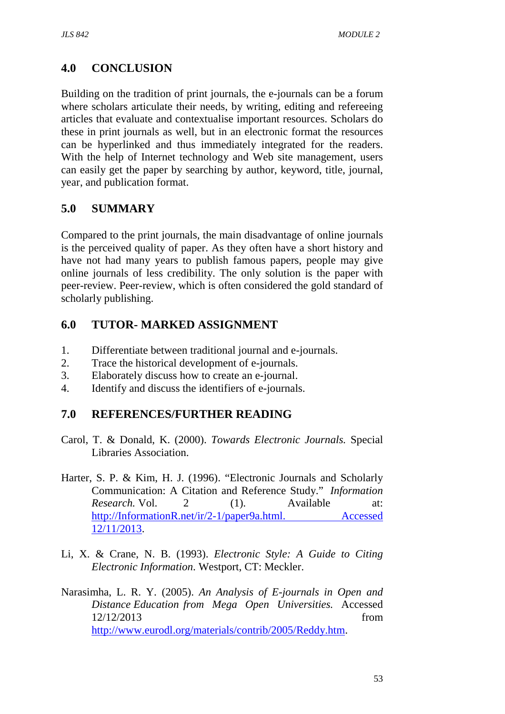# **4.0 CONCLUSION**

Building on the tradition of print journals, the e-journals can be a forum where scholars articulate their needs, by writing, editing and refereeing articles that evaluate and contextualise important resources. Scholars do these in print journals as well, but in an electronic format the resources can be hyperlinked and thus immediately integrated for the readers. With the help of Internet technology and Web site management, users can easily get the paper by searching by author, keyword, title, journal, year, and publication format.

## **5.0 SUMMARY**

Compared to the print journals, the main disadvantage of online journals is the perceived quality of paper. As they often have a short history and have not had many years to publish famous papers, people may give online journals of less credibility. The only solution is the paper with peer-review. Peer-review, which is often considered the gold standard of scholarly publishing.

## **6.0 TUTOR- MARKED ASSIGNMENT**

- 1. Differentiate between traditional journal and e-journals.
- 2. Trace the historical development of e-journals.
- 3. Elaborately discuss how to create an e-journal.
- 4. Identify and discuss the identifiers of e-journals.

## **7.0 REFERENCES/FURTHER READING**

- Carol, T. & Donald, K. (2000). *Towards Electronic Journals.* Special Libraries Association.
- Harter, S. P. & Kim, H. J. (1996). "Electronic Journals and Scholarly Communication: A Citation and Reference Study." *Information Research.* Vol. 2 (1). Available at: http://InformationR.net/ir/2-1/paper9a.html. Accessed 12/11/2013.
- Li, X. & Crane, N. B. (1993). *Electronic Style: A Guide to Citing Electronic Information*. Westport, CT: Meckler.

Narasimha, L. R. Y. (2005). *An Analysis of E-journals in Open and Distance Education from Mega Open Universities.* Accessed 12/12/2013 from http://www.eurodl.org/materials/contrib/2005/Reddy.htm.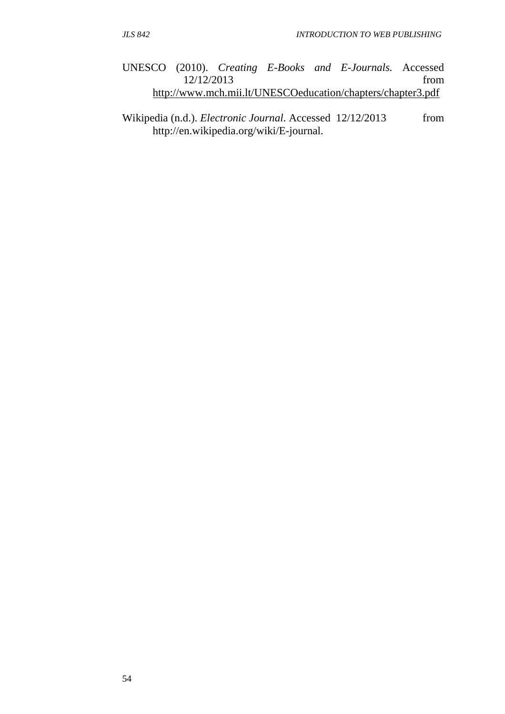- UNESCO (2010). *Creating E-Books and E-Journals.* Accessed 12/12/2013 from http://www.mch.mii.lt/UNESCOeducation/chapters/chapter3.pdf
- Wikipedia (n.d.). *Electronic Journal*. Accessed 12/12/2013 from http://en.wikipedia.org/wiki/E-journal.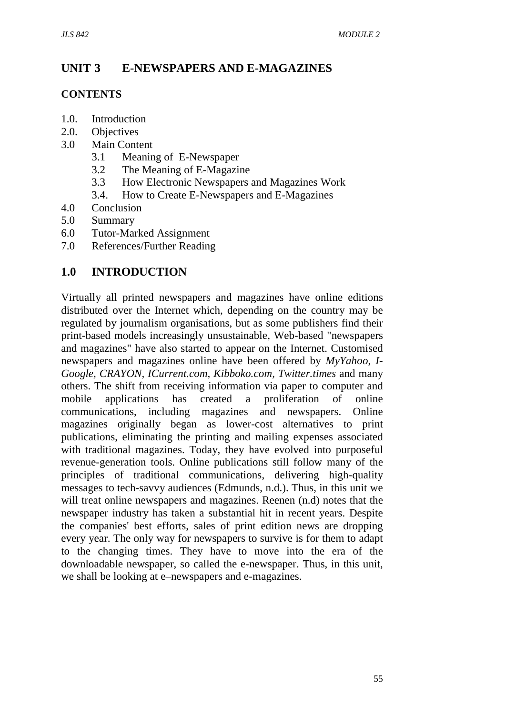# **UNIT 3 E-NEWSPAPERS AND E-MAGAZINES**

### **CONTENTS**

- 1.0. Introduction
- 2.0. Objectives
- 3.0 Main Content
	- 3.1 Meaning of E-Newspaper
	- 3.2 The Meaning of E-Magazine
	- 3.3 How Electronic Newspapers and Magazines Work
	- 3.4. How to Create E-Newspapers and E-Magazines
- 4.0 Conclusion
- 5.0 Summary
- 6.0 Tutor-Marked Assignment
- 7.0 References/Further Reading

## **1.0 INTRODUCTION**

Virtually all printed newspapers and magazines have online editions distributed over the Internet which, depending on the country may be regulated by journalism organisations, but as some publishers find their print-based models increasingly unsustainable, Web-based "newspapers and magazines" have also started to appear on the Internet. Customised newspapers and magazines online have been offered by *MyYahoo*, *I-Google, CRAYON, ICurrent.com, Kibboko.com, Twitter.times* and many others. The shift from receiving information via paper to computer and mobile applications has created a proliferation of online communications, including magazines and newspapers. Online magazines originally began as lower-cost alternatives to print publications, eliminating the printing and mailing expenses associated with traditional magazines. Today, they have evolved into purposeful revenue-generation tools. Online publications still follow many of the principles of traditional communications, delivering high-quality messages to tech-savvy audiences (Edmunds, n.d.). Thus, in this unit we will treat online newspapers and magazines. Reenen  $(n,d)$  notes that the newspaper industry has taken a substantial hit in recent years. Despite the companies' best efforts, sales of print edition news are dropping every year. The only way for newspapers to survive is for them to adapt to the changing times. They have to move into the era of the downloadable newspaper, so called the e-newspaper. Thus, in this unit, we shall be looking at e–newspapers and e-magazines.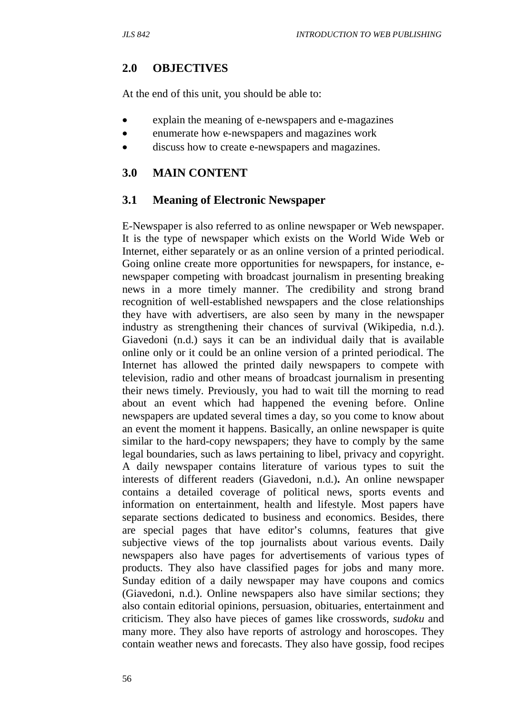### **2.0 OBJECTIVES**

At the end of this unit, you should be able to:

- explain the meaning of e-newspapers and e-magazines
- enumerate how e-newspapers and magazines work
- discuss how to create e-newspapers and magazines.

### **3.0 MAIN CONTENT**

### **3.1 Meaning of Electronic Newspaper**

E-Newspaper is also referred to as online newspaper or Web newspaper. It is the type of newspaper which exists on the World Wide Web or Internet, either separately or as an online version of a printed periodical. Going online create more opportunities for newspapers, for instance, enewspaper competing with broadcast journalism in presenting breaking news in a more timely manner. The credibility and strong brand recognition of well-established newspapers and the close relationships they have with advertisers, are also seen by many in the newspaper industry as strengthening their chances of survival (Wikipedia, n.d.). Giavedoni (n.d.) says it can be an individual daily that is available online only or it could be an online version of a printed periodical. The Internet has allowed the printed daily newspapers to compete with television, radio and other means of broadcast journalism in presenting their news timely. Previously, you had to wait till the morning to read about an event which had happened the evening before. Online newspapers are updated several times a day, so you come to know about an event the moment it happens. Basically, an online newspaper is quite similar to the hard-copy newspapers; they have to comply by the same legal boundaries, such as laws pertaining to libel, privacy and copyright. A daily newspaper contains literature of various types to suit the interests of different readers (Giavedoni, n.d.)**.** An online newspaper contains a detailed coverage of political news, sports events and information on entertainment, health and lifestyle. Most papers have separate sections dedicated to business and economics. Besides, there are special pages that have editor's columns, features that give subjective views of the top journalists about various events. Daily newspapers also have pages for advertisements of various types of products. They also have classified pages for jobs and many more. Sunday edition of a daily newspaper may have coupons and comics (Giavedoni, n.d.). Online newspapers also have similar sections; they also contain editorial opinions, persuasion, obituaries, entertainment and criticism. They also have pieces of games like crosswords, *sudoku* and many more. They also have reports of astrology and horoscopes. They contain weather news and forecasts. They also have gossip, food recipes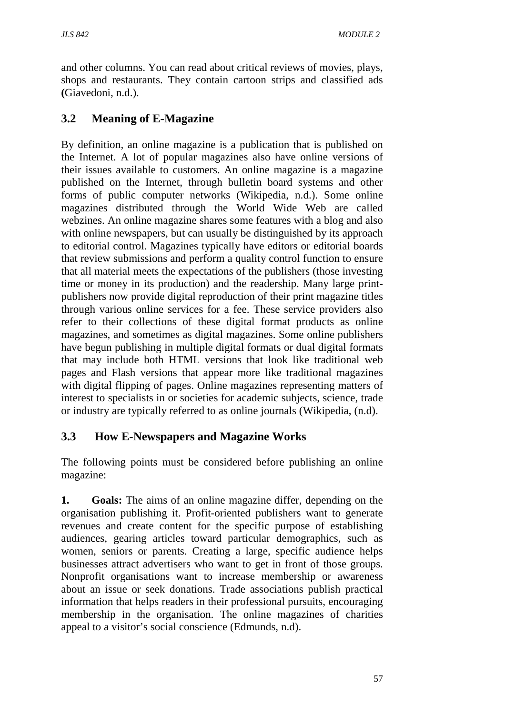and other columns. You can read about critical reviews of movies, plays, shops and restaurants. They contain cartoon strips and classified ads **(**Giavedoni, n.d.).

# **3.2 Meaning of E-Magazine**

By definition, an online magazine is a publication that is published on the Internet. A lot of popular magazines also have online versions of their issues available to customers. An online magazine is a magazine published on the Internet, through bulletin board systems and other forms of public computer networks (Wikipedia, n.d.). Some online magazines distributed through the World Wide Web are called webzines. An online magazine shares some features with a blog and also with online newspapers, but can usually be distinguished by its approach to editorial control. Magazines typically have editors or editorial boards that review submissions and perform a quality control function to ensure that all material meets the expectations of the publishers (those investing time or money in its production) and the readership. Many large printpublishers now provide digital reproduction of their print magazine titles through various online services for a fee. These service providers also refer to their collections of these digital format products as online magazines, and sometimes as digital magazines. Some online publishers have begun publishing in multiple digital formats or dual digital formats that may include both HTML versions that look like traditional web pages and Flash versions that appear more like traditional magazines with digital flipping of pages. Online magazines representing matters of interest to specialists in or societies for academic subjects, science, trade or industry are typically referred to as online journals (Wikipedia, (n.d).

## **3.3 How E-Newspapers and Magazine Works**

The following points must be considered before publishing an online magazine:

**1. Goals:** The aims of an online magazine differ, depending on the organisation publishing it. Profit-oriented publishers want to generate revenues and create content for the specific purpose of establishing audiences, gearing articles toward particular demographics, such as women, seniors or parents. Creating a large, specific audience helps businesses attract advertisers who want to get in front of those groups. Nonprofit organisations want to increase membership or awareness about an issue or seek donations. Trade associations publish practical information that helps readers in their professional pursuits, encouraging membership in the organisation. The online magazines of charities appeal to a visitor's social conscience (Edmunds, n.d).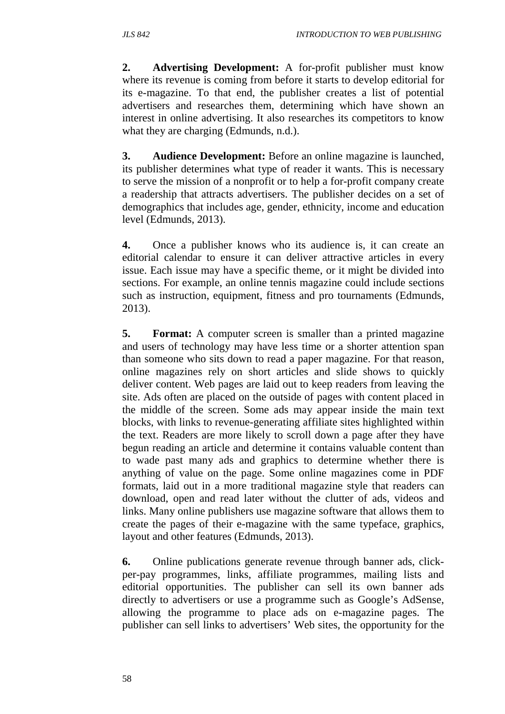**2. Advertising Development:** A for-profit publisher must know where its revenue is coming from before it starts to develop editorial for its e-magazine. To that end, the publisher creates a list of potential advertisers and researches them, determining which have shown an interest in online advertising. It also researches its competitors to know what they are charging (Edmunds, n.d.).

**3. Audience Development:** Before an online magazine is launched, its publisher determines what type of reader it wants. This is necessary to serve the mission of a nonprofit or to help a for-profit company create a readership that attracts advertisers. The publisher decides on a set of demographics that includes age, gender, ethnicity, income and education level (Edmunds, 2013).

**4.** Once a publisher knows who its audience is, it can create an editorial calendar to ensure it can deliver attractive articles in every issue. Each issue may have a specific theme, or it might be divided into sections. For example, an online tennis magazine could include sections such as instruction, equipment, fitness and pro tournaments (Edmunds, 2013).

**5. Format:** A computer screen is smaller than a printed magazine and users of technology may have less time or a shorter attention span than someone who sits down to read a paper magazine. For that reason, online magazines rely on short articles and slide shows to quickly deliver content. Web pages are laid out to keep readers from leaving the site. Ads often are placed on the outside of pages with content placed in the middle of the screen. Some ads may appear inside the main text blocks, with links to revenue-generating affiliate sites highlighted within the text. Readers are more likely to scroll down a page after they have begun reading an article and determine it contains valuable content than to wade past many ads and graphics to determine whether there is anything of value on the page. Some online magazines come in PDF formats, laid out in a more traditional magazine style that readers can download, open and read later without the clutter of ads, videos and links. Many online publishers use magazine software that allows them to create the pages of their e-magazine with the same typeface, graphics, layout and other features (Edmunds, 2013).

**6.** Online publications generate revenue through banner ads, clickper-pay programmes, links, affiliate programmes, mailing lists and editorial opportunities. The publisher can sell its own banner ads directly to advertisers or use a programme such as Google's AdSense, allowing the programme to place ads on e-magazine pages. The publisher can sell links to advertisers' Web sites, the opportunity for the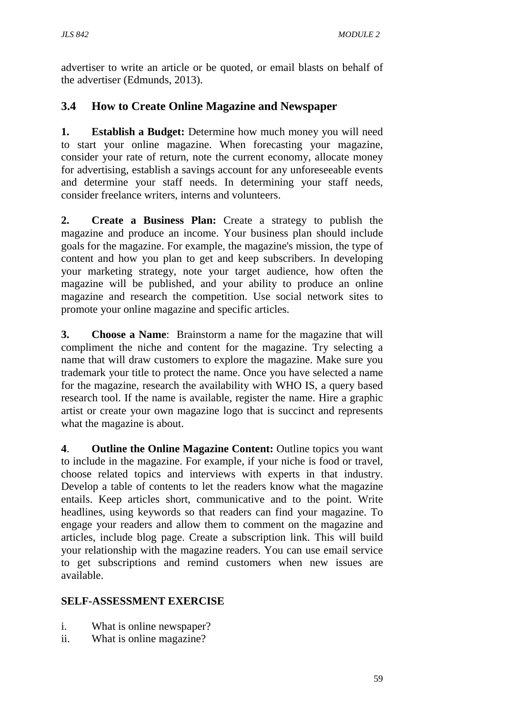advertiser to write an article or be quoted, or email blasts on behalf of the advertiser (Edmunds, 2013).

# **3.4 How to Create Online Magazine and Newspaper**

**1. Establish a Budget:** Determine how much money you will need to start your online magazine. When forecasting your magazine, consider your rate of return, note the current economy, allocate money for advertising, establish a savings account for any unforeseeable events and determine your staff needs. In determining your staff needs, consider freelance writers, interns and volunteers.

**2. Create a Business Plan:** Create a strategy to publish the magazine and produce an income. Your business plan should include goals for the magazine. For example, the magazine's mission, the type of content and how you plan to get and keep subscribers. In developing your marketing strategy, note your target audience, how often the magazine will be published, and your ability to produce an online magazine and research the competition. Use social network sites to promote your online magazine and specific articles.

**3. Choose a Name**: Brainstorm a name for the magazine that will compliment the niche and content for the magazine. Try selecting a name that will draw customers to explore the magazine. Make sure you trademark your title to protect the name. Once you have selected a name for the magazine, research the availability with WHO IS, a query based research tool. If the name is available, register the name. Hire a graphic artist or create your own magazine logo that is succinct and represents what the magazine is about.

**4**. **Outline the Online Magazine Content:** Outline topics you want to include in the magazine. For example, if your niche is food or travel, choose related topics and interviews with experts in that industry. Develop a table of contents to let the readers know what the magazine entails. Keep articles short, communicative and to the point. Write headlines, using keywords so that readers can find your magazine. To engage your readers and allow them to comment on the magazine and articles, include blog page. Create a subscription link. This will build your relationship with the magazine readers. You can use email service to get subscriptions and remind customers when new issues are available.

### **SELF-ASSESSMENT EXERCISE**

- i. What is online newspaper?
- ii. What is online magazine?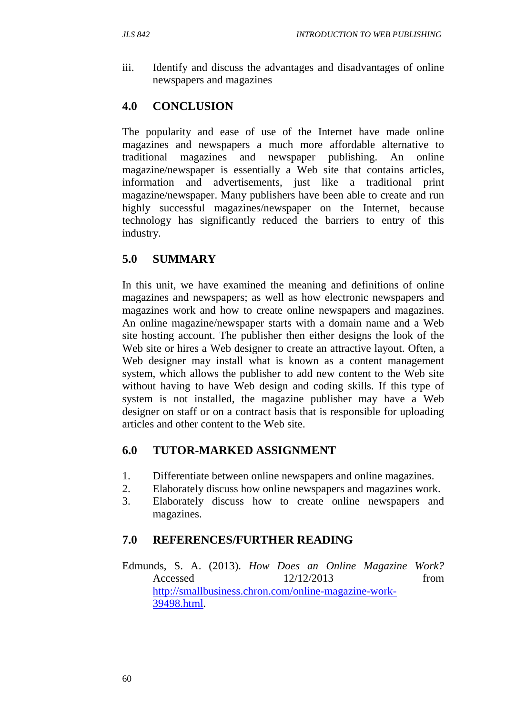iii. Identify and discuss the advantages and disadvantages of online newspapers and magazines

# **4.0 CONCLUSION**

The popularity and ease of use of the Internet have made online magazines and newspapers a much more affordable alternative to traditional magazines and newspaper publishing. An online magazine/newspaper is essentially a Web site that contains articles, information and advertisements, just like a traditional print magazine/newspaper. Many publishers have been able to create and run highly successful magazines/newspaper on the Internet, because technology has significantly reduced the barriers to entry of this industry.

## **5.0 SUMMARY**

In this unit, we have examined the meaning and definitions of online magazines and newspapers; as well as how electronic newspapers and magazines work and how to create online newspapers and magazines. An online magazine/newspaper starts with a domain name and a Web site hosting account. The publisher then either designs the look of the Web site or hires a Web designer to create an attractive layout. Often, a Web designer may install what is known as a content management system, which allows the publisher to add new content to the Web site without having to have Web design and coding skills. If this type of system is not installed, the magazine publisher may have a Web designer on staff or on a contract basis that is responsible for uploading articles and other content to the Web site.

## **6.0 TUTOR-MARKED ASSIGNMENT**

- 1. Differentiate between online newspapers and online magazines.
- 2. Elaborately discuss how online newspapers and magazines work.
- 3. Elaborately discuss how to create online newspapers and magazines.

## **7.0 REFERENCES/FURTHER READING**

Edmunds, S. A. (2013). *How Does an Online Magazine Work?* Accessed 12/12/2013 from http://smallbusiness.chron.com/online-magazine-work-39498.html.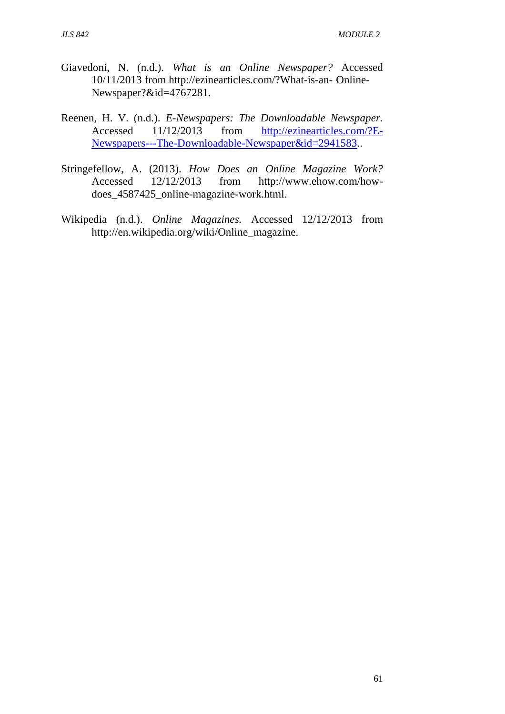- Giavedoni, N. (n.d.). *What is an Online Newspaper?* Accessed 10/11/2013 from http://ezinearticles.com/?What-is-an- Online-Newspaper?&id=4767281.
- Reenen, H. V. (n.d.). *E-Newspapers: The Downloadable Newspaper.* Accessed 11/12/2013 from http://ezinearticles.com/?E-Newspapers---The-Downloadable-Newspaper&id=2941583..
- Stringefellow, A. (2013). *How Does an Online Magazine Work?* Accessed 12/12/2013 from http://www.ehow.com/howdoes\_4587425\_online-magazine-work.html.
- Wikipedia (n.d.). *Online Magazines.* Accessed 12/12/2013 from http://en.wikipedia.org/wiki/Online\_magazine.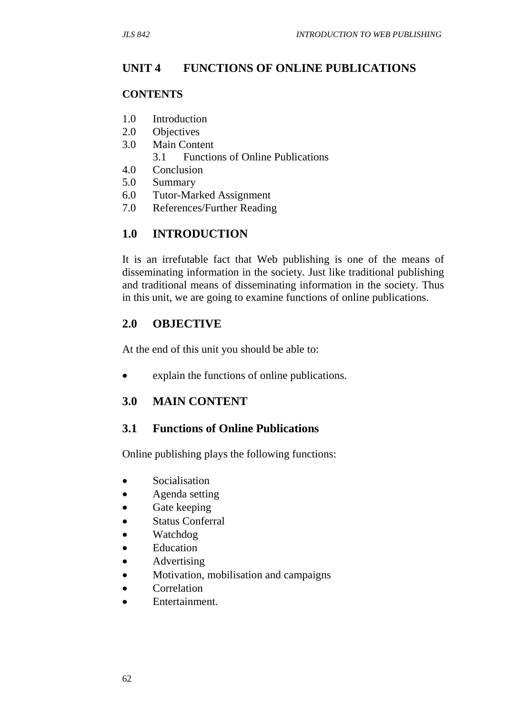## **UNIT 4 FUNCTIONS OF ONLINE PUBLICATIONS**

#### **CONTENTS**

- 1.0 Introduction
- 2.0 Objectives
- 3.0 Main Content
	- 3.1 Functions of Online Publications
- 4.0 Conclusion
- 5.0 Summary
- 6.0 Tutor-Marked Assignment
- 7.0 References/Further Reading

## **1.0 INTRODUCTION**

It is an irrefutable fact that Web publishing is one of the means of disseminating information in the society. Just like traditional publishing and traditional means of disseminating information in the society. Thus in this unit, we are going to examine functions of online publications.

## **2.0 OBJECTIVE**

At the end of this unit you should be able to:

explain the functions of online publications.

## **3.0 MAIN CONTENT**

### **3.1 Functions of Online Publications**

Online publishing plays the following functions:

- Socialisation
- Agenda setting
- Gate keeping
- Status Conferral
- Watchdog
- Education
- Advertising
- Motivation, mobilisation and campaigns
- Correlation
- Entertainment.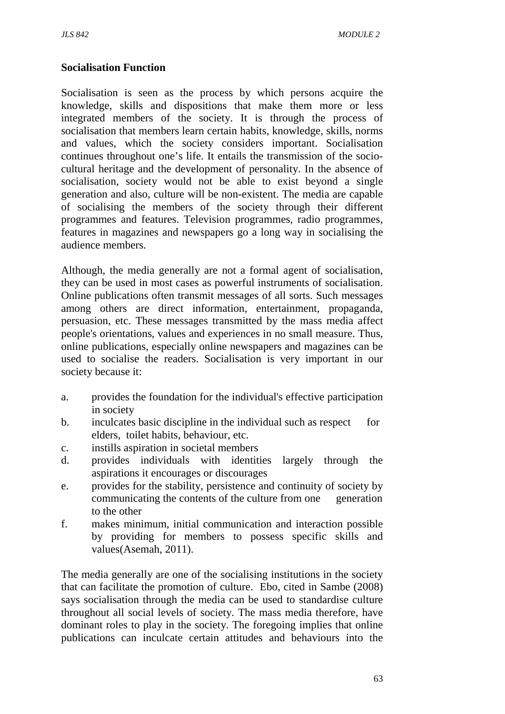#### **Socialisation Function**

Socialisation is seen as the process by which persons acquire the knowledge, skills and dispositions that make them more or less integrated members of the society. It is through the process of socialisation that members learn certain habits, knowledge, skills, norms and values, which the society considers important. Socialisation continues throughout one's life. It entails the transmission of the sociocultural heritage and the development of personality. In the absence of socialisation, society would not be able to exist beyond a single generation and also, culture will be non-existent. The media are capable of socialising the members of the society through their different programmes and features. Television programmes, radio programmes, features in magazines and newspapers go a long way in socialising the audience members.

Although, the media generally are not a formal agent of socialisation, they can be used in most cases as powerful instruments of socialisation. Online publications often transmit messages of all sorts. Such messages among others are direct information, entertainment, propaganda, persuasion, etc. These messages transmitted by the mass media affect people's orientations, values and experiences in no small measure. Thus, online publications, especially online newspapers and magazines can be used to socialise the readers. Socialisation is very important in our society because it:

- a. provides the foundation for the individual's effective participation in society
- b. inculcates basic discipline in the individual such as respect for elders, toilet habits, behaviour, etc.
- c. instills aspiration in societal members
- d. provides individuals with identities largely through the aspirations it encourages or discourages
- e. provides for the stability, persistence and continuity of society by communicating the contents of the culture from one generation to the other
- f. makes minimum, initial communication and interaction possible by providing for members to possess specific skills and values(Asemah, 2011).

The media generally are one of the socialising institutions in the society that can facilitate the promotion of culture. Ebo, cited in Sambe (2008) says socialisation through the media can be used to standardise culture throughout all social levels of society. The mass media therefore, have dominant roles to play in the society. The foregoing implies that online publications can inculcate certain attitudes and behaviours into the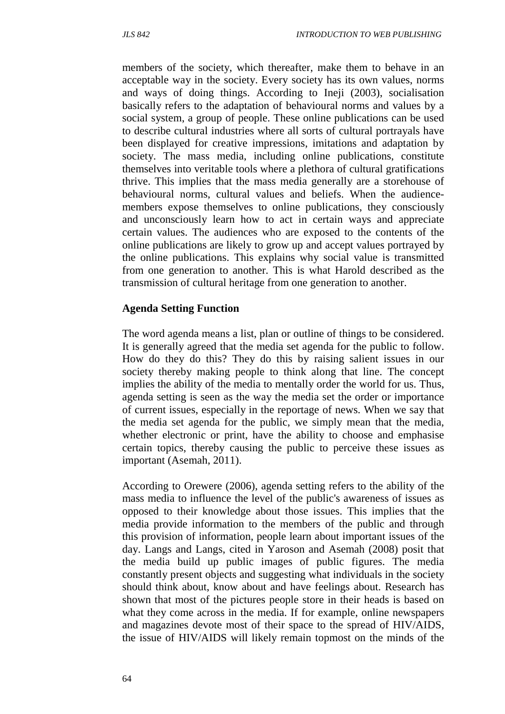members of the society, which thereafter, make them to behave in an acceptable way in the society. Every society has its own values, norms and ways of doing things. According to Ineji (2003), socialisation basically refers to the adaptation of behavioural norms and values by a social system, a group of people. These online publications can be used to describe cultural industries where all sorts of cultural portrayals have been displayed for creative impressions, imitations and adaptation by society. The mass media, including online publications, constitute themselves into veritable tools where a plethora of cultural gratifications thrive. This implies that the mass media generally are a storehouse of behavioural norms, cultural values and beliefs. When the audiencemembers expose themselves to online publications, they consciously and unconsciously learn how to act in certain ways and appreciate certain values. The audiences who are exposed to the contents of the online publications are likely to grow up and accept values portrayed by the online publications. This explains why social value is transmitted from one generation to another. This is what Harold described as the transmission of cultural heritage from one generation to another.

#### **Agenda Setting Function**

The word agenda means a list, plan or outline of things to be considered. It is generally agreed that the media set agenda for the public to follow. How do they do this? They do this by raising salient issues in our society thereby making people to think along that line. The concept implies the ability of the media to mentally order the world for us. Thus, agenda setting is seen as the way the media set the order or importance of current issues, especially in the reportage of news. When we say that the media set agenda for the public, we simply mean that the media, whether electronic or print, have the ability to choose and emphasise certain topics, thereby causing the public to perceive these issues as important (Asemah, 2011).

According to Orewere (2006), agenda setting refers to the ability of the mass media to influence the level of the public's awareness of issues as opposed to their knowledge about those issues. This implies that the media provide information to the members of the public and through this provision of information, people learn about important issues of the day. Langs and Langs, cited in Yaroson and Asemah (2008) posit that the media build up public images of public figures. The media constantly present objects and suggesting what individuals in the society should think about, know about and have feelings about. Research has shown that most of the pictures people store in their heads is based on what they come across in the media. If for example, online newspapers and magazines devote most of their space to the spread of HIV/AIDS, the issue of HIV/AIDS will likely remain topmost on the minds of the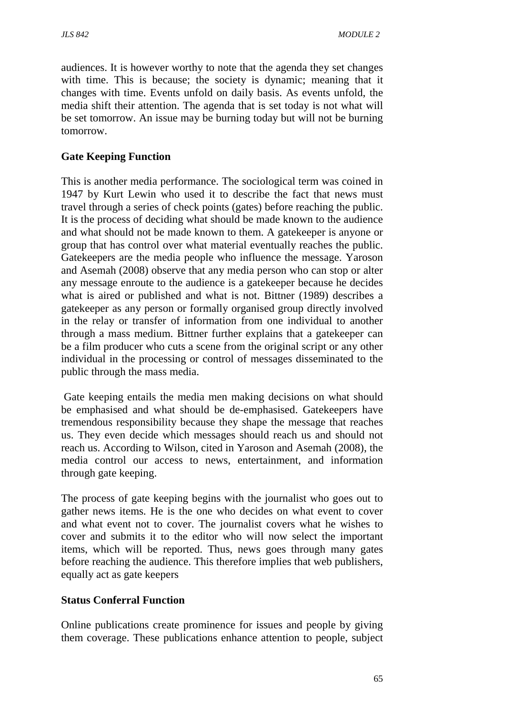audiences. It is however worthy to note that the agenda they set changes with time. This is because; the society is dynamic; meaning that it changes with time. Events unfold on daily basis. As events unfold, the media shift their attention. The agenda that is set today is not what will be set tomorrow. An issue may be burning today but will not be burning tomorrow.

#### **Gate Keeping Function**

This is another media performance. The sociological term was coined in 1947 by Kurt Lewin who used it to describe the fact that news must travel through a series of check points (gates) before reaching the public. It is the process of deciding what should be made known to the audience and what should not be made known to them. A gatekeeper is anyone or group that has control over what material eventually reaches the public. Gatekeepers are the media people who influence the message. Yaroson and Asemah (2008) observe that any media person who can stop or alter any message enroute to the audience is a gatekeeper because he decides what is aired or published and what is not. Bittner (1989) describes a gatekeeper as any person or formally organised group directly involved in the relay or transfer of information from one individual to another through a mass medium. Bittner further explains that a gatekeeper can be a film producer who cuts a scene from the original script or any other individual in the processing or control of messages disseminated to the public through the mass media.

 Gate keeping entails the media men making decisions on what should be emphasised and what should be de-emphasised. Gatekeepers have tremendous responsibility because they shape the message that reaches us. They even decide which messages should reach us and should not reach us. According to Wilson, cited in Yaroson and Asemah (2008), the media control our access to news, entertainment, and information through gate keeping.

The process of gate keeping begins with the journalist who goes out to gather news items. He is the one who decides on what event to cover and what event not to cover. The journalist covers what he wishes to cover and submits it to the editor who will now select the important items, which will be reported. Thus, news goes through many gates before reaching the audience. This therefore implies that web publishers, equally act as gate keepers

#### **Status Conferral Function**

Online publications create prominence for issues and people by giving them coverage. These publications enhance attention to people, subject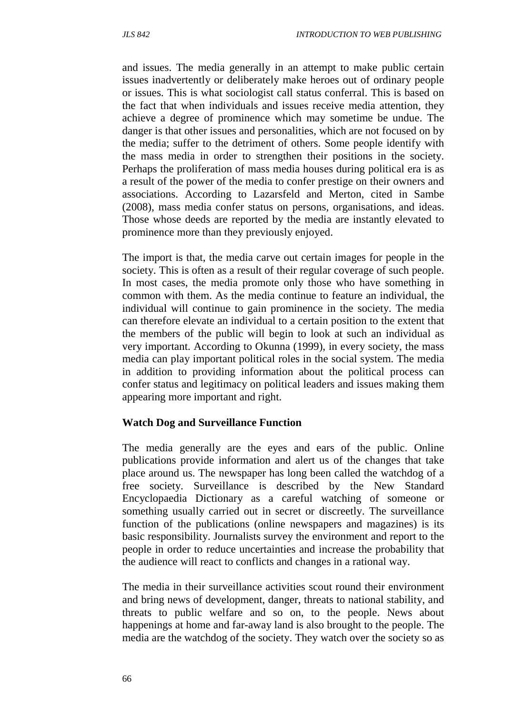and issues. The media generally in an attempt to make public certain issues inadvertently or deliberately make heroes out of ordinary people or issues. This is what sociologist call status conferral. This is based on the fact that when individuals and issues receive media attention, they achieve a degree of prominence which may sometime be undue. The danger is that other issues and personalities, which are not focused on by the media; suffer to the detriment of others. Some people identify with the mass media in order to strengthen their positions in the society. Perhaps the proliferation of mass media houses during political era is as a result of the power of the media to confer prestige on their owners and associations. According to Lazarsfeld and Merton, cited in Sambe (2008), mass media confer status on persons, organisations, and ideas. Those whose deeds are reported by the media are instantly elevated to prominence more than they previously enjoyed.

The import is that, the media carve out certain images for people in the society. This is often as a result of their regular coverage of such people. In most cases, the media promote only those who have something in common with them. As the media continue to feature an individual, the individual will continue to gain prominence in the society. The media can therefore elevate an individual to a certain position to the extent that the members of the public will begin to look at such an individual as very important. According to Okunna (1999), in every society, the mass media can play important political roles in the social system. The media in addition to providing information about the political process can confer status and legitimacy on political leaders and issues making them appearing more important and right.

#### **Watch Dog and Surveillance Function**

The media generally are the eyes and ears of the public. Online publications provide information and alert us of the changes that take place around us. The newspaper has long been called the watchdog of a free society. Surveillance is described by the New Standard Encyclopaedia Dictionary as a careful watching of someone or something usually carried out in secret or discreetly. The surveillance function of the publications (online newspapers and magazines) is its basic responsibility. Journalists survey the environment and report to the people in order to reduce uncertainties and increase the probability that the audience will react to conflicts and changes in a rational way.

The media in their surveillance activities scout round their environment and bring news of development, danger, threats to national stability, and threats to public welfare and so on, to the people. News about happenings at home and far-away land is also brought to the people. The media are the watchdog of the society. They watch over the society so as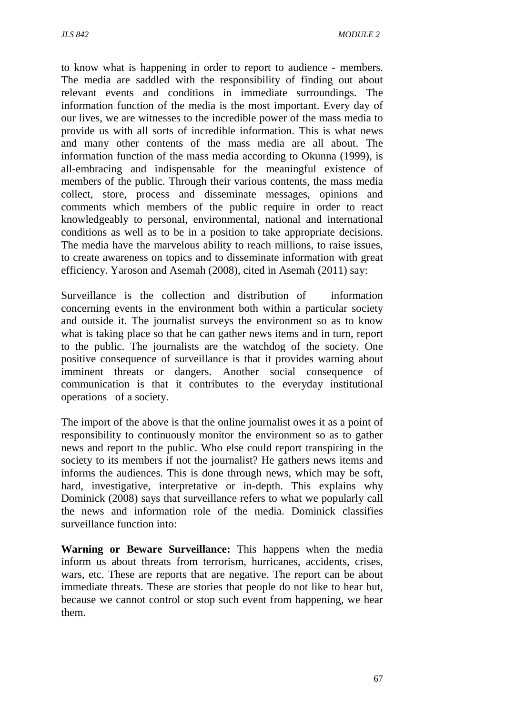to know what is happening in order to report to audience - members. The media are saddled with the responsibility of finding out about relevant events and conditions in immediate surroundings. The information function of the media is the most important. Every day of our lives, we are witnesses to the incredible power of the mass media to provide us with all sorts of incredible information. This is what news and many other contents of the mass media are all about. The information function of the mass media according to Okunna (1999), is all-embracing and indispensable for the meaningful existence of members of the public. Through their various contents, the mass media collect, store, process and disseminate messages, opinions and comments which members of the public require in order to react knowledgeably to personal, environmental, national and international conditions as well as to be in a position to take appropriate decisions. The media have the marvelous ability to reach millions, to raise issues, to create awareness on topics and to disseminate information with great efficiency. Yaroson and Asemah (2008), cited in Asemah (2011) say:

Surveillance is the collection and distribution of information concerning events in the environment both within a particular society and outside it. The journalist surveys the environment so as to know what is taking place so that he can gather news items and in turn, report to the public. The journalists are the watchdog of the society. One positive consequence of surveillance is that it provides warning about imminent threats or dangers. Another social consequence of communication is that it contributes to the everyday institutional operations of a society.

The import of the above is that the online journalist owes it as a point of responsibility to continuously monitor the environment so as to gather news and report to the public. Who else could report transpiring in the society to its members if not the journalist? He gathers news items and informs the audiences. This is done through news, which may be soft, hard, investigative, interpretative or in-depth. This explains why Dominick (2008) says that surveillance refers to what we popularly call the news and information role of the media. Dominick classifies surveillance function into:

**Warning or Beware Surveillance:** This happens when the media inform us about threats from terrorism, hurricanes, accidents, crises, wars, etc. These are reports that are negative. The report can be about immediate threats. These are stories that people do not like to hear but, because we cannot control or stop such event from happening, we hear them.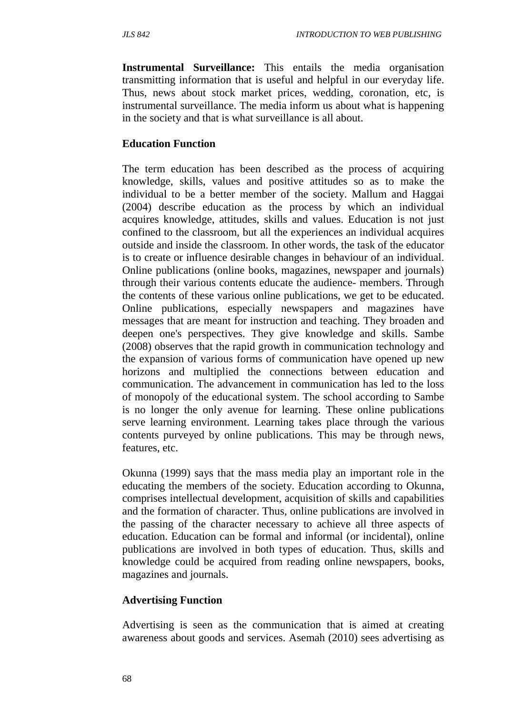**Instrumental Surveillance:** This entails the media organisation transmitting information that is useful and helpful in our everyday life. Thus, news about stock market prices, wedding, coronation, etc, is instrumental surveillance. The media inform us about what is happening in the society and that is what surveillance is all about.

#### **Education Function**

The term education has been described as the process of acquiring knowledge, skills, values and positive attitudes so as to make the individual to be a better member of the society. Mallum and Haggai (2004) describe education as the process by which an individual acquires knowledge, attitudes, skills and values. Education is not just confined to the classroom, but all the experiences an individual acquires outside and inside the classroom. In other words, the task of the educator is to create or influence desirable changes in behaviour of an individual. Online publications (online books, magazines, newspaper and journals) through their various contents educate the audience- members. Through the contents of these various online publications, we get to be educated. Online publications, especially newspapers and magazines have messages that are meant for instruction and teaching. They broaden and deepen one's perspectives. They give knowledge and skills. Sambe (2008) observes that the rapid growth in communication technology and the expansion of various forms of communication have opened up new horizons and multiplied the connections between education and communication. The advancement in communication has led to the loss of monopoly of the educational system. The school according to Sambe is no longer the only avenue for learning. These online publications serve learning environment. Learning takes place through the various contents purveyed by online publications. This may be through news, features, etc.

Okunna (1999) says that the mass media play an important role in the educating the members of the society. Education according to Okunna, comprises intellectual development, acquisition of skills and capabilities and the formation of character. Thus, online publications are involved in the passing of the character necessary to achieve all three aspects of education. Education can be formal and informal (or incidental), online publications are involved in both types of education. Thus, skills and knowledge could be acquired from reading online newspapers, books, magazines and journals.

### **Advertising Function**

Advertising is seen as the communication that is aimed at creating awareness about goods and services. Asemah (2010) sees advertising as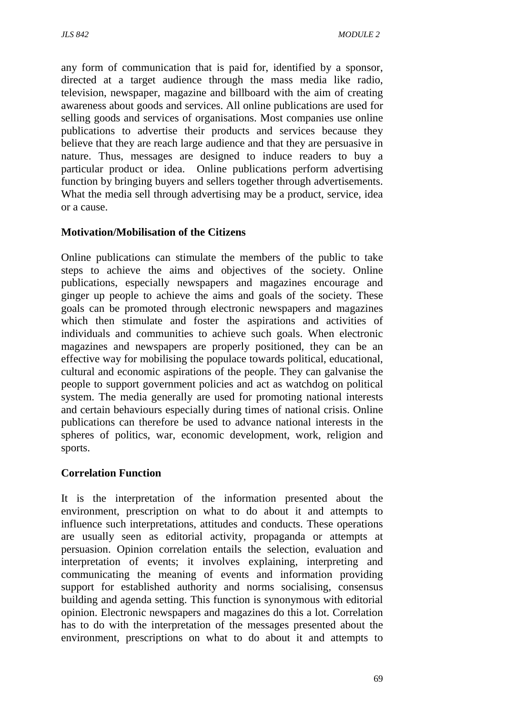any form of communication that is paid for, identified by a sponsor, directed at a target audience through the mass media like radio, television, newspaper, magazine and billboard with the aim of creating awareness about goods and services. All online publications are used for selling goods and services of organisations. Most companies use online publications to advertise their products and services because they believe that they are reach large audience and that they are persuasive in nature. Thus, messages are designed to induce readers to buy a particular product or idea. Online publications perform advertising function by bringing buyers and sellers together through advertisements. What the media sell through advertising may be a product, service, idea or a cause.

#### **Motivation/Mobilisation of the Citizens**

Online publications can stimulate the members of the public to take steps to achieve the aims and objectives of the society. Online publications, especially newspapers and magazines encourage and ginger up people to achieve the aims and goals of the society. These goals can be promoted through electronic newspapers and magazines which then stimulate and foster the aspirations and activities of individuals and communities to achieve such goals. When electronic magazines and newspapers are properly positioned, they can be an effective way for mobilising the populace towards political, educational, cultural and economic aspirations of the people. They can galvanise the people to support government policies and act as watchdog on political system. The media generally are used for promoting national interests and certain behaviours especially during times of national crisis. Online publications can therefore be used to advance national interests in the spheres of politics, war, economic development, work, religion and sports.

#### **Correlation Function**

It is the interpretation of the information presented about the environment, prescription on what to do about it and attempts to influence such interpretations, attitudes and conducts. These operations are usually seen as editorial activity, propaganda or attempts at persuasion. Opinion correlation entails the selection, evaluation and interpretation of events; it involves explaining, interpreting and communicating the meaning of events and information providing support for established authority and norms socialising, consensus building and agenda setting. This function is synonymous with editorial opinion. Electronic newspapers and magazines do this a lot. Correlation has to do with the interpretation of the messages presented about the environment, prescriptions on what to do about it and attempts to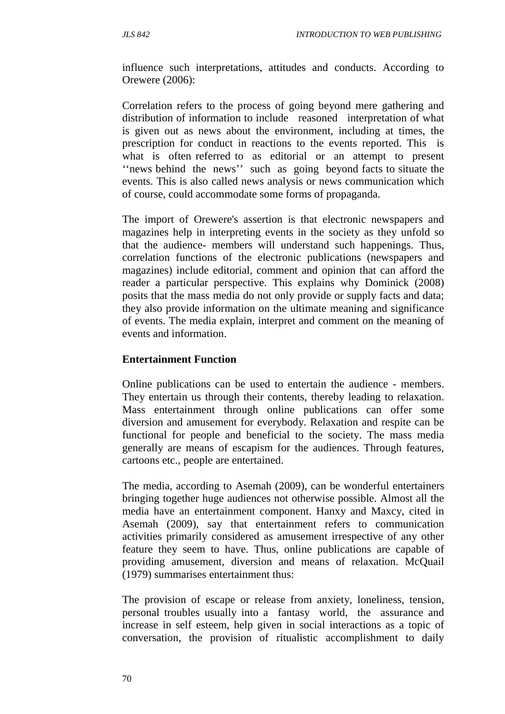influence such interpretations, attitudes and conducts. According to Orewere (2006):

Correlation refers to the process of going beyond mere gathering and distribution of information to include reasoned interpretation of what is given out as news about the environment, including at times, the prescription for conduct in reactions to the events reported. This is what is often referred to as editorial or an attempt to present ''news behind the news'' such as going beyond facts to situate the events. This is also called news analysis or news communication which of course, could accommodate some forms of propaganda.

The import of Orewere's assertion is that electronic newspapers and magazines help in interpreting events in the society as they unfold so that the audience- members will understand such happenings. Thus, correlation functions of the electronic publications (newspapers and magazines) include editorial, comment and opinion that can afford the reader a particular perspective. This explains why Dominick (2008) posits that the mass media do not only provide or supply facts and data; they also provide information on the ultimate meaning and significance of events. The media explain, interpret and comment on the meaning of events and information.

#### **Entertainment Function**

Online publications can be used to entertain the audience - members. They entertain us through their contents, thereby leading to relaxation. Mass entertainment through online publications can offer some diversion and amusement for everybody. Relaxation and respite can be functional for people and beneficial to the society. The mass media generally are means of escapism for the audiences. Through features, cartoons etc., people are entertained.

The media, according to Asemah (2009), can be wonderful entertainers bringing together huge audiences not otherwise possible. Almost all the media have an entertainment component. Hanxy and Maxcy, cited in Asemah (2009), say that entertainment refers to communication activities primarily considered as amusement irrespective of any other feature they seem to have. Thus, online publications are capable of providing amusement, diversion and means of relaxation. McQuail (1979) summarises entertainment thus:

The provision of escape or release from anxiety, loneliness, tension, personal troubles usually into a fantasy world, the assurance and increase in self esteem, help given in social interactions as a topic of conversation, the provision of ritualistic accomplishment to daily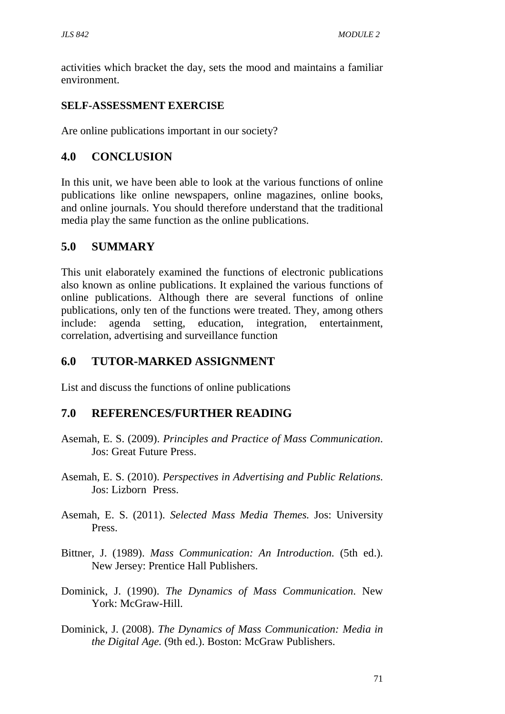activities which bracket the day, sets the mood and maintains a familiar environment.

### **SELF-ASSESSMENT EXERCISE**

Are online publications important in our society?

## **4.0 CONCLUSION**

In this unit, we have been able to look at the various functions of online publications like online newspapers, online magazines, online books, and online journals. You should therefore understand that the traditional media play the same function as the online publications.

### **5.0 SUMMARY**

This unit elaborately examined the functions of electronic publications also known as online publications. It explained the various functions of online publications. Although there are several functions of online publications, only ten of the functions were treated. They, among others include: agenda setting, education, integration, entertainment, correlation, advertising and surveillance function

### **6.0 TUTOR-MARKED ASSIGNMENT**

List and discuss the functions of online publications

### **7.0 REFERENCES/FURTHER READING**

- Asemah, E. S. (2009). *Principles and Practice of Mass Communication*. Jos: Great Future Press.
- Asemah, E. S. (2010). *Perspectives in Advertising and Public Relations*. Jos: Lizborn Press.
- Asemah, E. S. (2011). *Selected Mass Media Themes.* Jos: University Press.
- Bittner, J. (1989). *Mass Communication: An Introduction.* (5th ed.). New Jersey: Prentice Hall Publishers.
- Dominick, J. (1990). *The Dynamics of Mass Communication*. New York: McGraw-Hill.
- Dominick, J. (2008). *The Dynamics of Mass Communication: Media in the Digital Age.* (9th ed.). Boston: McGraw Publishers.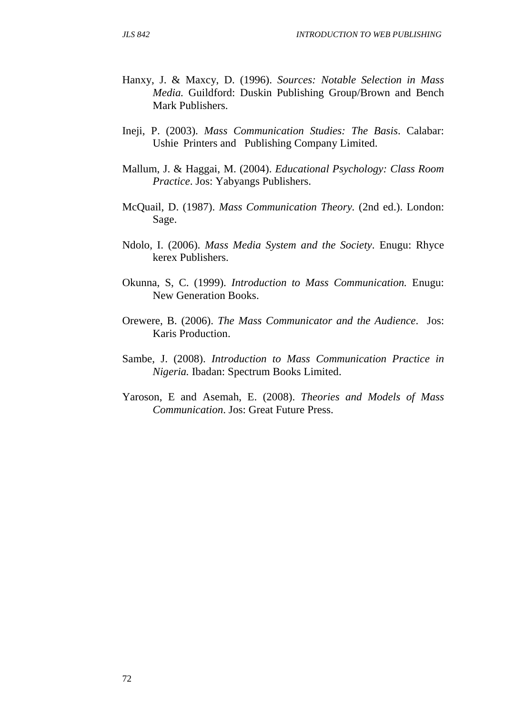- Hanxy, J. & Maxcy, D. (1996). *Sources: Notable Selection in Mass Media.* Guildford: Duskin Publishing Group/Brown and Bench Mark Publishers.
- Ineji, P. (2003). *Mass Communication Studies: The Basis*. Calabar: Ushie Printers and Publishing Company Limited.
- Mallum, J. & Haggai, M. (2004). *Educational Psychology: Class Room Practice*. Jos: Yabyangs Publishers.
- McQuail, D. (1987). *Mass Communication Theory.* (2nd ed.). London: Sage.
- Ndolo, I. (2006). *Mass Media System and the Society*. Enugu: Rhyce kerex Publishers.
- Okunna, S, C. (1999). *Introduction to Mass Communication.* Enugu: New Generation Books.
- Orewere, B. (2006). *The Mass Communicator and the Audience*. Jos: Karis Production.
- Sambe, J. (2008). *Introduction to Mass Communication Practice in Nigeria.* Ibadan: Spectrum Books Limited.
- Yaroson, E and Asemah, E. (2008). *Theories and Models of Mass Communication*. Jos: Great Future Press.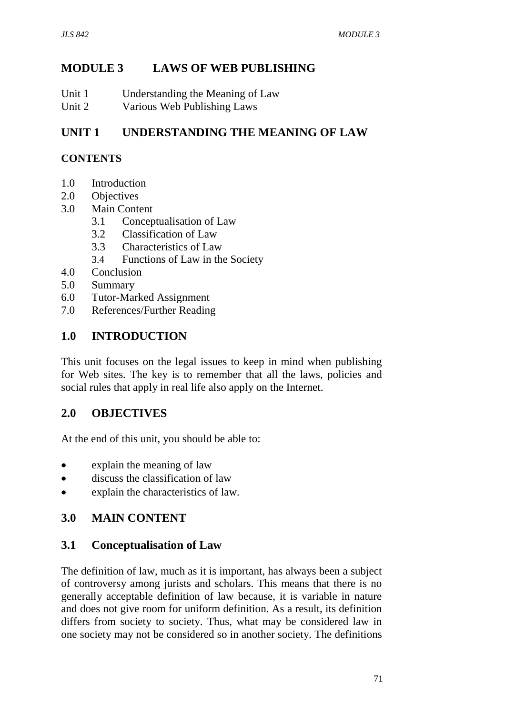# **MODULE 3 LAWS OF WEB PUBLISHING**

- Unit 1 Understanding the Meaning of Law
- Unit 2 Various Web Publishing Laws

# **UNIT 1 UNDERSTANDING THE MEANING OF LAW**

## **CONTENTS**

- 1.0 Introduction
- 2.0 Objectives
- 3.0 Main Content
	- 3.1 Conceptualisation of Law
	- 3.2 Classification of Law
	- 3.3 Characteristics of Law
	- 3.4 Functions of Law in the Society
- 4.0 Conclusion
- 5.0 Summary
- 6.0 Tutor-Marked Assignment
- 7.0 References/Further Reading

## **1.0 INTRODUCTION**

This unit focuses on the legal issues to keep in mind when publishing for Web sites. The key is to remember that all the laws, policies and social rules that apply in real life also apply on the Internet.

## **2.0 OBJECTIVES**

At the end of this unit, you should be able to:

- explain the meaning of law
- discuss the classification of law
- explain the characteristics of law.

## **3.0 MAIN CONTENT**

### **3.1 Conceptualisation of Law**

The definition of law, much as it is important, has always been a subject of controversy among jurists and scholars. This means that there is no generally acceptable definition of law because, it is variable in nature and does not give room for uniform definition. As a result, its definition differs from society to society. Thus, what may be considered law in one society may not be considered so in another society. The definitions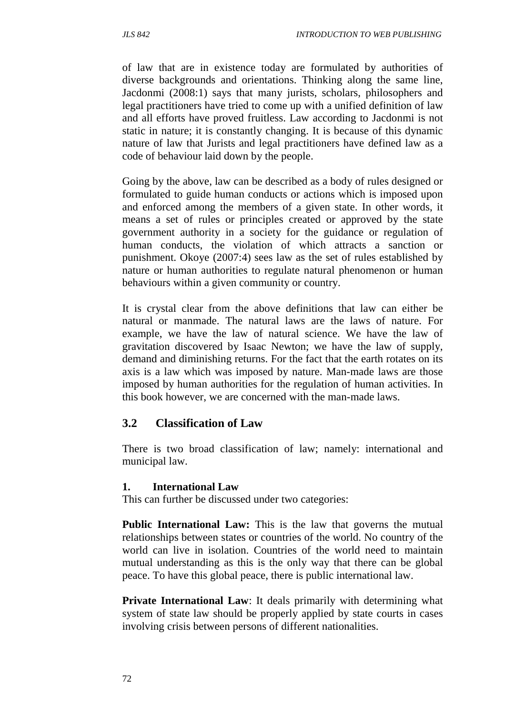of law that are in existence today are formulated by authorities of diverse backgrounds and orientations. Thinking along the same line, Jacdonmi (2008:1) says that many jurists, scholars, philosophers and legal practitioners have tried to come up with a unified definition of law and all efforts have proved fruitless. Law according to Jacdonmi is not static in nature; it is constantly changing. It is because of this dynamic nature of law that Jurists and legal practitioners have defined law as a code of behaviour laid down by the people.

Going by the above, law can be described as a body of rules designed or formulated to guide human conducts or actions which is imposed upon and enforced among the members of a given state. In other words, it means a set of rules or principles created or approved by the state government authority in a society for the guidance or regulation of human conducts, the violation of which attracts a sanction or punishment. Okoye (2007:4) sees law as the set of rules established by nature or human authorities to regulate natural phenomenon or human behaviours within a given community or country.

It is crystal clear from the above definitions that law can either be natural or manmade. The natural laws are the laws of nature. For example, we have the law of natural science. We have the law of gravitation discovered by Isaac Newton; we have the law of supply, demand and diminishing returns. For the fact that the earth rotates on its axis is a law which was imposed by nature. Man-made laws are those imposed by human authorities for the regulation of human activities. In this book however, we are concerned with the man-made laws.

### **3.2 Classification of Law**

There is two broad classification of law; namely: international and municipal law.

#### **1. International Law**

This can further be discussed under two categories:

**Public International Law:** This is the law that governs the mutual relationships between states or countries of the world. No country of the world can live in isolation. Countries of the world need to maintain mutual understanding as this is the only way that there can be global peace. To have this global peace, there is public international law.

**Private International Law**: It deals primarily with determining what system of state law should be properly applied by state courts in cases involving crisis between persons of different nationalities.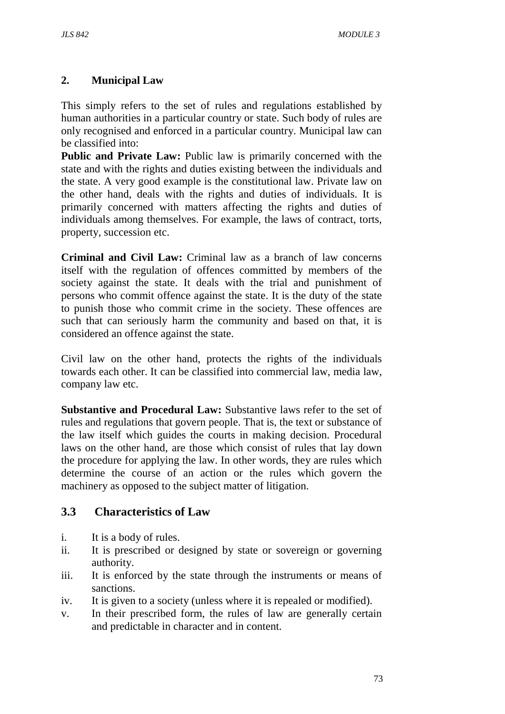#### **2. Municipal Law**

This simply refers to the set of rules and regulations established by human authorities in a particular country or state. Such body of rules are only recognised and enforced in a particular country. Municipal law can be classified into:

**Public and Private Law:** Public law is primarily concerned with the state and with the rights and duties existing between the individuals and the state. A very good example is the constitutional law. Private law on the other hand, deals with the rights and duties of individuals. It is primarily concerned with matters affecting the rights and duties of individuals among themselves. For example, the laws of contract, torts, property, succession etc.

**Criminal and Civil Law:** Criminal law as a branch of law concerns itself with the regulation of offences committed by members of the society against the state. It deals with the trial and punishment of persons who commit offence against the state. It is the duty of the state to punish those who commit crime in the society. These offences are such that can seriously harm the community and based on that, it is considered an offence against the state.

Civil law on the other hand, protects the rights of the individuals towards each other. It can be classified into commercial law, media law, company law etc.

**Substantive and Procedural Law:** Substantive laws refer to the set of rules and regulations that govern people. That is, the text or substance of the law itself which guides the courts in making decision. Procedural laws on the other hand, are those which consist of rules that lay down the procedure for applying the law. In other words, they are rules which determine the course of an action or the rules which govern the machinery as opposed to the subject matter of litigation.

## **3.3 Characteristics of Law**

- i. It is a body of rules.
- ii. It is prescribed or designed by state or sovereign or governing authority.
- iii. It is enforced by the state through the instruments or means of sanctions.
- iv. It is given to a society (unless where it is repealed or modified).
- v. In their prescribed form, the rules of law are generally certain and predictable in character and in content.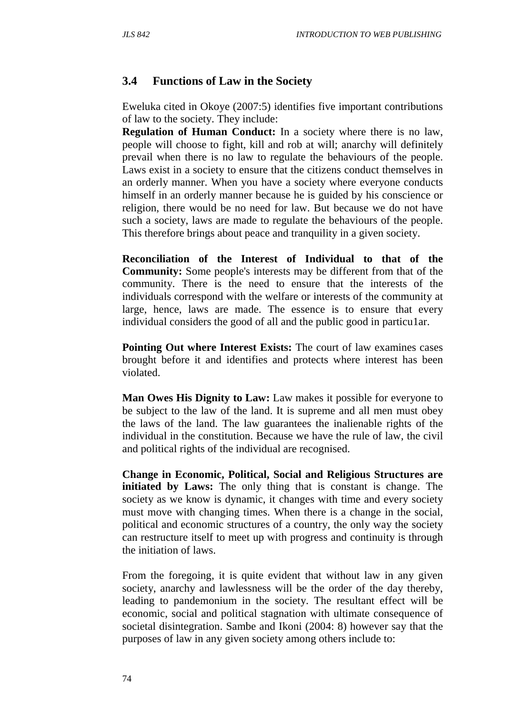### **3.4 Functions of Law in the Society**

Eweluka cited in Okoye (2007:5) identifies five important contributions of law to the society. They include:

**Regulation of Human Conduct:** In a society where there is no law, people will choose to fight, kill and rob at will; anarchy will definitely prevail when there is no law to regulate the behaviours of the people. Laws exist in a society to ensure that the citizens conduct themselves in an orderly manner. When you have a society where everyone conducts himself in an orderly manner because he is guided by his conscience or religion, there would be no need for law. But because we do not have such a society, laws are made to regulate the behaviours of the people. This therefore brings about peace and tranquility in a given society.

**Reconciliation of the Interest of Individual to that of the Community:** Some people's interests may be different from that of the community. There is the need to ensure that the interests of the individuals correspond with the welfare or interests of the community at large, hence, laws are made. The essence is to ensure that every individual considers the good of all and the public good in particu1ar.

**Pointing Out where Interest Exists:** The court of law examines cases brought before it and identifies and protects where interest has been violated.

**Man Owes His Dignity to Law:** Law makes it possible for everyone to be subject to the law of the land. It is supreme and all men must obey the laws of the land. The law guarantees the inalienable rights of the individual in the constitution. Because we have the rule of law, the civil and political rights of the individual are recognised.

**Change in Economic, Political, Social and Religious Structures are initiated by Laws:** The only thing that is constant is change. The society as we know is dynamic, it changes with time and every society must move with changing times. When there is a change in the social, political and economic structures of a country, the only way the society can restructure itself to meet up with progress and continuity is through the initiation of laws.

From the foregoing, it is quite evident that without law in any given society, anarchy and lawlessness will be the order of the day thereby, leading to pandemonium in the society. The resultant effect will be economic, social and political stagnation with ultimate consequence of societal disintegration. Sambe and Ikoni (2004: 8) however say that the purposes of law in any given society among others include to: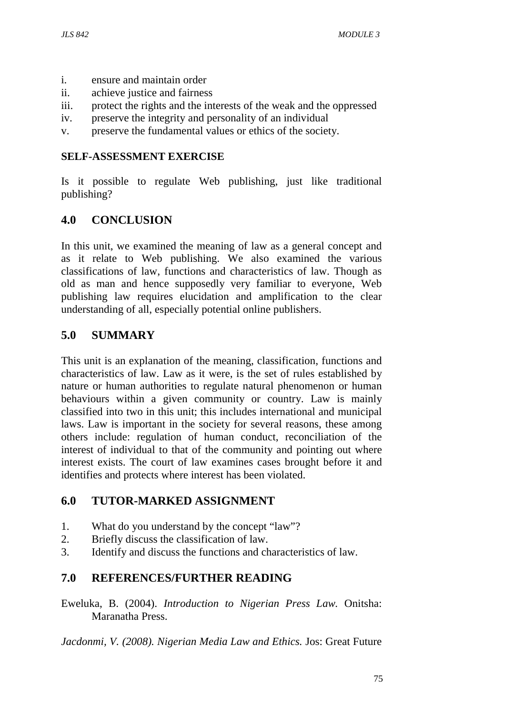- i. ensure and maintain order
- ii. achieve justice and fairness
- iii. protect the rights and the interests of the weak and the oppressed
- iv. preserve the integrity and personality of an individual
- v. preserve the fundamental values or ethics of the society.

#### **SELF-ASSESSMENT EXERCISE**

Is it possible to regulate Web publishing, just like traditional publishing?

## **4.0 CONCLUSION**

In this unit, we examined the meaning of law as a general concept and as it relate to Web publishing. We also examined the various classifications of law, functions and characteristics of law. Though as old as man and hence supposedly very familiar to everyone, Web publishing law requires elucidation and amplification to the clear understanding of all, especially potential online publishers.

### **5.0 SUMMARY**

This unit is an explanation of the meaning, classification, functions and characteristics of law. Law as it were, is the set of rules established by nature or human authorities to regulate natural phenomenon or human behaviours within a given community or country. Law is mainly classified into two in this unit; this includes international and municipal laws. Law is important in the society for several reasons, these among others include: regulation of human conduct, reconciliation of the interest of individual to that of the community and pointing out where interest exists. The court of law examines cases brought before it and identifies and protects where interest has been violated.

### **6.0 TUTOR-MARKED ASSIGNMENT**

- 1. What do you understand by the concept "law"?
- 2. Briefly discuss the classification of law.
- 3. Identify and discuss the functions and characteristics of law.

#### **7.0 REFERENCES/FURTHER READING**

Eweluka, B. (2004). *Introduction to Nigerian Press Law.* Onitsha: Maranatha Press.

*Jacdonmi, V. (2008). Nigerian Media Law and Ethics.* Jos: Great Future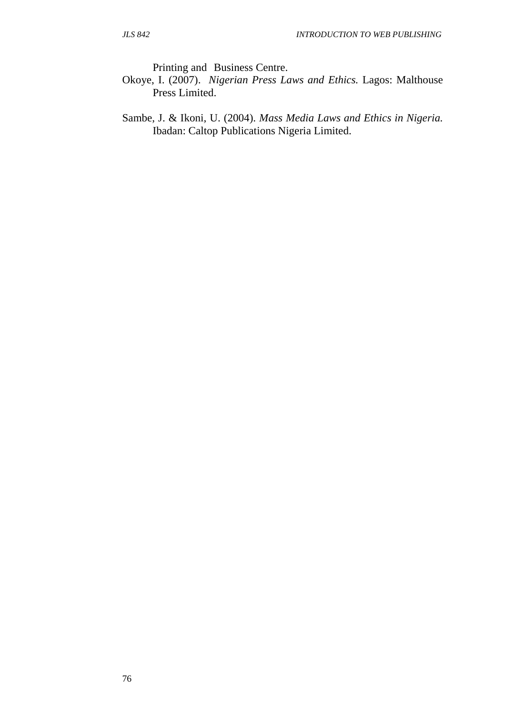Printing and Business Centre.

- Okoye, I. (2007). *Nigerian Press Laws and Ethics.* Lagos: Malthouse Press Limited.
- Sambe, J. & Ikoni, U. (2004). *Mass Media Laws and Ethics in Nigeria.*  Ibadan: Caltop Publications Nigeria Limited.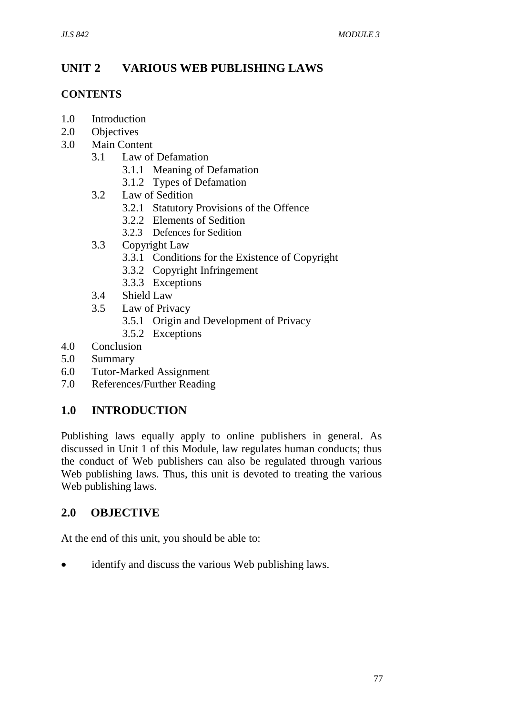# **UNIT 2 VARIOUS WEB PUBLISHING LAWS**

#### **CONTENTS**

- 1.0 Introduction
- 2.0 Objectives
- 3.0 Main Content
	- 3.1 Law of Defamation
		- 3.1.1 Meaning of Defamation
		- 3.1.2 Types of Defamation
	- 3.2 Law of Sedition
		- 3.2.1 Statutory Provisions of the Offence
		- 3.2.2 Elements of Sedition
		- 3.2.3 Defences for Sedition
	- 3.3 Copyright Law
		- 3.3.1 Conditions for the Existence of Copyright
		- 3.3.2 Copyright Infringement
		- 3.3.3 Exceptions
	- 3.4 Shield Law
	- 3.5 Law of Privacy
		- 3.5.1 Origin and Development of Privacy
		- 3.5.2 Exceptions
- 4.0 Conclusion
- 5.0 Summary
- 6.0 Tutor-Marked Assignment
- 7.0 References/Further Reading

## **1.0 INTRODUCTION**

Publishing laws equally apply to online publishers in general. As discussed in Unit 1 of this Module, law regulates human conducts; thus the conduct of Web publishers can also be regulated through various Web publishing laws. Thus, this unit is devoted to treating the various Web publishing laws.

## **2.0 OBJECTIVE**

At the end of this unit, you should be able to:

identify and discuss the various Web publishing laws.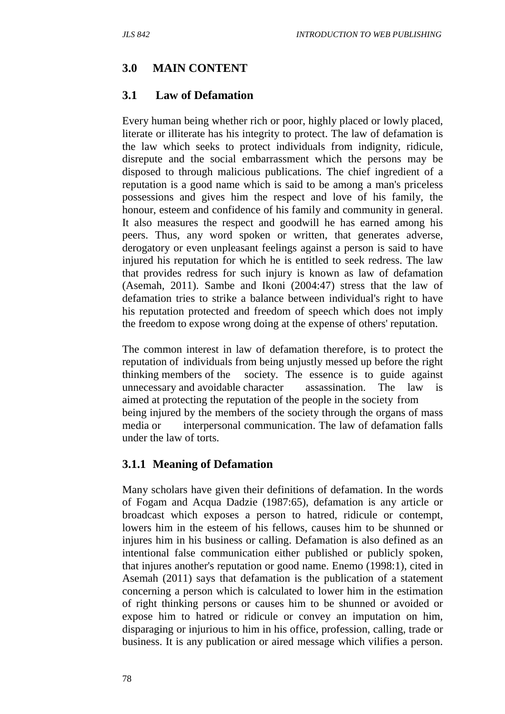## **3.0 MAIN CONTENT**

#### **3.1 Law of Defamation**

Every human being whether rich or poor, highly placed or lowly placed, literate or illiterate has his integrity to protect. The law of defamation is the law which seeks to protect individuals from indignity, ridicule, disrepute and the social embarrassment which the persons may be disposed to through malicious publications. The chief ingredient of a reputation is a good name which is said to be among a man's priceless possessions and gives him the respect and love of his family, the honour, esteem and confidence of his family and community in general. It also measures the respect and goodwill he has earned among his peers. Thus, any word spoken or written, that generates adverse, derogatory or even unpleasant feelings against a person is said to have injured his reputation for which he is entitled to seek redress. The law that provides redress for such injury is known as law of defamation (Asemah, 2011). Sambe and Ikoni (2004:47) stress that the law of defamation tries to strike a balance between individual's right to have his reputation protected and freedom of speech which does not imply the freedom to expose wrong doing at the expense of others' reputation.

The common interest in law of defamation therefore, is to protect the reputation of individuals from being unjustly messed up before the right thinking members of the society. The essence is to guide against unnecessary and avoidable character assassination. The law is aimed at protecting the reputation of the people in the society from being injured by the members of the society through the organs of mass media or interpersonal communication. The law of defamation falls under the law of torts.

### **3.1.1 Meaning of Defamation**

Many scholars have given their definitions of defamation. In the words of Fogam and Acqua Dadzie (1987:65), defamation is any article or broadcast which exposes a person to hatred, ridicule or contempt, lowers him in the esteem of his fellows, causes him to be shunned or injures him in his business or calling. Defamation is also defined as an intentional false communication either published or publicly spoken, that injures another's reputation or good name. Enemo (1998:1), cited in Asemah (2011) says that defamation is the publication of a statement concerning a person which is calculated to lower him in the estimation of right thinking persons or causes him to be shunned or avoided or expose him to hatred or ridicule or convey an imputation on him, disparaging or injurious to him in his office, profession, calling, trade or business. It is any publication or aired message which vilifies a person.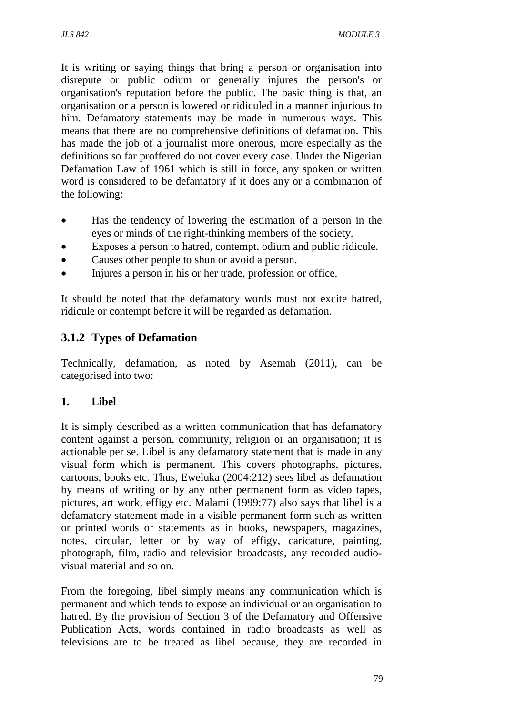It is writing or saying things that bring a person or organisation into disrepute or public odium or generally injures the person's or organisation's reputation before the public. The basic thing is that, an organisation or a person is lowered or ridiculed in a manner injurious to him. Defamatory statements may be made in numerous ways. This means that there are no comprehensive definitions of defamation. This has made the job of a journalist more onerous, more especially as the definitions so far proffered do not cover every case. Under the Nigerian Defamation Law of 1961 which is still in force, any spoken or written word is considered to be defamatory if it does any or a combination of the following:

- Has the tendency of lowering the estimation of a person in the eyes or minds of the right-thinking members of the society.
- Exposes a person to hatred, contempt, odium and public ridicule.
- Causes other people to shun or avoid a person.
- Injures a person in his or her trade, profession or office.

It should be noted that the defamatory words must not excite hatred, ridicule or contempt before it will be regarded as defamation.

## **3.1.2 Types of Defamation**

Technically, defamation, as noted by Asemah (2011), can be categorised into two:

### **1. Libel**

It is simply described as a written communication that has defamatory content against a person, community, religion or an organisation; it is actionable per se. Libel is any defamatory statement that is made in any visual form which is permanent. This covers photographs, pictures, cartoons, books etc. Thus, Eweluka (2004:212) sees libel as defamation by means of writing or by any other permanent form as video tapes, pictures, art work, effigy etc. Malami (1999:77) also says that libel is a defamatory statement made in a visible permanent form such as written or printed words or statements as in books, newspapers, magazines, notes, circular, letter or by way of effigy, caricature, painting, photograph, film, radio and television broadcasts, any recorded audiovisual material and so on.

From the foregoing, libel simply means any communication which is permanent and which tends to expose an individual or an organisation to hatred. By the provision of Section 3 of the Defamatory and Offensive Publication Acts, words contained in radio broadcasts as well as televisions are to be treated as libel because, they are recorded in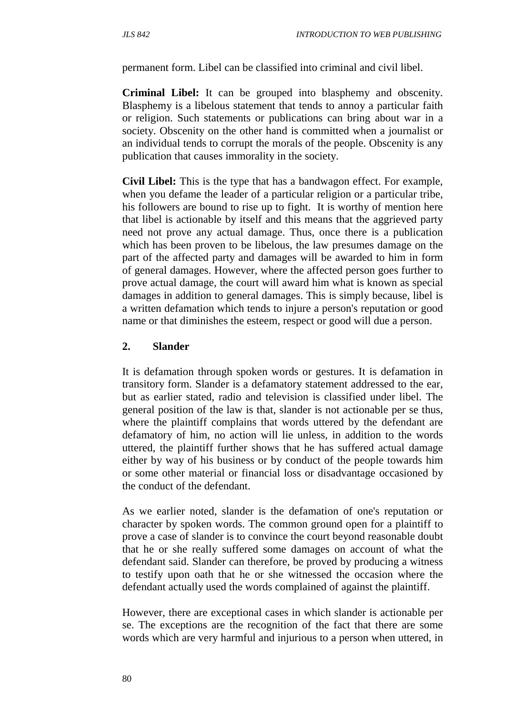permanent form. Libel can be classified into criminal and civil libel.

**Criminal Libel:** It can be grouped into blasphemy and obscenity. Blasphemy is a libelous statement that tends to annoy a particular faith or religion. Such statements or publications can bring about war in a society. Obscenity on the other hand is committed when a journalist or an individual tends to corrupt the morals of the people. Obscenity is any publication that causes immorality in the society.

**Civil Libel:** This is the type that has a bandwagon effect. For example, when you defame the leader of a particular religion or a particular tribe, his followers are bound to rise up to fight. It is worthy of mention here that libel is actionable by itself and this means that the aggrieved party need not prove any actual damage. Thus, once there is a publication which has been proven to be libelous, the law presumes damage on the part of the affected party and damages will be awarded to him in form of general damages. However, where the affected person goes further to prove actual damage, the court will award him what is known as special damages in addition to general damages. This is simply because, libel is a written defamation which tends to injure a person's reputation or good name or that diminishes the esteem, respect or good will due a person.

#### **2. Slander**

It is defamation through spoken words or gestures. It is defamation in transitory form. Slander is a defamatory statement addressed to the ear, but as earlier stated, radio and television is classified under libel. The general position of the law is that, slander is not actionable per se thus, where the plaintiff complains that words uttered by the defendant are defamatory of him, no action will lie unless, in addition to the words uttered, the plaintiff further shows that he has suffered actual damage either by way of his business or by conduct of the people towards him or some other material or financial loss or disadvantage occasioned by the conduct of the defendant.

As we earlier noted, slander is the defamation of one's reputation or character by spoken words. The common ground open for a plaintiff to prove a case of slander is to convince the court beyond reasonable doubt that he or she really suffered some damages on account of what the defendant said. Slander can therefore, be proved by producing a witness to testify upon oath that he or she witnessed the occasion where the defendant actually used the words complained of against the plaintiff.

However, there are exceptional cases in which slander is actionable per se. The exceptions are the recognition of the fact that there are some words which are very harmful and injurious to a person when uttered, in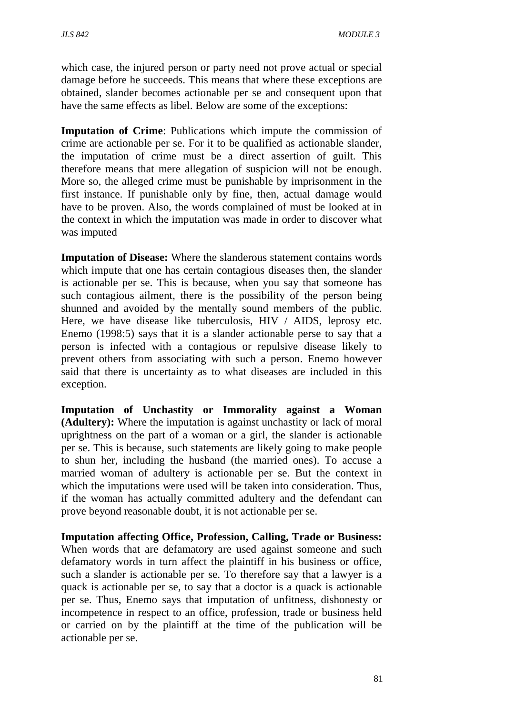which case, the injured person or party need not prove actual or special damage before he succeeds. This means that where these exceptions are obtained, slander becomes actionable per se and consequent upon that have the same effects as libel. Below are some of the exceptions:

**Imputation of Crime**: Publications which impute the commission of crime are actionable per se. For it to be qualified as actionable slander, the imputation of crime must be a direct assertion of guilt. This therefore means that mere allegation of suspicion will not be enough. More so, the alleged crime must be punishable by imprisonment in the first instance. If punishable only by fine, then, actual damage would have to be proven. Also, the words complained of must be looked at in the context in which the imputation was made in order to discover what was imputed

**Imputation of Disease:** Where the slanderous statement contains words which impute that one has certain contagious diseases then, the slander is actionable per se. This is because, when you say that someone has such contagious ailment, there is the possibility of the person being shunned and avoided by the mentally sound members of the public. Here, we have disease like tuberculosis, HIV / AIDS, leprosy etc. Enemo (1998:5) says that it is a slander actionable perse to say that a person is infected with a contagious or repulsive disease likely to prevent others from associating with such a person. Enemo however said that there is uncertainty as to what diseases are included in this exception.

**Imputation of Unchastity or Immorality against a Woman (Adultery):** Where the imputation is against unchastity or lack of moral uprightness on the part of a woman or a girl, the slander is actionable per se. This is because, such statements are likely going to make people to shun her, including the husband (the married ones). To accuse a married woman of adultery is actionable per se. But the context in which the imputations were used will be taken into consideration. Thus, if the woman has actually committed adultery and the defendant can prove beyond reasonable doubt, it is not actionable per se.

**Imputation affecting Office, Profession, Calling, Trade or Business:**  When words that are defamatory are used against someone and such defamatory words in turn affect the plaintiff in his business or office, such a slander is actionable per se. To therefore say that a lawyer is a quack is actionable per se, to say that a doctor is a quack is actionable per se. Thus, Enemo says that imputation of unfitness, dishonesty or incompetence in respect to an office, profession, trade or business held or carried on by the plaintiff at the time of the publication will be actionable per se.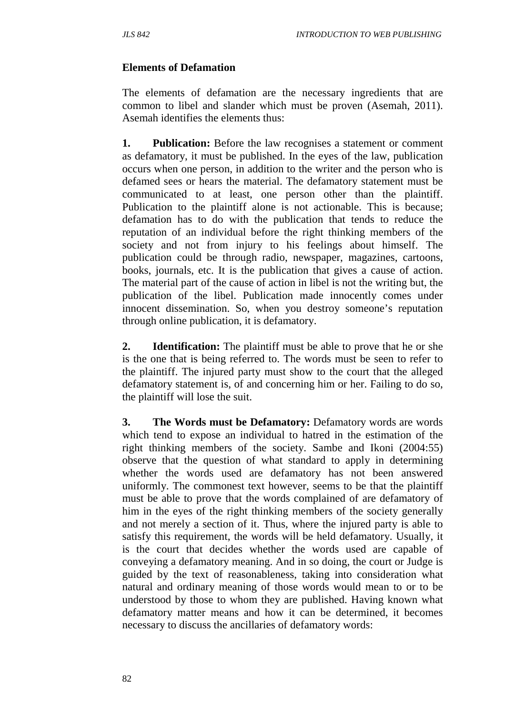### **Elements of Defamation**

The elements of defamation are the necessary ingredients that are common to libel and slander which must be proven (Asemah, 2011). Asemah identifies the elements thus:

1. **Publication:** Before the law recognises a statement or comment as defamatory, it must be published. In the eyes of the law, publication occurs when one person, in addition to the writer and the person who is defamed sees or hears the material. The defamatory statement must be communicated to at least, one person other than the plaintiff. Publication to the plaintiff alone is not actionable. This is because; defamation has to do with the publication that tends to reduce the reputation of an individual before the right thinking members of the society and not from injury to his feelings about himself. The publication could be through radio, newspaper, magazines, cartoons, books, journals, etc. It is the publication that gives a cause of action. The material part of the cause of action in libel is not the writing but, the publication of the libel. Publication made innocently comes under innocent dissemination. So, when you destroy someone's reputation through online publication, it is defamatory.

**2. Identification:** The plaintiff must be able to prove that he or she is the one that is being referred to. The words must be seen to refer to the plaintiff. The injured party must show to the court that the alleged defamatory statement is, of and concerning him or her. Failing to do so, the plaintiff will lose the suit.

**3. The Words must be Defamatory:** Defamatory words are words which tend to expose an individual to hatred in the estimation of the right thinking members of the society. Sambe and Ikoni (2004:55) observe that the question of what standard to apply in determining whether the words used are defamatory has not been answered uniformly. The commonest text however, seems to be that the plaintiff must be able to prove that the words complained of are defamatory of him in the eyes of the right thinking members of the society generally and not merely a section of it. Thus, where the injured party is able to satisfy this requirement, the words will be held defamatory. Usually, it is the court that decides whether the words used are capable of conveying a defamatory meaning. And in so doing, the court or Judge is guided by the text of reasonableness, taking into consideration what natural and ordinary meaning of those words would mean to or to be understood by those to whom they are published. Having known what defamatory matter means and how it can be determined, it becomes necessary to discuss the ancillaries of defamatory words: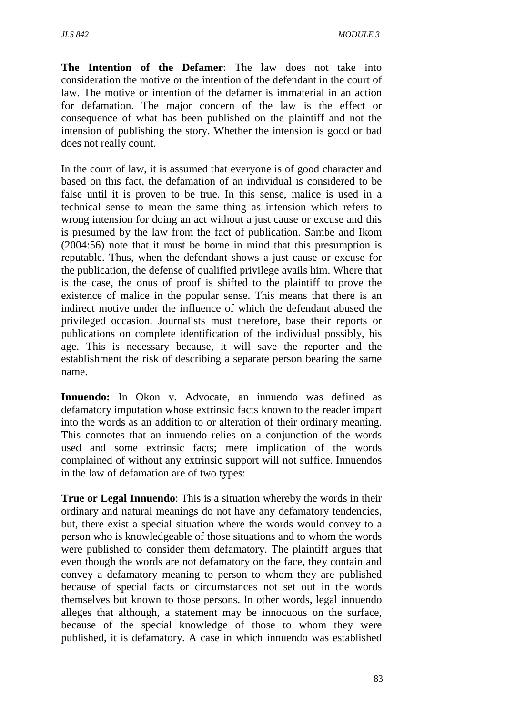**The Intention of the Defamer**: The law does not take into consideration the motive or the intention of the defendant in the court of law. The motive or intention of the defamer is immaterial in an action for defamation. The major concern of the law is the effect or consequence of what has been published on the plaintiff and not the intension of publishing the story. Whether the intension is good or bad does not really count.

In the court of law, it is assumed that everyone is of good character and based on this fact, the defamation of an individual is considered to be false until it is proven to be true. In this sense, malice is used in a technical sense to mean the same thing as intension which refers to wrong intension for doing an act without a just cause or excuse and this is presumed by the law from the fact of publication. Sambe and Ikom (2004:56) note that it must be borne in mind that this presumption is reputable. Thus, when the defendant shows a just cause or excuse for the publication, the defense of qualified privilege avails him. Where that is the case, the onus of proof is shifted to the plaintiff to prove the existence of malice in the popular sense. This means that there is an indirect motive under the influence of which the defendant abused the privileged occasion. Journalists must therefore, base their reports or publications on complete identification of the individual possibly, his age. This is necessary because, it will save the reporter and the establishment the risk of describing a separate person bearing the same name.

**Innuendo:** In Okon v. Advocate, an innuendo was defined as defamatory imputation whose extrinsic facts known to the reader impart into the words as an addition to or alteration of their ordinary meaning. This connotes that an innuendo relies on a conjunction of the words used and some extrinsic facts; mere implication of the words complained of without any extrinsic support will not suffice. Innuendos in the law of defamation are of two types:

**True or Legal Innuendo**: This is a situation whereby the words in their ordinary and natural meanings do not have any defamatory tendencies, but, there exist a special situation where the words would convey to a person who is knowledgeable of those situations and to whom the words were published to consider them defamatory. The plaintiff argues that even though the words are not defamatory on the face, they contain and convey a defamatory meaning to person to whom they are published because of special facts or circumstances not set out in the words themselves but known to those persons. In other words, legal innuendo alleges that although, a statement may be innocuous on the surface, because of the special knowledge of those to whom they were published, it is defamatory. A case in which innuendo was established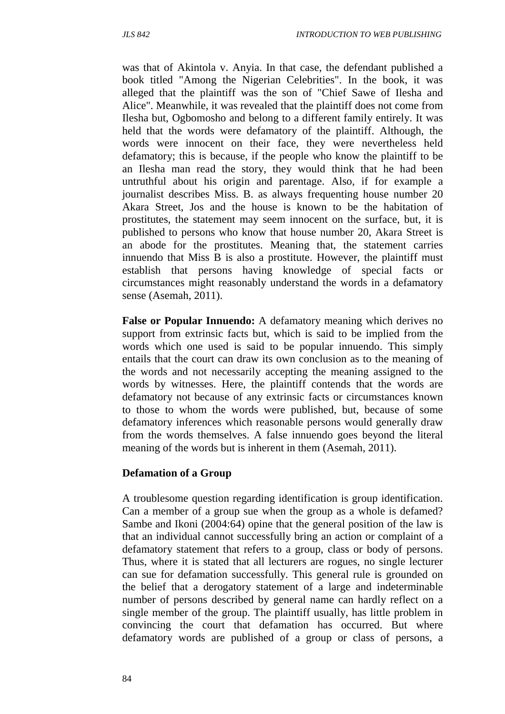was that of Akintola v. Anyia. In that case, the defendant published a book titled "Among the Nigerian Celebrities". In the book, it was alleged that the plaintiff was the son of "Chief Sawe of Ilesha and Alice". Meanwhile, it was revealed that the plaintiff does not come from Ilesha but, Ogbomosho and belong to a different family entirely. It was held that the words were defamatory of the plaintiff. Although, the words were innocent on their face, they were nevertheless held defamatory; this is because, if the people who know the plaintiff to be an Ilesha man read the story, they would think that he had been untruthful about his origin and parentage. Also, if for example a journalist describes Miss. B. as always frequenting house number 20 Akara Street, Jos and the house is known to be the habitation of prostitutes, the statement may seem innocent on the surface, but, it is published to persons who know that house number 20, Akara Street is an abode for the prostitutes. Meaning that, the statement carries innuendo that Miss B is also a prostitute. However, the plaintiff must establish that persons having knowledge of special facts or circumstances might reasonably understand the words in a defamatory sense (Asemah, 2011).

**False or Popular Innuendo:** A defamatory meaning which derives no support from extrinsic facts but, which is said to be implied from the words which one used is said to be popular innuendo. This simply entails that the court can draw its own conclusion as to the meaning of the words and not necessarily accepting the meaning assigned to the words by witnesses. Here, the plaintiff contends that the words are defamatory not because of any extrinsic facts or circumstances known to those to whom the words were published, but, because of some defamatory inferences which reasonable persons would generally draw from the words themselves. A false innuendo goes beyond the literal meaning of the words but is inherent in them (Asemah, 2011).

### **Defamation of a Group**

A troublesome question regarding identification is group identification. Can a member of a group sue when the group as a whole is defamed? Sambe and Ikoni (2004:64) opine that the general position of the law is that an individual cannot successfully bring an action or complaint of a defamatory statement that refers to a group, class or body of persons. Thus, where it is stated that all lecturers are rogues, no single lecturer can sue for defamation successfully. This general rule is grounded on the belief that a derogatory statement of a large and indeterminable number of persons described by general name can hardly reflect on a single member of the group. The plaintiff usually, has little problem in convincing the court that defamation has occurred. But where defamatory words are published of a group or class of persons, a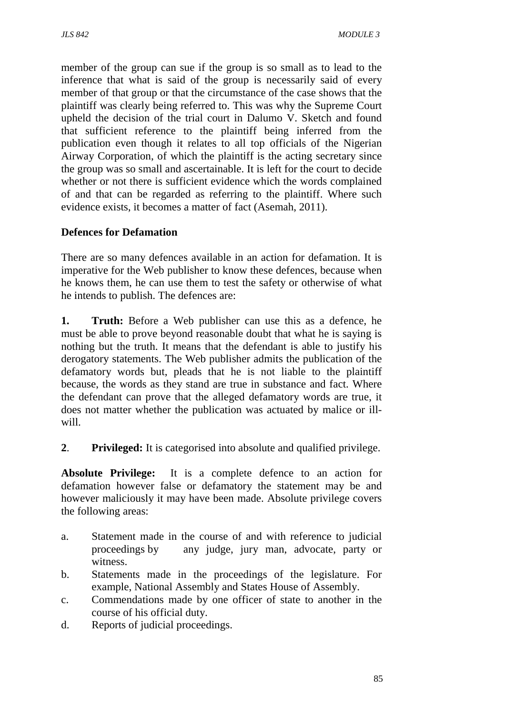member of the group can sue if the group is so small as to lead to the inference that what is said of the group is necessarily said of every member of that group or that the circumstance of the case shows that the plaintiff was clearly being referred to. This was why the Supreme Court upheld the decision of the trial court in Dalumo V. Sketch and found that sufficient reference to the plaintiff being inferred from the publication even though it relates to all top officials of the Nigerian Airway Corporation, of which the plaintiff is the acting secretary since the group was so small and ascertainable. It is left for the court to decide whether or not there is sufficient evidence which the words complained of and that can be regarded as referring to the plaintiff. Where such evidence exists, it becomes a matter of fact (Asemah, 2011).

### **Defences for Defamation**

There are so many defences available in an action for defamation. It is imperative for the Web publisher to know these defences, because when he knows them, he can use them to test the safety or otherwise of what he intends to publish. The defences are:

**1. Truth:** Before a Web publisher can use this as a defence, he must be able to prove beyond reasonable doubt that what he is saying is nothing but the truth. It means that the defendant is able to justify his derogatory statements. The Web publisher admits the publication of the defamatory words but, pleads that he is not liable to the plaintiff because, the words as they stand are true in substance and fact. Where the defendant can prove that the alleged defamatory words are true, it does not matter whether the publication was actuated by malice or illwill.

**2**. **Privileged:** It is categorised into absolute and qualified privilege.

**Absolute Privilege:** It is a complete defence to an action for defamation however false or defamatory the statement may be and however maliciously it may have been made. Absolute privilege covers the following areas:

- a. Statement made in the course of and with reference to judicial proceedings by any judge, jury man, advocate, party or witness.
- b. Statements made in the proceedings of the legislature. For example, National Assembly and States House of Assembly.
- c. Commendations made by one officer of state to another in the course of his official duty.
- d. Reports of judicial proceedings.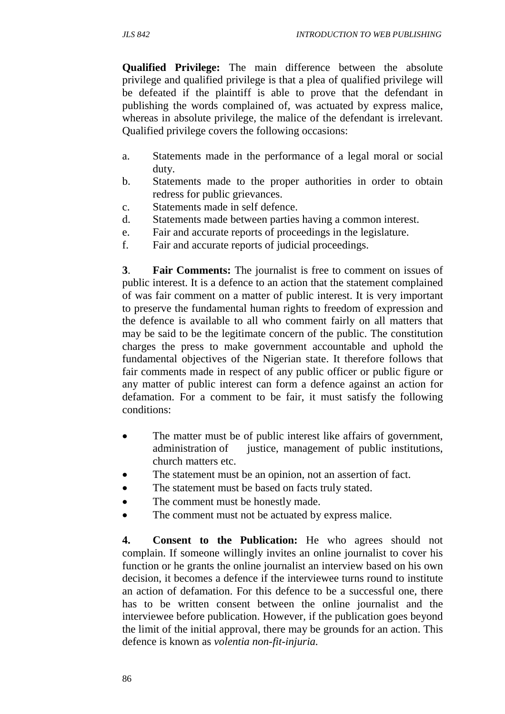**Qualified Privilege:** The main difference between the absolute privilege and qualified privilege is that a plea of qualified privilege will be defeated if the plaintiff is able to prove that the defendant in publishing the words complained of, was actuated by express malice, whereas in absolute privilege, the malice of the defendant is irrelevant. Qualified privilege covers the following occasions:

- a. Statements made in the performance of a legal moral or social duty.
- b. Statements made to the proper authorities in order to obtain redress for public grievances.
- c. Statements made in self defence.
- d. Statements made between parties having a common interest.
- e. Fair and accurate reports of proceedings in the legislature.
- f. Fair and accurate reports of judicial proceedings.

**3**. **Fair Comments:** The journalist is free to comment on issues of public interest. It is a defence to an action that the statement complained of was fair comment on a matter of public interest. It is very important to preserve the fundamental human rights to freedom of expression and the defence is available to all who comment fairly on all matters that may be said to be the legitimate concern of the public. The constitution charges the press to make government accountable and uphold the fundamental objectives of the Nigerian state. It therefore follows that fair comments made in respect of any public officer or public figure or any matter of public interest can form a defence against an action for defamation. For a comment to be fair, it must satisfy the following conditions:

- The matter must be of public interest like affairs of government, administration of justice, management of public institutions, church matters etc.
- The statement must be an opinion, not an assertion of fact.
- The statement must be based on facts truly stated.
- The comment must be honestly made.
- The comment must not be actuated by express malice.

**4. Consent to the Publication:** He who agrees should not complain. If someone willingly invites an online journalist to cover his function or he grants the online journalist an interview based on his own decision, it becomes a defence if the interviewee turns round to institute an action of defamation. For this defence to be a successful one, there has to be written consent between the online journalist and the interviewee before publication. However, if the publication goes beyond the limit of the initial approval, there may be grounds for an action. This defence is known as *volentia non-fit-injuria.*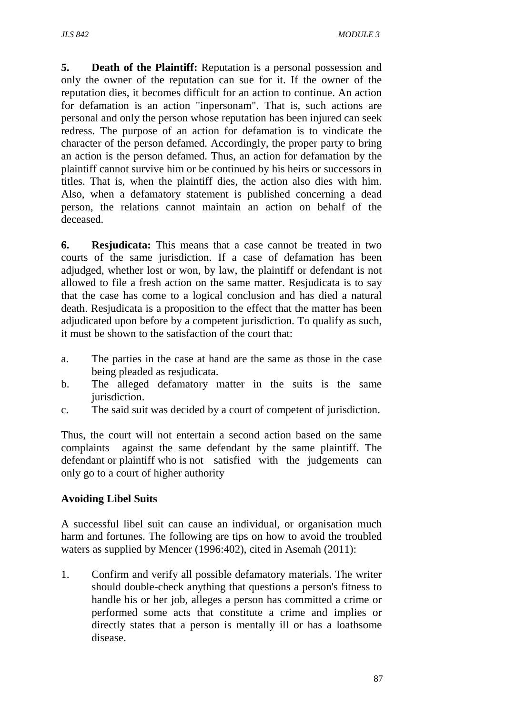**5. Death of the Plaintiff:** Reputation is a personal possession and only the owner of the reputation can sue for it. If the owner of the reputation dies, it becomes difficult for an action to continue. An action for defamation is an action "inpersonam". That is, such actions are personal and only the person whose reputation has been injured can seek redress. The purpose of an action for defamation is to vindicate the character of the person defamed. Accordingly, the proper party to bring an action is the person defamed. Thus, an action for defamation by the plaintiff cannot survive him or be continued by his heirs or successors in titles. That is, when the plaintiff dies, the action also dies with him. Also, when a defamatory statement is published concerning a dead person, the relations cannot maintain an action on behalf of the deceased.

**6. Resjudicata:** This means that a case cannot be treated in two courts of the same jurisdiction. If a case of defamation has been adjudged, whether lost or won, by law, the plaintiff or defendant is not allowed to file a fresh action on the same matter. Resjudicata is to say that the case has come to a logical conclusion and has died a natural death. Resjudicata is a proposition to the effect that the matter has been adjudicated upon before by a competent jurisdiction. To qualify as such, it must be shown to the satisfaction of the court that:

- a. The parties in the case at hand are the same as those in the case being pleaded as resjudicata.
- b. The alleged defamatory matter in the suits is the same jurisdiction.
- c. The said suit was decided by a court of competent of jurisdiction.

Thus, the court will not entertain a second action based on the same complaints against the same defendant by the same plaintiff. The defendant or plaintiff who is not satisfied with the judgements can only go to a court of higher authority

#### **Avoiding Libel Suits**

A successful libel suit can cause an individual, or organisation much harm and fortunes. The following are tips on how to avoid the troubled waters as supplied by Mencer (1996:402), cited in Asemah (2011):

1. Confirm and verify all possible defamatory materials. The writer should double-check anything that questions a person's fitness to handle his or her job, alleges a person has committed a crime or performed some acts that constitute a crime and implies or directly states that a person is mentally ill or has a loathsome disease.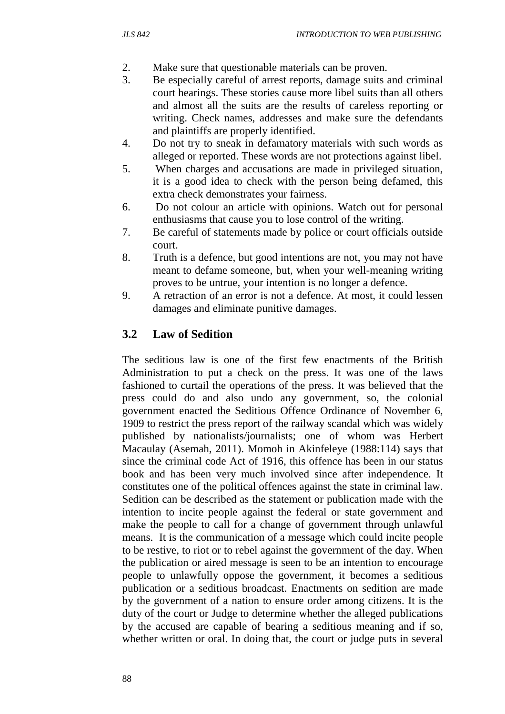- 2. Make sure that questionable materials can be proven.
- 3. Be especially careful of arrest reports, damage suits and criminal court hearings. These stories cause more libel suits than all others and almost all the suits are the results of careless reporting or writing. Check names, addresses and make sure the defendants and plaintiffs are properly identified.
- 4. Do not try to sneak in defamatory materials with such words as alleged or reported. These words are not protections against libel.
- 5. When charges and accusations are made in privileged situation, it is a good idea to check with the person being defamed, this extra check demonstrates your fairness.
- 6. Do not colour an article with opinions. Watch out for personal enthusiasms that cause you to lose control of the writing.
- 7. Be careful of statements made by police or court officials outside court.
- 8. Truth is a defence, but good intentions are not, you may not have meant to defame someone, but, when your well-meaning writing proves to be untrue, your intention is no longer a defence.
- 9. A retraction of an error is not a defence. At most, it could lessen damages and eliminate punitive damages.

## **3.2 Law of Sedition**

The seditious law is one of the first few enactments of the British Administration to put a check on the press. It was one of the laws fashioned to curtail the operations of the press. It was believed that the press could do and also undo any government, so, the colonial government enacted the Seditious Offence Ordinance of November 6, 1909 to restrict the press report of the railway scandal which was widely published by nationalists/journalists; one of whom was Herbert Macaulay (Asemah, 2011). Momoh in Akinfeleye (1988:114) says that since the criminal code Act of 1916, this offence has been in our status book and has been very much involved since after independence. It constitutes one of the political offences against the state in criminal law. Sedition can be described as the statement or publication made with the intention to incite people against the federal or state government and make the people to call for a change of government through unlawful means. It is the communication of a message which could incite people to be restive, to riot or to rebel against the government of the day. When the publication or aired message is seen to be an intention to encourage people to unlawfully oppose the government, it becomes a seditious publication or a seditious broadcast. Enactments on sedition are made by the government of a nation to ensure order among citizens. It is the duty of the court or Judge to determine whether the alleged publications by the accused are capable of bearing a seditious meaning and if so, whether written or oral. In doing that, the court or judge puts in several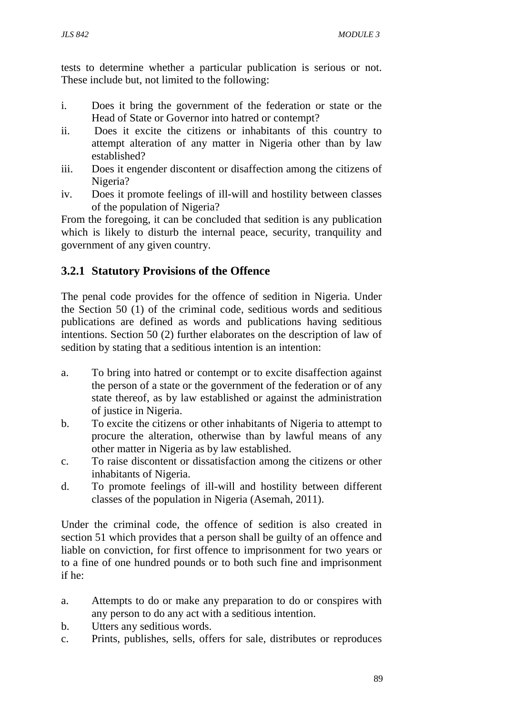tests to determine whether a particular publication is serious or not. These include but, not limited to the following:

- i. Does it bring the government of the federation or state or the Head of State or Governor into hatred or contempt?
- ii. Does it excite the citizens or inhabitants of this country to attempt alteration of any matter in Nigeria other than by law established?
- iii. Does it engender discontent or disaffection among the citizens of Nigeria?
- iv. Does it promote feelings of ill-will and hostility between classes of the population of Nigeria?

From the foregoing, it can be concluded that sedition is any publication which is likely to disturb the internal peace, security, tranquility and government of any given country.

# **3.2.1 Statutory Provisions of the Offence**

The penal code provides for the offence of sedition in Nigeria. Under the Section 50 (1) of the criminal code, seditious words and seditious publications are defined as words and publications having seditious intentions. Section 50 (2) further elaborates on the description of law of sedition by stating that a seditious intention is an intention:

- a. To bring into hatred or contempt or to excite disaffection against the person of a state or the government of the federation or of any state thereof, as by law established or against the administration of justice in Nigeria.
- b. To excite the citizens or other inhabitants of Nigeria to attempt to procure the alteration, otherwise than by lawful means of any other matter in Nigeria as by law established.
- c. To raise discontent or dissatisfaction among the citizens or other inhabitants of Nigeria.
- d. To promote feelings of ill-will and hostility between different classes of the population in Nigeria (Asemah, 2011).

Under the criminal code, the offence of sedition is also created in section 51 which provides that a person shall be guilty of an offence and liable on conviction, for first offence to imprisonment for two years or to a fine of one hundred pounds or to both such fine and imprisonment if he:

- a. Attempts to do or make any preparation to do or conspires with any person to do any act with a seditious intention.
- b. Utters any seditious words.
- c. Prints, publishes, sells, offers for sale, distributes or reproduces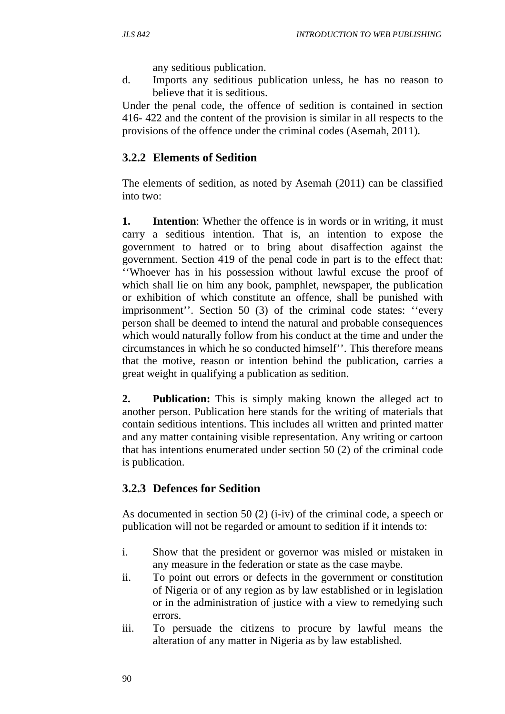any seditious publication.

d. Imports any seditious publication unless, he has no reason to believe that it is seditious.

Under the penal code, the offence of sedition is contained in section 416- 422 and the content of the provision is similar in all respects to the provisions of the offence under the criminal codes (Asemah, 2011).

#### **3.2.2 Elements of Sedition**

The elements of sedition, as noted by Asemah (2011) can be classified into two:

**1. Intention**: Whether the offence is in words or in writing, it must carry a seditious intention. That is, an intention to expose the government to hatred or to bring about disaffection against the government. Section 419 of the penal code in part is to the effect that: ''Whoever has in his possession without lawful excuse the proof of which shall lie on him any book, pamphlet, newspaper, the publication or exhibition of which constitute an offence, shall be punished with imprisonment''. Section 50 (3) of the criminal code states: ''every person shall be deemed to intend the natural and probable consequences which would naturally follow from his conduct at the time and under the circumstances in which he so conducted himself''. This therefore means that the motive, reason or intention behind the publication, carries a great weight in qualifying a publication as sedition.

**2. Publication:** This is simply making known the alleged act to another person. Publication here stands for the writing of materials that contain seditious intentions. This includes all written and printed matter and any matter containing visible representation. Any writing or cartoon that has intentions enumerated under section 50 (2) of the criminal code is publication.

### **3.2.3 Defences for Sedition**

As documented in section 50 (2) (i-iv) of the criminal code, a speech or publication will not be regarded or amount to sedition if it intends to:

- i. Show that the president or governor was misled or mistaken in any measure in the federation or state as the case maybe.
- ii. To point out errors or defects in the government or constitution of Nigeria or of any region as by law established or in legislation or in the administration of justice with a view to remedying such errors.
- iii. To persuade the citizens to procure by lawful means the alteration of any matter in Nigeria as by law established.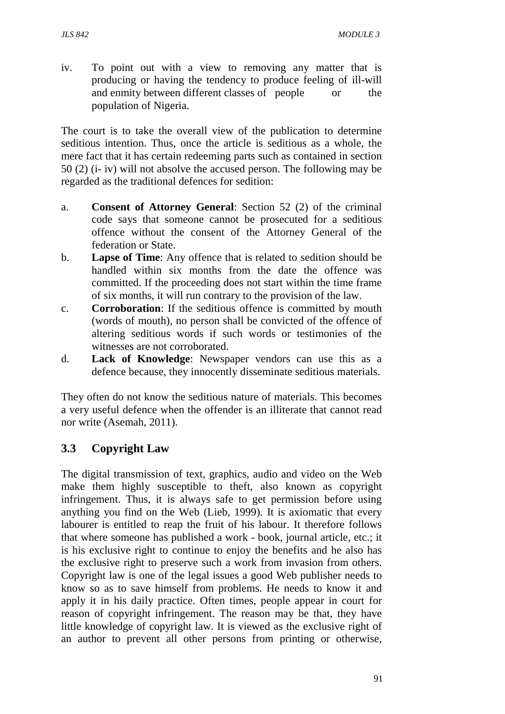iv. To point out with a view to removing any matter that is producing or having the tendency to produce feeling of ill-will and enmity between different classes of people or the population of Nigeria.

The court is to take the overall view of the publication to determine seditious intention. Thus, once the article is seditious as a whole, the mere fact that it has certain redeeming parts such as contained in section 50 (2) (i- iv) will not absolve the accused person. The following may be regarded as the traditional defences for sedition:

- a. **Consent of Attorney General**: Section 52 (2) of the criminal code says that someone cannot be prosecuted for a seditious offence without the consent of the Attorney General of the federation or State.
- b. **Lapse of Time**: Any offence that is related to sedition should be handled within six months from the date the offence was committed. If the proceeding does not start within the time frame of six months, it will run contrary to the provision of the law.
- c. **Corroboration**: If the seditious offence is committed by mouth (words of mouth), no person shall be convicted of the offence of altering seditious words if such words or testimonies of the witnesses are not corroborated.
- d. **Lack of Knowledge**: Newspaper vendors can use this as a defence because, they innocently disseminate seditious materials.

They often do not know the seditious nature of materials. This becomes a very useful defence when the offender is an illiterate that cannot read nor write (Asemah, 2011).

### **3.3 Copyright Law**

The digital transmission of text, graphics, audio and video on the Web make them highly susceptible to theft, also known as copyright infringement. Thus, it is always safe to get permission before using anything you find on the Web (Lieb, 1999). It is axiomatic that every labourer is entitled to reap the fruit of his labour. It therefore follows that where someone has published a work - book, journal article, etc.; it is his exclusive right to continue to enjoy the benefits and he also has the exclusive right to preserve such a work from invasion from others. Copyright law is one of the legal issues a good Web publisher needs to know so as to save himself from problems. He needs to know it and apply it in his daily practice. Often times, people appear in court for reason of copyright infringement. The reason may be that, they have little knowledge of copyright law. It is viewed as the exclusive right of an author to prevent all other persons from printing or otherwise,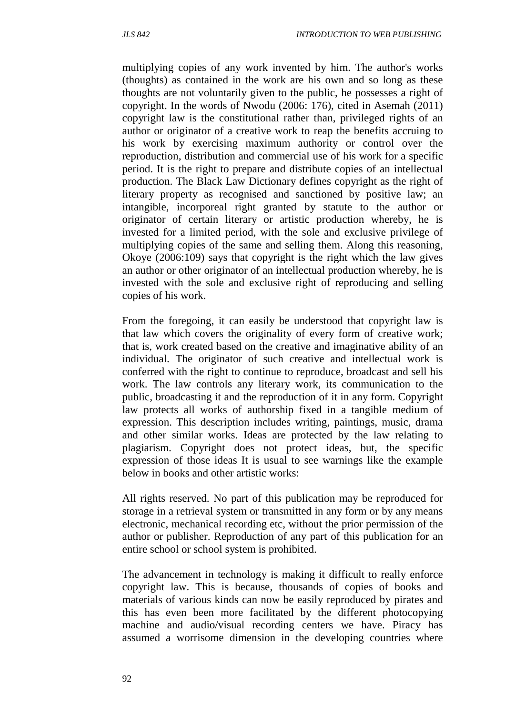multiplying copies of any work invented by him. The author's works (thoughts) as contained in the work are his own and so long as these thoughts are not voluntarily given to the public, he possesses a right of copyright. In the words of Nwodu (2006: 176), cited in Asemah (2011) copyright law is the constitutional rather than, privileged rights of an author or originator of a creative work to reap the benefits accruing to his work by exercising maximum authority or control over the reproduction, distribution and commercial use of his work for a specific period. It is the right to prepare and distribute copies of an intellectual production. The Black Law Dictionary defines copyright as the right of literary property as recognised and sanctioned by positive law; an intangible, incorporeal right granted by statute to the author or originator of certain literary or artistic production whereby, he is invested for a limited period, with the sole and exclusive privilege of multiplying copies of the same and selling them. Along this reasoning, Okoye (2006:109) says that copyright is the right which the law gives an author or other originator of an intellectual production whereby, he is invested with the sole and exclusive right of reproducing and selling copies of his work.

From the foregoing, it can easily be understood that copyright law is that law which covers the originality of every form of creative work; that is, work created based on the creative and imaginative ability of an individual. The originator of such creative and intellectual work is conferred with the right to continue to reproduce, broadcast and sell his work. The law controls any literary work, its communication to the public, broadcasting it and the reproduction of it in any form. Copyright law protects all works of authorship fixed in a tangible medium of expression. This description includes writing, paintings, music, drama and other similar works. Ideas are protected by the law relating to plagiarism. Copyright does not protect ideas, but, the specific expression of those ideas It is usual to see warnings like the example below in books and other artistic works:

All rights reserved. No part of this publication may be reproduced for storage in a retrieval system or transmitted in any form or by any means electronic, mechanical recording etc, without the prior permission of the author or publisher. Reproduction of any part of this publication for an entire school or school system is prohibited.

The advancement in technology is making it difficult to really enforce copyright law. This is because, thousands of copies of books and materials of various kinds can now be easily reproduced by pirates and this has even been more facilitated by the different photocopying machine and audio/visual recording centers we have. Piracy has assumed a worrisome dimension in the developing countries where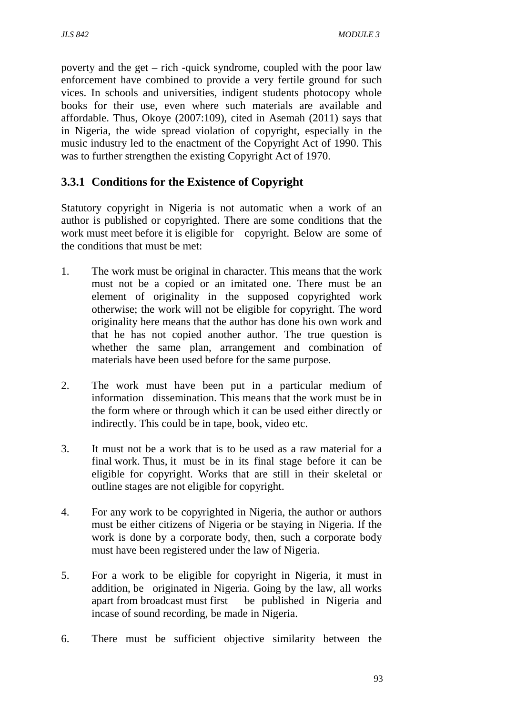poverty and the get – rich -quick syndrome, coupled with the poor law enforcement have combined to provide a very fertile ground for such vices. In schools and universities, indigent students photocopy whole books for their use, even where such materials are available and affordable. Thus, Okoye (2007:109), cited in Asemah (2011) says that in Nigeria, the wide spread violation of copyright, especially in the music industry led to the enactment of the Copyright Act of 1990. This was to further strengthen the existing Copyright Act of 1970.

# **3.3.1 Conditions for the Existence of Copyright**

Statutory copyright in Nigeria is not automatic when a work of an author is published or copyrighted. There are some conditions that the work must meet before it is eligible for copyright. Below are some of the conditions that must be met:

- 1. The work must be original in character. This means that the work must not be a copied or an imitated one. There must be an element of originality in the supposed copyrighted work otherwise; the work will not be eligible for copyright. The word originality here means that the author has done his own work and that he has not copied another author. The true question is whether the same plan, arrangement and combination of materials have been used before for the same purpose.
- 2. The work must have been put in a particular medium of information dissemination. This means that the work must be in the form where or through which it can be used either directly or indirectly. This could be in tape, book, video etc.
- 3. It must not be a work that is to be used as a raw material for a final work. Thus, it must be in its final stage before it can be eligible for copyright. Works that are still in their skeletal or outline stages are not eligible for copyright.
- 4. For any work to be copyrighted in Nigeria, the author or authors must be either citizens of Nigeria or be staying in Nigeria. If the work is done by a corporate body, then, such a corporate body must have been registered under the law of Nigeria.
- 5. For a work to be eligible for copyright in Nigeria, it must in addition, be originated in Nigeria. Going by the law, all works apart from broadcast must first be published in Nigeria and incase of sound recording, be made in Nigeria.
- 6. There must be sufficient objective similarity between the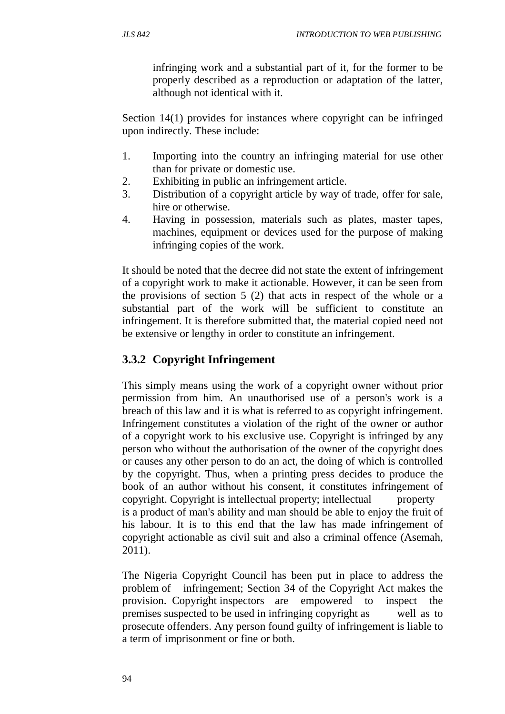infringing work and a substantial part of it, for the former to be properly described as a reproduction or adaptation of the latter, although not identical with it.

Section 14(1) provides for instances where copyright can be infringed upon indirectly. These include:

- 1. Importing into the country an infringing material for use other than for private or domestic use.
- 2. Exhibiting in public an infringement article.
- 3. Distribution of a copyright article by way of trade, offer for sale, hire or otherwise.
- 4. Having in possession, materials such as plates, master tapes, machines, equipment or devices used for the purpose of making infringing copies of the work.

It should be noted that the decree did not state the extent of infringement of a copyright work to make it actionable. However, it can be seen from the provisions of section 5 (2) that acts in respect of the whole or a substantial part of the work will be sufficient to constitute an infringement. It is therefore submitted that, the material copied need not be extensive or lengthy in order to constitute an infringement.

## **3.3.2 Copyright Infringement**

This simply means using the work of a copyright owner without prior permission from him. An unauthorised use of a person's work is a breach of this law and it is what is referred to as copyright infringement. Infringement constitutes a violation of the right of the owner or author of a copyright work to his exclusive use. Copyright is infringed by any person who without the authorisation of the owner of the copyright does or causes any other person to do an act, the doing of which is controlled by the copyright. Thus, when a printing press decides to produce the book of an author without his consent, it constitutes infringement of copyright. Copyright is intellectual property; intellectual property is a product of man's ability and man should be able to enjoy the fruit of his labour. It is to this end that the law has made infringement of copyright actionable as civil suit and also a criminal offence (Asemah, 2011).

The Nigeria Copyright Council has been put in place to address the problem of infringement; Section 34 of the Copyright Act makes the provision. Copyright inspectors are empowered to inspect the premises suspected to be used in infringing copyright as well as to prosecute offenders. Any person found guilty of infringement is liable to a term of imprisonment or fine or both.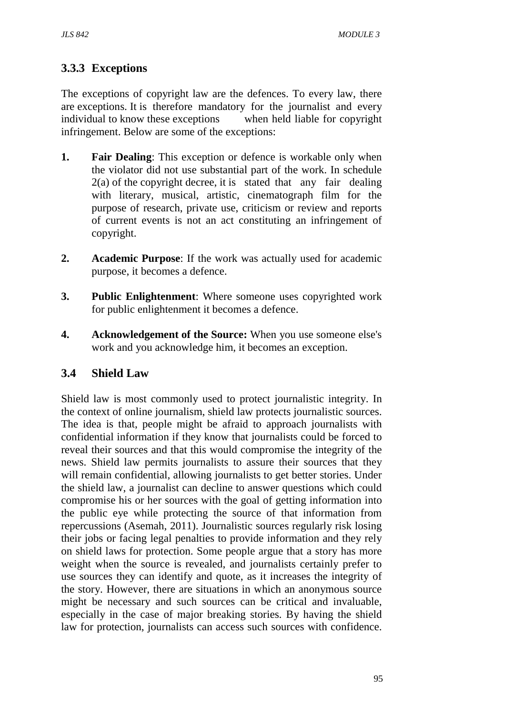## **3.3.3 Exceptions**

The exceptions of copyright law are the defences. To every law, there are exceptions. It is therefore mandatory for the journalist and every individual to know these exceptions when held liable for copyright infringement. Below are some of the exceptions:

- **1. Fair Dealing**: This exception or defence is workable only when the violator did not use substantial part of the work. In schedule  $2(a)$  of the copyright decree, it is stated that any fair dealing with literary, musical, artistic, cinematograph film for the purpose of research, private use, criticism or review and reports of current events is not an act constituting an infringement of copyright.
- **2. Academic Purpose**: If the work was actually used for academic purpose, it becomes a defence.
- **3. Public Enlightenment**: Where someone uses copyrighted work for public enlightenment it becomes a defence.
- **4. Acknowledgement of the Source:** When you use someone else's work and you acknowledge him, it becomes an exception.

### **3.4 Shield Law**

Shield law is most commonly used to protect journalistic integrity. In the context of online journalism, shield law protects journalistic sources. The idea is that, people might be afraid to approach journalists with confidential information if they know that journalists could be forced to reveal their sources and that this would compromise the integrity of the news. Shield law permits journalists to assure their sources that they will remain confidential, allowing journalists to get better stories. Under the shield law, a journalist can decline to answer questions which could compromise his or her sources with the goal of getting information into the public eye while protecting the source of that information from repercussions (Asemah, 2011). Journalistic sources regularly risk losing their jobs or facing legal penalties to provide information and they rely on shield laws for protection. Some people argue that a story has more weight when the source is revealed, and journalists certainly prefer to use sources they can identify and quote, as it increases the integrity of the story. However, there are situations in which an anonymous source might be necessary and such sources can be critical and invaluable, especially in the case of major breaking stories. By having the shield law for protection, journalists can access such sources with confidence.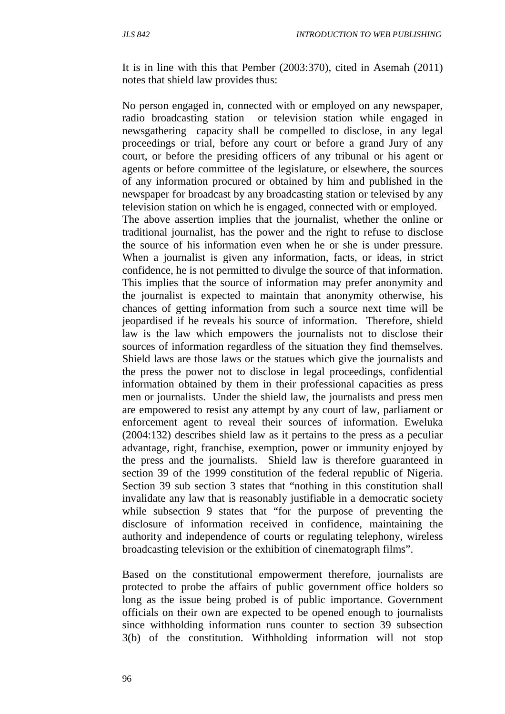It is in line with this that Pember (2003:370), cited in Asemah (2011) notes that shield law provides thus:

No person engaged in, connected with or employed on any newspaper, radio broadcasting station or television station while engaged in newsgathering capacity shall be compelled to disclose, in any legal proceedings or trial, before any court or before a grand Jury of any court, or before the presiding officers of any tribunal or his agent or agents or before committee of the legislature, or elsewhere, the sources of any information procured or obtained by him and published in the newspaper for broadcast by any broadcasting station or televised by any television station on which he is engaged, connected with or employed. The above assertion implies that the journalist, whether the online or traditional journalist, has the power and the right to refuse to disclose the source of his information even when he or she is under pressure. When a journalist is given any information, facts, or ideas, in strict confidence, he is not permitted to divulge the source of that information. This implies that the source of information may prefer anonymity and the journalist is expected to maintain that anonymity otherwise, his chances of getting information from such a source next time will be jeopardised if he reveals his source of information. Therefore, shield law is the law which empowers the journalists not to disclose their sources of information regardless of the situation they find themselves. Shield laws are those laws or the statues which give the journalists and the press the power not to disclose in legal proceedings, confidential information obtained by them in their professional capacities as press men or journalists. Under the shield law, the journalists and press men are empowered to resist any attempt by any court of law, parliament or enforcement agent to reveal their sources of information. Eweluka (2004:132) describes shield law as it pertains to the press as a peculiar advantage, right, franchise, exemption, power or immunity enjoyed by the press and the journalists. Shield law is therefore guaranteed in section 39 of the 1999 constitution of the federal republic of Nigeria. Section 39 sub section 3 states that "nothing in this constitution shall invalidate any law that is reasonably justifiable in a democratic society while subsection 9 states that "for the purpose of preventing the disclosure of information received in confidence, maintaining the authority and independence of courts or regulating telephony, wireless broadcasting television or the exhibition of cinematograph films".

Based on the constitutional empowerment therefore, journalists are protected to probe the affairs of public government office holders so long as the issue being probed is of public importance. Government officials on their own are expected to be opened enough to journalists since withholding information runs counter to section 39 subsection 3(b) of the constitution. Withholding information will not stop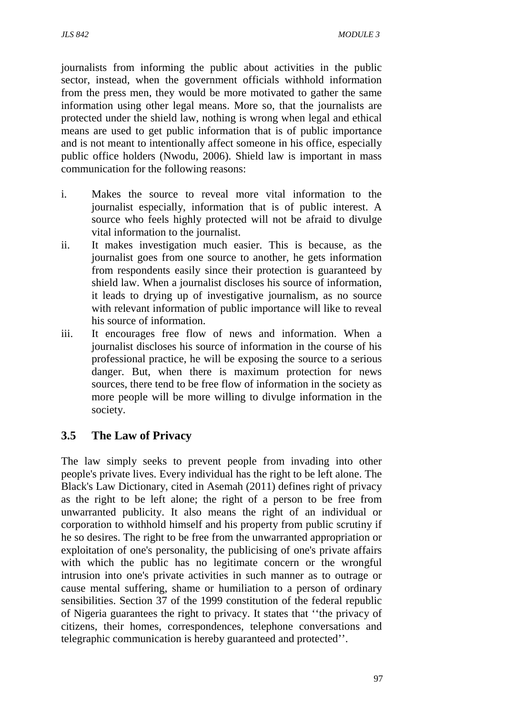journalists from informing the public about activities in the public sector, instead, when the government officials withhold information from the press men, they would be more motivated to gather the same information using other legal means. More so, that the journalists are protected under the shield law, nothing is wrong when legal and ethical means are used to get public information that is of public importance and is not meant to intentionally affect someone in his office, especially public office holders (Nwodu, 2006). Shield law is important in mass communication for the following reasons:

- i. Makes the source to reveal more vital information to the journalist especially, information that is of public interest. A source who feels highly protected will not be afraid to divulge vital information to the journalist.
- ii. It makes investigation much easier. This is because, as the journalist goes from one source to another, he gets information from respondents easily since their protection is guaranteed by shield law. When a journalist discloses his source of information, it leads to drying up of investigative journalism, as no source with relevant information of public importance will like to reveal his source of information.
- iii. It encourages free flow of news and information. When a journalist discloses his source of information in the course of his professional practice, he will be exposing the source to a serious danger. But, when there is maximum protection for news sources, there tend to be free flow of information in the society as more people will be more willing to divulge information in the society.

# **3.5 The Law of Privacy**

The law simply seeks to prevent people from invading into other people's private lives. Every individual has the right to be left alone. The Black's Law Dictionary, cited in Asemah (2011) defines right of privacy as the right to be left alone; the right of a person to be free from unwarranted publicity. It also means the right of an individual or corporation to withhold himself and his property from public scrutiny if he so desires. The right to be free from the unwarranted appropriation or exploitation of one's personality, the publicising of one's private affairs with which the public has no legitimate concern or the wrongful intrusion into one's private activities in such manner as to outrage or cause mental suffering, shame or humiliation to a person of ordinary sensibilities. Section 37 of the 1999 constitution of the federal republic of Nigeria guarantees the right to privacy. It states that ''the privacy of citizens, their homes, correspondences, telephone conversations and telegraphic communication is hereby guaranteed and protected''.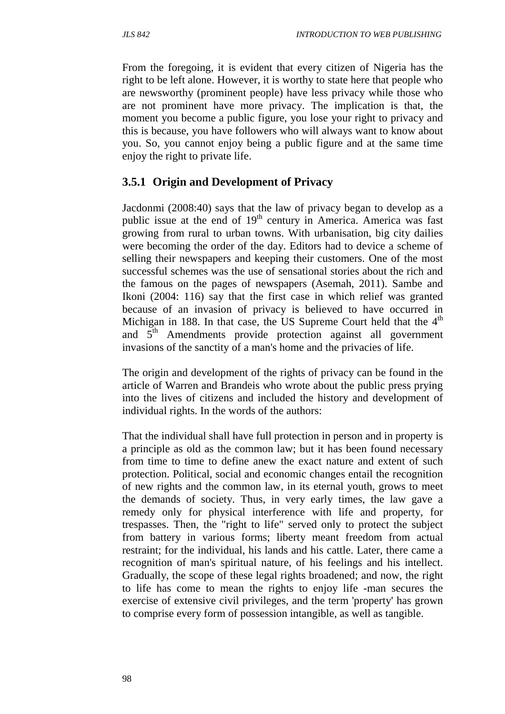From the foregoing, it is evident that every citizen of Nigeria has the right to be left alone. However, it is worthy to state here that people who are newsworthy (prominent people) have less privacy while those who are not prominent have more privacy. The implication is that, the moment you become a public figure, you lose your right to privacy and this is because, you have followers who will always want to know about you. So, you cannot enjoy being a public figure and at the same time enjoy the right to private life.

## **3.5.1 Origin and Development of Privacy**

Jacdonmi (2008:40) says that the law of privacy began to develop as a public issue at the end of  $19<sup>th</sup>$  century in America. America was fast growing from rural to urban towns. With urbanisation, big city dailies were becoming the order of the day. Editors had to device a scheme of selling their newspapers and keeping their customers. One of the most successful schemes was the use of sensational stories about the rich and the famous on the pages of newspapers (Asemah, 2011). Sambe and Ikoni (2004: 116) say that the first case in which relief was granted because of an invasion of privacy is believed to have occurred in Michigan in 188. In that case, the US Supreme Court held that the  $4<sup>th</sup>$ and  $5<sup>th</sup>$  Amendments provide protection against all government invasions of the sanctity of a man's home and the privacies of life.

The origin and development of the rights of privacy can be found in the article of Warren and Brandeis who wrote about the public press prying into the lives of citizens and included the history and development of individual rights. In the words of the authors:

That the individual shall have full protection in person and in property is a principle as old as the common law; but it has been found necessary from time to time to define anew the exact nature and extent of such protection. Political, social and economic changes entail the recognition of new rights and the common law, in its eternal youth, grows to meet the demands of society. Thus, in very early times, the law gave a remedy only for physical interference with life and property, for trespasses. Then, the "right to life" served only to protect the subject from battery in various forms; liberty meant freedom from actual restraint; for the individual, his lands and his cattle. Later, there came a recognition of man's spiritual nature, of his feelings and his intellect. Gradually, the scope of these legal rights broadened; and now, the right to life has come to mean the rights to enjoy life -man secures the exercise of extensive civil privileges, and the term 'property' has grown to comprise every form of possession intangible, as well as tangible.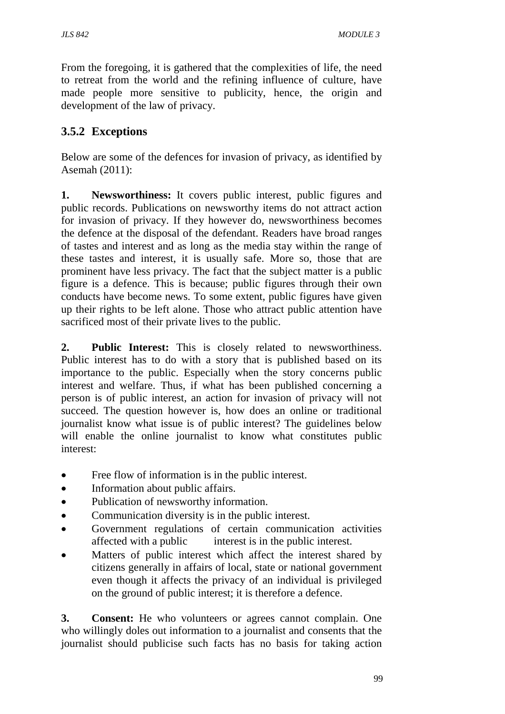From the foregoing, it is gathered that the complexities of life, the need to retreat from the world and the refining influence of culture, have made people more sensitive to publicity, hence, the origin and development of the law of privacy.

# **3.5.2 Exceptions**

Below are some of the defences for invasion of privacy, as identified by Asemah (2011):

**1. Newsworthiness:** It covers public interest, public figures and public records. Publications on newsworthy items do not attract action for invasion of privacy. If they however do, newsworthiness becomes the defence at the disposal of the defendant. Readers have broad ranges of tastes and interest and as long as the media stay within the range of these tastes and interest, it is usually safe. More so, those that are prominent have less privacy. The fact that the subject matter is a public figure is a defence. This is because; public figures through their own conducts have become news. To some extent, public figures have given up their rights to be left alone. Those who attract public attention have sacrificed most of their private lives to the public.

**2. Public Interest:** This is closely related to newsworthiness. Public interest has to do with a story that is published based on its importance to the public. Especially when the story concerns public interest and welfare. Thus, if what has been published concerning a person is of public interest, an action for invasion of privacy will not succeed. The question however is, how does an online or traditional journalist know what issue is of public interest? The guidelines below will enable the online journalist to know what constitutes public interest:

- Free flow of information is in the public interest.
- Information about public affairs.
- Publication of newsworthy information.
- Communication diversity is in the public interest.
- Government regulations of certain communication activities affected with a public interest is in the public interest.
- Matters of public interest which affect the interest shared by citizens generally in affairs of local, state or national government even though it affects the privacy of an individual is privileged on the ground of public interest; it is therefore a defence.

**3. Consent:** He who volunteers or agrees cannot complain. One who willingly doles out information to a journalist and consents that the journalist should publicise such facts has no basis for taking action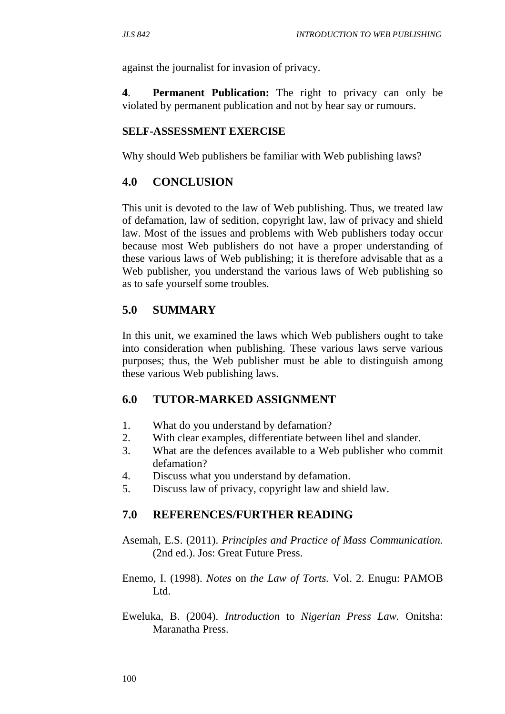against the journalist for invasion of privacy.

**4**. **Permanent Publication:** The right to privacy can only be violated by permanent publication and not by hear say or rumours.

#### **SELF-ASSESSMENT EXERCISE**

Why should Web publishers be familiar with Web publishing laws?

### **4.0 CONCLUSION**

This unit is devoted to the law of Web publishing. Thus, we treated law of defamation, law of sedition, copyright law, law of privacy and shield law. Most of the issues and problems with Web publishers today occur because most Web publishers do not have a proper understanding of these various laws of Web publishing; it is therefore advisable that as a Web publisher, you understand the various laws of Web publishing so as to safe yourself some troubles.

## **5.0 SUMMARY**

In this unit, we examined the laws which Web publishers ought to take into consideration when publishing. These various laws serve various purposes; thus, the Web publisher must be able to distinguish among these various Web publishing laws.

## **6.0 TUTOR-MARKED ASSIGNMENT**

- 1. What do you understand by defamation?
- 2. With clear examples, differentiate between libel and slander.
- 3. What are the defences available to a Web publisher who commit defamation?
- 4. Discuss what you understand by defamation.
- 5. Discuss law of privacy, copyright law and shield law.

## **7.0 REFERENCES/FURTHER READING**

Asemah, E.S. (2011). *Principles and Practice of Mass Communication.* (2nd ed.). Jos: Great Future Press.

Enemo, I. (1998). *Notes* on *the Law of Torts.* Vol. 2. Enugu: PAMOB L<sub>td</sub>

Eweluka, B. (2004). *Introduction* to *Nigerian Press Law.* Onitsha: Maranatha Press.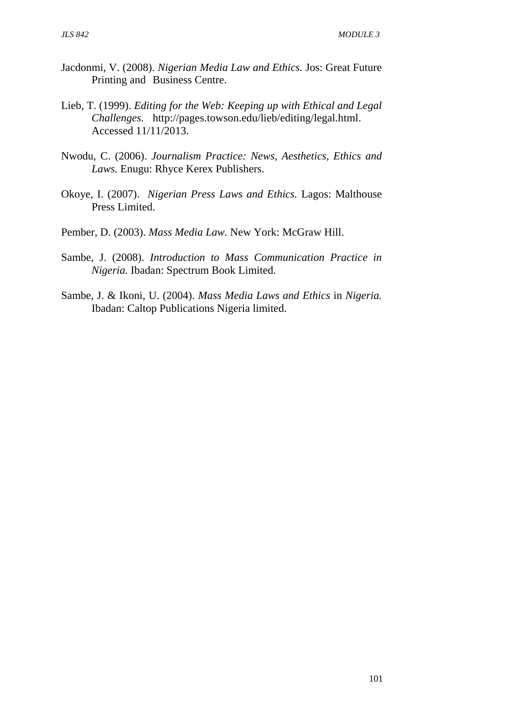- Jacdonmi, V. (2008). *Nigerian Media Law and Ethics.* Jos: Great Future Printing and Business Centre.
- Lieb, T. (1999). *Editing for the Web: Keeping up with Ethical and Legal Challenges.* http://pages.towson.edu/lieb/editing/legal.html. Accessed 11/11/2013.
- Nwodu, C. (2006). *Journalism Practice: News, Aesthetics, Ethics and Laws.* Enugu: Rhyce Kerex Publishers.
- Okoye, I. (2007). *Nigerian Press Laws and Ethics.* Lagos: Malthouse Press Limited.
- Pember, D. (2003). *Mass Media Law.* New York: McGraw Hill.
- Sambe, J. (2008). *Introduction to Mass Communication Practice in Nigeria.* Ibadan: Spectrum Book Limited.
- Sambe, J. & Ikoni, U. (2004). *Mass Media Laws and Ethics* in *Nigeria.*  Ibadan: Caltop Publications Nigeria limited.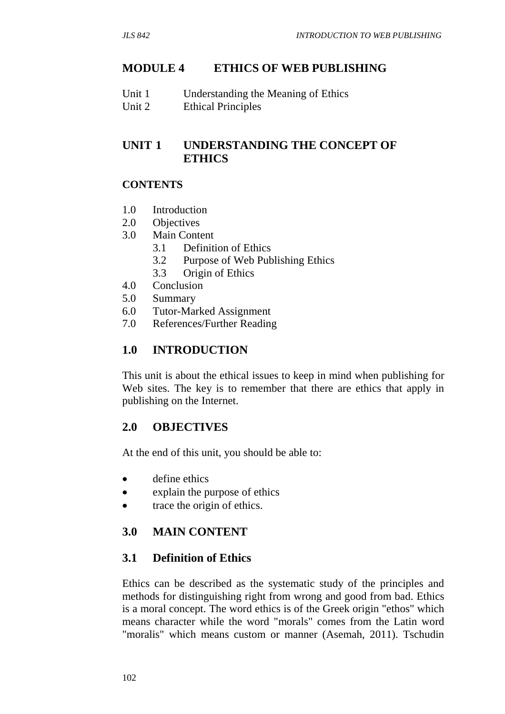#### **MODULE 4 ETHICS OF WEB PUBLISHING**

Unit 2 Ethical Principles

### **UNIT 1 UNDERSTANDING THE CONCEPT OF ETHICS**

#### **CONTENTS**

- 1.0 Introduction
- 2.0 Objectives
- 3.0 Main Content
	- 3.1 Definition of Ethics
	- 3.2 Purpose of Web Publishing Ethics
	- 3.3 Origin of Ethics
- 4.0 Conclusion
- 5.0 Summary
- 6.0 Tutor-Marked Assignment
- 7.0 References/Further Reading

#### **1.0 INTRODUCTION**

This unit is about the ethical issues to keep in mind when publishing for Web sites. The key is to remember that there are ethics that apply in publishing on the Internet.

### **2.0 OBJECTIVES**

At the end of this unit, you should be able to:

- define ethics
- explain the purpose of ethics
- trace the origin of ethics.

### **3.0 MAIN CONTENT**

#### **3.1 Definition of Ethics**

Ethics can be described as the systematic study of the principles and methods for distinguishing right from wrong and good from bad. Ethics is a moral concept. The word ethics is of the Greek origin "ethos" which means character while the word "morals" comes from the Latin word "moralis" which means custom or manner (Asemah, 2011). Tschudin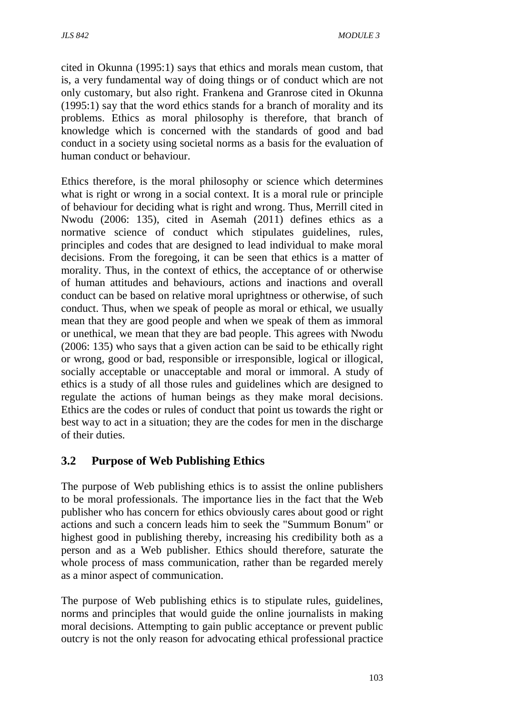cited in Okunna (1995:1) says that ethics and morals mean custom, that is, a very fundamental way of doing things or of conduct which are not only customary, but also right. Frankena and Granrose cited in Okunna (1995:1) say that the word ethics stands for a branch of morality and its problems. Ethics as moral philosophy is therefore, that branch of knowledge which is concerned with the standards of good and bad conduct in a society using societal norms as a basis for the evaluation of human conduct or behaviour.

Ethics therefore, is the moral philosophy or science which determines what is right or wrong in a social context. It is a moral rule or principle of behaviour for deciding what is right and wrong. Thus, Merrill cited in Nwodu (2006: 135), cited in Asemah (2011) defines ethics as a normative science of conduct which stipulates guidelines, rules, principles and codes that are designed to lead individual to make moral decisions. From the foregoing, it can be seen that ethics is a matter of morality. Thus, in the context of ethics, the acceptance of or otherwise of human attitudes and behaviours, actions and inactions and overall conduct can be based on relative moral uprightness or otherwise, of such conduct. Thus, when we speak of people as moral or ethical, we usually mean that they are good people and when we speak of them as immoral or unethical, we mean that they are bad people. This agrees with Nwodu (2006: 135) who says that a given action can be said to be ethically right or wrong, good or bad, responsible or irresponsible, logical or illogical, socially acceptable or unacceptable and moral or immoral. A study of ethics is a study of all those rules and guidelines which are designed to regulate the actions of human beings as they make moral decisions. Ethics are the codes or rules of conduct that point us towards the right or best way to act in a situation; they are the codes for men in the discharge of their duties.

## **3.2 Purpose of Web Publishing Ethics**

The purpose of Web publishing ethics is to assist the online publishers to be moral professionals. The importance lies in the fact that the Web publisher who has concern for ethics obviously cares about good or right actions and such a concern leads him to seek the "Summum Bonum" or highest good in publishing thereby, increasing his credibility both as a person and as a Web publisher. Ethics should therefore, saturate the whole process of mass communication, rather than be regarded merely as a minor aspect of communication.

The purpose of Web publishing ethics is to stipulate rules, guidelines, norms and principles that would guide the online journalists in making moral decisions. Attempting to gain public acceptance or prevent public outcry is not the only reason for advocating ethical professional practice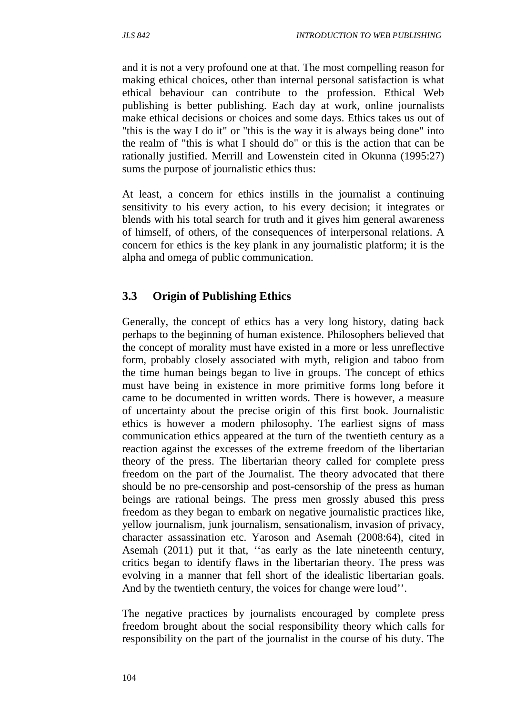and it is not a very profound one at that. The most compelling reason for making ethical choices, other than internal personal satisfaction is what ethical behaviour can contribute to the profession. Ethical Web publishing is better publishing. Each day at work, online journalists make ethical decisions or choices and some days. Ethics takes us out of "this is the way I do it" or "this is the way it is always being done" into the realm of "this is what I should do" or this is the action that can be rationally justified. Merrill and Lowenstein cited in Okunna (1995:27) sums the purpose of journalistic ethics thus:

At least, a concern for ethics instills in the journalist a continuing sensitivity to his every action, to his every decision; it integrates or blends with his total search for truth and it gives him general awareness of himself, of others, of the consequences of interpersonal relations. A concern for ethics is the key plank in any journalistic platform; it is the alpha and omega of public communication.

## **3.3 Origin of Publishing Ethics**

Generally, the concept of ethics has a very long history, dating back perhaps to the beginning of human existence. Philosophers believed that the concept of morality must have existed in a more or less unreflective form, probably closely associated with myth, religion and taboo from the time human beings began to live in groups. The concept of ethics must have being in existence in more primitive forms long before it came to be documented in written words. There is however, a measure of uncertainty about the precise origin of this first book. Journalistic ethics is however a modern philosophy. The earliest signs of mass communication ethics appeared at the turn of the twentieth century as a reaction against the excesses of the extreme freedom of the libertarian theory of the press. The libertarian theory called for complete press freedom on the part of the Journalist. The theory advocated that there should be no pre-censorship and post-censorship of the press as human beings are rational beings. The press men grossly abused this press freedom as they began to embark on negative journalistic practices like, yellow journalism, junk journalism, sensationalism, invasion of privacy, character assassination etc. Yaroson and Asemah (2008:64), cited in Asemah (2011) put it that, ''as early as the late nineteenth century, critics began to identify flaws in the libertarian theory. The press was evolving in a manner that fell short of the idealistic libertarian goals. And by the twentieth century, the voices for change were loud''.

The negative practices by journalists encouraged by complete press freedom brought about the social responsibility theory which calls for responsibility on the part of the journalist in the course of his duty. The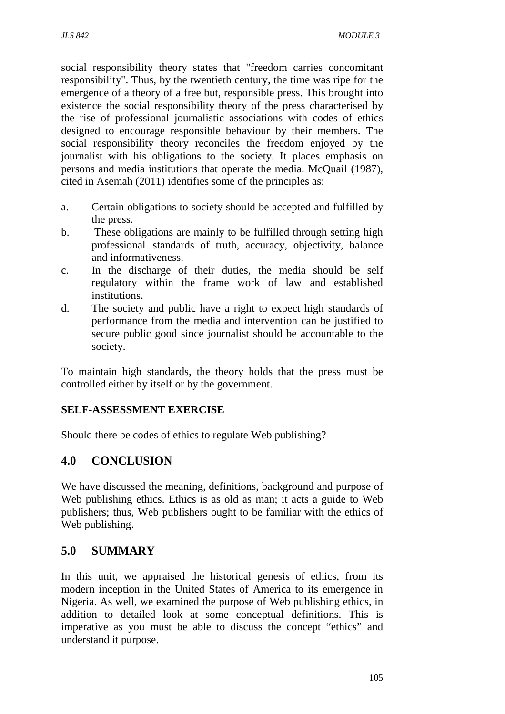social responsibility theory states that "freedom carries concomitant responsibility". Thus, by the twentieth century, the time was ripe for the emergence of a theory of a free but, responsible press. This brought into existence the social responsibility theory of the press characterised by the rise of professional journalistic associations with codes of ethics designed to encourage responsible behaviour by their members. The social responsibility theory reconciles the freedom enjoyed by the journalist with his obligations to the society. It places emphasis on persons and media institutions that operate the media. McQuail (1987), cited in Asemah (2011) identifies some of the principles as:

- a. Certain obligations to society should be accepted and fulfilled by the press.
- b. These obligations are mainly to be fulfilled through setting high professional standards of truth, accuracy, objectivity, balance and informativeness.
- c. In the discharge of their duties, the media should be self regulatory within the frame work of law and established institutions.
- d. The society and public have a right to expect high standards of performance from the media and intervention can be justified to secure public good since journalist should be accountable to the society.

To maintain high standards, the theory holds that the press must be controlled either by itself or by the government.

### **SELF-ASSESSMENT EXERCISE**

Should there be codes of ethics to regulate Web publishing?

### **4.0 CONCLUSION**

We have discussed the meaning, definitions, background and purpose of Web publishing ethics. Ethics is as old as man; it acts a guide to Web publishers; thus, Web publishers ought to be familiar with the ethics of Web publishing.

#### **5.0 SUMMARY**

In this unit, we appraised the historical genesis of ethics, from its modern inception in the United States of America to its emergence in Nigeria. As well, we examined the purpose of Web publishing ethics, in addition to detailed look at some conceptual definitions. This is imperative as you must be able to discuss the concept "ethics" and understand it purpose.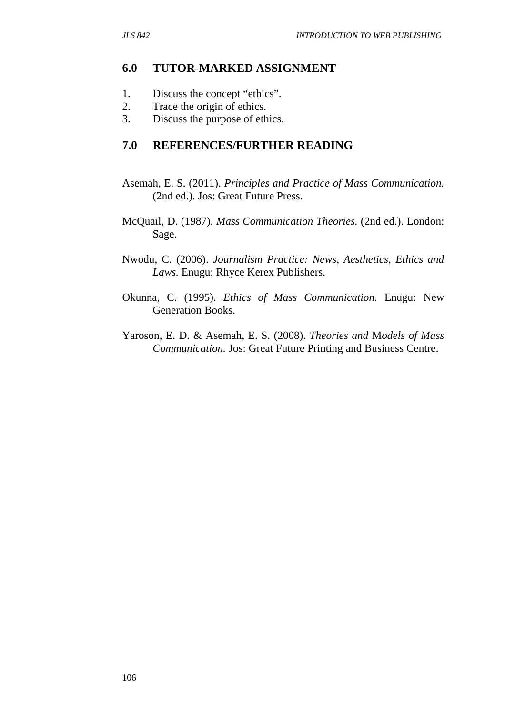#### **6.0 TUTOR-MARKED ASSIGNMENT**

- 1. Discuss the concept "ethics".
- 2. Trace the origin of ethics.
- 3. Discuss the purpose of ethics.

#### **7.0 REFERENCES/FURTHER READING**

- Asemah, E. S. (2011). *Principles and Practice of Mass Communication.* (2nd ed.). Jos: Great Future Press.
- McQuail, D. (1987). *Mass Communication Theories.* (2nd ed.). London: Sage.
- Nwodu, C. (2006). *Journalism Practice: News, Aesthetics, Ethics and Laws.* Enugu: Rhyce Kerex Publishers.
- Okunna, C. (1995). *Ethics of Mass Communication.* Enugu: New Generation Books.
- Yaroson, E. D. & Asemah, E. S. (2008). *Theories and* M*odels of Mass Communication.* Jos: Great Future Printing and Business Centre.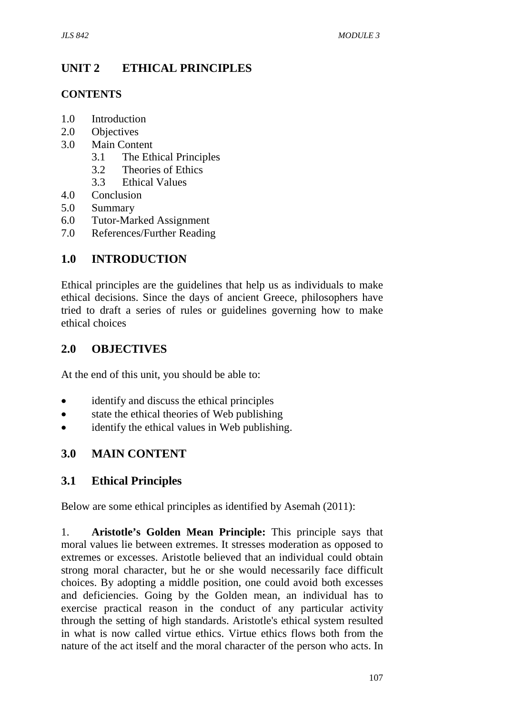## **UNIT 2 ETHICAL PRINCIPLES**

#### **CONTENTS**

- 1.0 Introduction
- 2.0 Objectives
- 3.0 Main Content
	- 3.1 The Ethical Principles
	- 3.2 Theories of Ethics
	- 3.3 Ethical Values
- 4.0 Conclusion
- 5.0 Summary
- 6.0 Tutor-Marked Assignment
- 7.0 References/Further Reading

### **1.0 INTRODUCTION**

Ethical principles are the guidelines that help us as individuals to make ethical decisions. Since the days of ancient Greece, philosophers have tried to draft a series of rules or guidelines governing how to make ethical choices

### **2.0 OBJECTIVES**

At the end of this unit, you should be able to:

- identify and discuss the ethical principles
- state the ethical theories of Web publishing
- identify the ethical values in Web publishing.

## **3.0 MAIN CONTENT**

### **3.1 Ethical Principles**

Below are some ethical principles as identified by Asemah (2011):

1. **Aristotle's Golden Mean Principle:** This principle says that moral values lie between extremes. It stresses moderation as opposed to extremes or excesses. Aristotle believed that an individual could obtain strong moral character, but he or she would necessarily face difficult choices. By adopting a middle position, one could avoid both excesses and deficiencies. Going by the Golden mean, an individual has to exercise practical reason in the conduct of any particular activity through the setting of high standards. Aristotle's ethical system resulted in what is now called virtue ethics. Virtue ethics flows both from the nature of the act itself and the moral character of the person who acts. In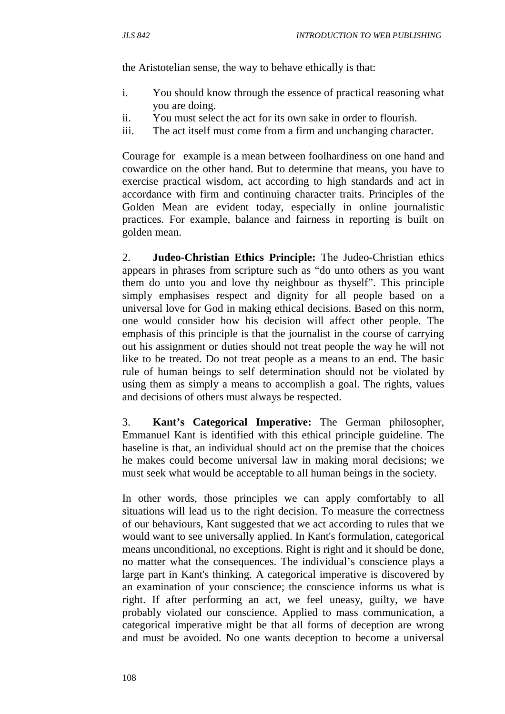the Aristotelian sense, the way to behave ethically is that:

- i. You should know through the essence of practical reasoning what you are doing.
- ii. You must select the act for its own sake in order to flourish.
- iii. The act itself must come from a firm and unchanging character.

Courage for example is a mean between foolhardiness on one hand and cowardice on the other hand. But to determine that means, you have to exercise practical wisdom, act according to high standards and act in accordance with firm and continuing character traits. Principles of the Golden Mean are evident today, especially in online journalistic practices. For example, balance and fairness in reporting is built on golden mean.

2. **Judeo-Christian Ethics Principle:** The Judeo-Christian ethics appears in phrases from scripture such as "do unto others as you want them do unto you and love thy neighbour as thyself". This principle simply emphasises respect and dignity for all people based on a universal love for God in making ethical decisions. Based on this norm, one would consider how his decision will affect other people. The emphasis of this principle is that the journalist in the course of carrying out his assignment or duties should not treat people the way he will not like to be treated. Do not treat people as a means to an end. The basic rule of human beings to self determination should not be violated by using them as simply a means to accomplish a goal. The rights, values and decisions of others must always be respected.

3. **Kant's Categorical Imperative:** The German philosopher, Emmanuel Kant is identified with this ethical principle guideline. The baseline is that, an individual should act on the premise that the choices he makes could become universal law in making moral decisions; we must seek what would be acceptable to all human beings in the society.

In other words, those principles we can apply comfortably to all situations will lead us to the right decision. To measure the correctness of our behaviours, Kant suggested that we act according to rules that we would want to see universally applied. In Kant's formulation, categorical means unconditional, no exceptions. Right is right and it should be done, no matter what the consequences. The individual's conscience plays a large part in Kant's thinking. A categorical imperative is discovered by an examination of your conscience; the conscience informs us what is right. If after performing an act, we feel uneasy, guilty, we have probably violated our conscience. Applied to mass communication, a categorical imperative might be that all forms of deception are wrong and must be avoided. No one wants deception to become a universal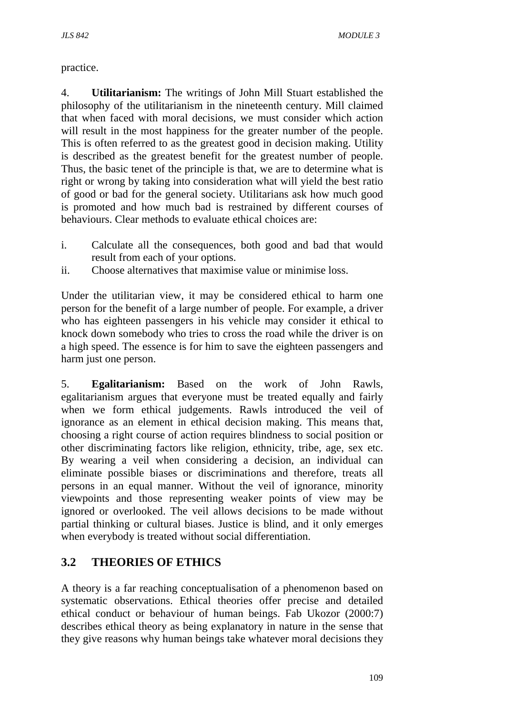practice.

4. **Utilitarianism:** The writings of John Mill Stuart established the philosophy of the utilitarianism in the nineteenth century. Mill claimed that when faced with moral decisions, we must consider which action will result in the most happiness for the greater number of the people. This is often referred to as the greatest good in decision making. Utility is described as the greatest benefit for the greatest number of people. Thus, the basic tenet of the principle is that, we are to determine what is right or wrong by taking into consideration what will yield the best ratio of good or bad for the general society. Utilitarians ask how much good is promoted and how much bad is restrained by different courses of behaviours. Clear methods to evaluate ethical choices are:

- i. Calculate all the consequences, both good and bad that would result from each of your options.
- ii. Choose alternatives that maximise value or minimise loss.

Under the utilitarian view, it may be considered ethical to harm one person for the benefit of a large number of people. For example, a driver who has eighteen passengers in his vehicle may consider it ethical to knock down somebody who tries to cross the road while the driver is on a high speed. The essence is for him to save the eighteen passengers and harm just one person.

5. **Egalitarianism:** Based on the work of John Rawls, egalitarianism argues that everyone must be treated equally and fairly when we form ethical judgements. Rawls introduced the veil of ignorance as an element in ethical decision making. This means that, choosing a right course of action requires blindness to social position or other discriminating factors like religion, ethnicity, tribe, age, sex etc. By wearing a veil when considering a decision, an individual can eliminate possible biases or discriminations and therefore, treats all persons in an equal manner. Without the veil of ignorance, minority viewpoints and those representing weaker points of view may be ignored or overlooked. The veil allows decisions to be made without partial thinking or cultural biases. Justice is blind, and it only emerges when everybody is treated without social differentiation.

## **3.2 THEORIES OF ETHICS**

A theory is a far reaching conceptualisation of a phenomenon based on systematic observations. Ethical theories offer precise and detailed ethical conduct or behaviour of human beings. Fab Ukozor (2000:7) describes ethical theory as being explanatory in nature in the sense that they give reasons why human beings take whatever moral decisions they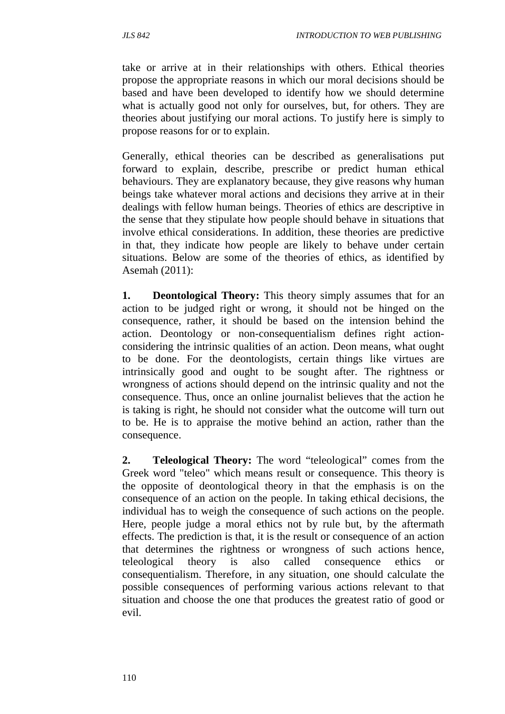take or arrive at in their relationships with others. Ethical theories propose the appropriate reasons in which our moral decisions should be based and have been developed to identify how we should determine what is actually good not only for ourselves, but, for others. They are theories about justifying our moral actions. To justify here is simply to propose reasons for or to explain.

Generally, ethical theories can be described as generalisations put forward to explain, describe, prescribe or predict human ethical behaviours. They are explanatory because, they give reasons why human beings take whatever moral actions and decisions they arrive at in their dealings with fellow human beings. Theories of ethics are descriptive in the sense that they stipulate how people should behave in situations that involve ethical considerations. In addition, these theories are predictive in that, they indicate how people are likely to behave under certain situations. Below are some of the theories of ethics, as identified by Asemah (2011):

**1. Deontological Theory:** This theory simply assumes that for an action to be judged right or wrong, it should not be hinged on the consequence, rather, it should be based on the intension behind the action. Deontology or non-consequentialism defines right actionconsidering the intrinsic qualities of an action. Deon means, what ought to be done. For the deontologists, certain things like virtues are intrinsically good and ought to be sought after. The rightness or wrongness of actions should depend on the intrinsic quality and not the consequence. Thus, once an online journalist believes that the action he is taking is right, he should not consider what the outcome will turn out to be. He is to appraise the motive behind an action, rather than the consequence.

**2. Teleological Theory:** The word "teleological" comes from the Greek word "teleo" which means result or consequence. This theory is the opposite of deontological theory in that the emphasis is on the consequence of an action on the people. In taking ethical decisions, the individual has to weigh the consequence of such actions on the people. Here, people judge a moral ethics not by rule but, by the aftermath effects. The prediction is that, it is the result or consequence of an action that determines the rightness or wrongness of such actions hence, teleological theory is also called consequence ethics or consequentialism. Therefore, in any situation, one should calculate the possible consequences of performing various actions relevant to that situation and choose the one that produces the greatest ratio of good or evil.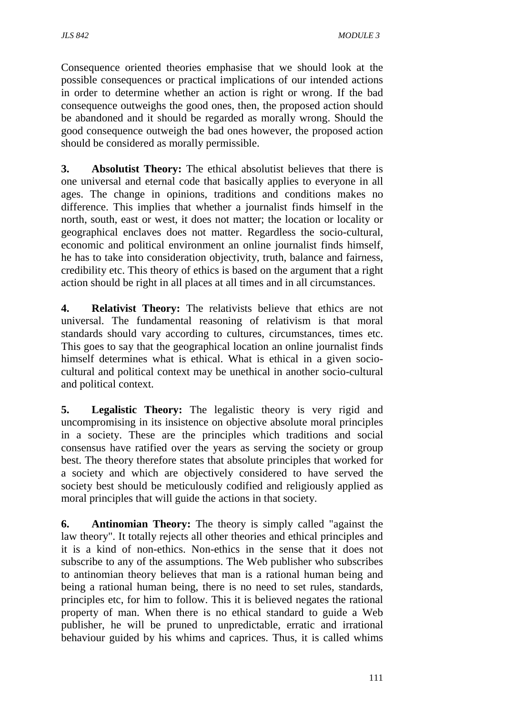Consequence oriented theories emphasise that we should look at the possible consequences or practical implications of our intended actions in order to determine whether an action is right or wrong. If the bad consequence outweighs the good ones, then, the proposed action should be abandoned and it should be regarded as morally wrong. Should the good consequence outweigh the bad ones however, the proposed action should be considered as morally permissible.

**3. Absolutist Theory:** The ethical absolutist believes that there is one universal and eternal code that basically applies to everyone in all ages. The change in opinions, traditions and conditions makes no difference. This implies that whether a journalist finds himself in the north, south, east or west, it does not matter; the location or locality or geographical enclaves does not matter. Regardless the socio-cultural, economic and political environment an online journalist finds himself, he has to take into consideration objectivity, truth, balance and fairness, credibility etc. This theory of ethics is based on the argument that a right action should be right in all places at all times and in all circumstances.

**4. Relativist Theory:** The relativists believe that ethics are not universal. The fundamental reasoning of relativism is that moral standards should vary according to cultures, circumstances, times etc. This goes to say that the geographical location an online journalist finds himself determines what is ethical. What is ethical in a given sociocultural and political context may be unethical in another socio-cultural and political context.

**5. Legalistic Theory:** The legalistic theory is very rigid and uncompromising in its insistence on objective absolute moral principles in a society. These are the principles which traditions and social consensus have ratified over the years as serving the society or group best. The theory therefore states that absolute principles that worked for a society and which are objectively considered to have served the society best should be meticulously codified and religiously applied as moral principles that will guide the actions in that society.

**6. Antinomian Theory:** The theory is simply called "against the law theory". It totally rejects all other theories and ethical principles and it is a kind of non-ethics. Non-ethics in the sense that it does not subscribe to any of the assumptions. The Web publisher who subscribes to antinomian theory believes that man is a rational human being and being a rational human being, there is no need to set rules, standards, principles etc, for him to follow. This it is believed negates the rational property of man. When there is no ethical standard to guide a Web publisher, he will be pruned to unpredictable, erratic and irrational behaviour guided by his whims and caprices. Thus, it is called whims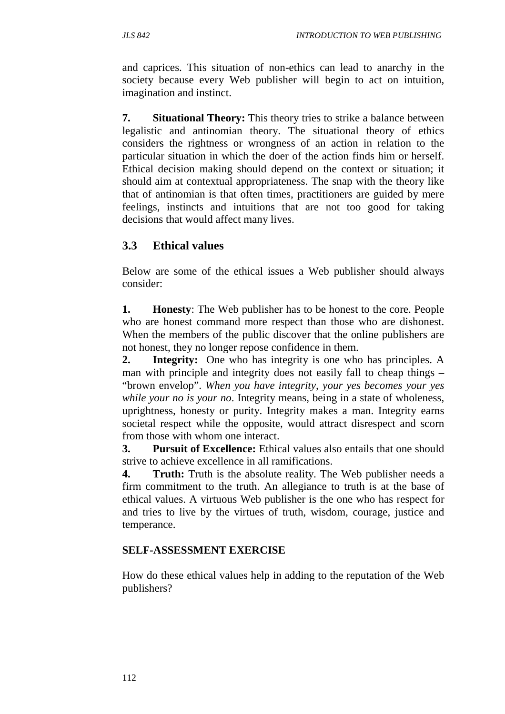and caprices. This situation of non-ethics can lead to anarchy in the society because every Web publisher will begin to act on intuition, imagination and instinct.

**7. Situational Theory:** This theory tries to strike a balance between legalistic and antinomian theory. The situational theory of ethics considers the rightness or wrongness of an action in relation to the particular situation in which the doer of the action finds him or herself. Ethical decision making should depend on the context or situation; it should aim at contextual appropriateness. The snap with the theory like that of antinomian is that often times, practitioners are guided by mere feelings, instincts and intuitions that are not too good for taking decisions that would affect many lives.

### **3.3 Ethical values**

Below are some of the ethical issues a Web publisher should always consider:

**1. Honesty**: The Web publisher has to be honest to the core. People who are honest command more respect than those who are dishonest. When the members of the public discover that the online publishers are not honest, they no longer repose confidence in them.

**2. Integrity:** One who has integrity is one who has principles. A man with principle and integrity does not easily fall to cheap things – "brown envelop". *When you have integrity, your yes becomes your yes while your no is your no*. Integrity means, being in a state of wholeness, uprightness, honesty or purity. Integrity makes a man. Integrity earns societal respect while the opposite, would attract disrespect and scorn from those with whom one interact.

**3. Pursuit of Excellence:** Ethical values also entails that one should strive to achieve excellence in all ramifications.

**4. Truth:** Truth is the absolute reality. The Web publisher needs a firm commitment to the truth. An allegiance to truth is at the base of ethical values. A virtuous Web publisher is the one who has respect for and tries to live by the virtues of truth, wisdom, courage, justice and temperance.

#### **SELF-ASSESSMENT EXERCISE**

How do these ethical values help in adding to the reputation of the Web publishers?